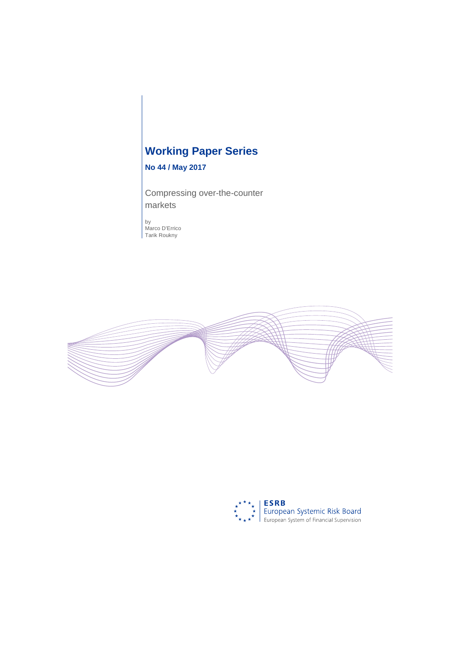# **Working Paper Series**

# **No 44 / May 2017**

Compressing over-the-counter markets

by Marco D'Errico Tarik Roukny



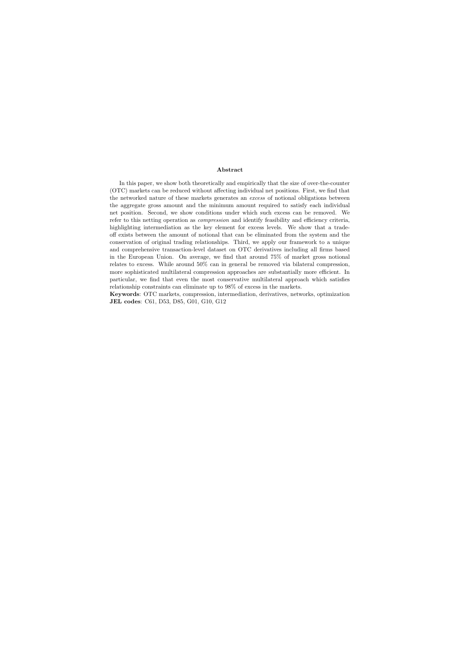#### Abstract

In this paper, we show both theoretically and empirically that the size of over-the-counter (OTC) markets can be reduced without affecting individual net positions. First, we find that the networked nature of these markets generates an excess of notional obligations between the aggregate gross amount and the minimum amount required to satisfy each individual net position. Second, we show conditions under which such excess can be removed. We refer to this netting operation as compression and identify feasibility and efficiency criteria, highlighting intermediation as the key element for excess levels. We show that a tradeoff exists between the amount of notional that can be eliminated from the system and the conservation of original trading relationships. Third, we apply our framework to a unique and comprehensive transaction-level dataset on OTC derivatives including all firms based in the European Union. On average, we find that around 75% of market gross notional relates to excess. While around 50% can in general be removed via bilateral compression, more sophisticated multilateral compression approaches are substantially more efficient. In particular, we find that even the most conservative multilateral approach which satisfies relationship constraints can eliminate up to 98% of excess in the markets.

Keywords: OTC markets, compression, intermediation, derivatives, networks, optimization JEL codes: C61, D53, D85, G01, G10, G12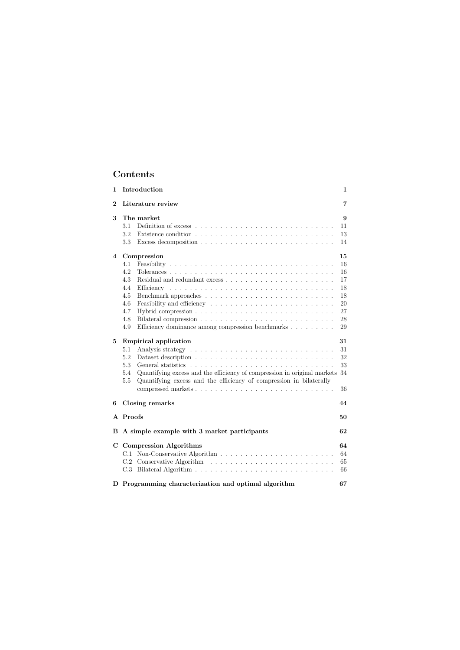# **Contents**

| 1              | Introduction<br>$\mathbf 1$                                                                                                                                                                                                                            |                                                          |  |  |  |
|----------------|--------------------------------------------------------------------------------------------------------------------------------------------------------------------------------------------------------------------------------------------------------|----------------------------------------------------------|--|--|--|
| $\bf{2}$       | Literature review<br>7                                                                                                                                                                                                                                 |                                                          |  |  |  |
| 3              | The market<br>3.1<br>3.2<br>3.3                                                                                                                                                                                                                        | 9<br>11<br>13<br>14                                      |  |  |  |
| $\overline{4}$ | Compression<br>4.1<br>4.2<br>4.3<br>4.4<br>4.5<br>4.6<br>4.7<br>4.8<br>Efficiency dominance among compression benchmarks<br>4.9                                                                                                                        | 15<br>16<br>16<br>17<br>18<br>18<br>20<br>27<br>28<br>29 |  |  |  |
| $\bf{5}$       | <b>Empirical application</b><br>31<br>31<br>5.1<br>32<br>5.2<br>33<br>5.3<br>Quantifying excess and the efficiency of compression in original markets<br>34<br>5.4<br>Quantifying excess and the efficiency of compression in bilaterally<br>5.5<br>36 |                                                          |  |  |  |
| 6              | Closing remarks<br>44                                                                                                                                                                                                                                  |                                                          |  |  |  |
|                | A Proofs<br>50                                                                                                                                                                                                                                         |                                                          |  |  |  |
|                | B A simple example with 3 market participants<br>62                                                                                                                                                                                                    |                                                          |  |  |  |
|                | C Compression Algorithms<br>C.1<br>C.2                                                                                                                                                                                                                 | 64<br>64<br>65<br>66                                     |  |  |  |
|                | D Programming characterization and optimal algorithm<br>67                                                                                                                                                                                             |                                                          |  |  |  |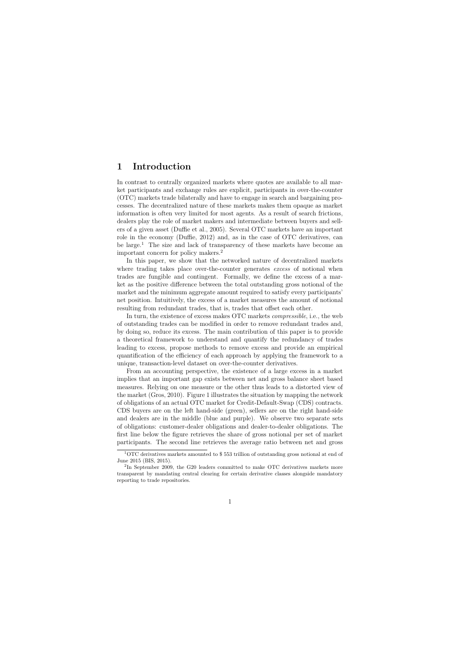# 1 Introduction

In contrast to centrally organized markets where quotes are available to all market participants and exchange rules are explicit, participants in over-the-counter (OTC) markets trade bilaterally and have to engage in search and bargaining processes. The decentralized nature of these markets makes them opaque as market information is often very limited for most agents. As a result of search frictions, dealers play the role of market makers and intermediate between buyers and sellers of a given asset (Duffie et al., 2005). Several OTC markets have an important role in the economy (Duffie, 2012) and, as in the case of OTC derivatives, can be large.<sup>1</sup> The size and lack of transparency of these markets have become an important concern for policy makers.<sup>2</sup>

In this paper, we show that the networked nature of decentralized markets where trading takes place over-the-counter generates excess of notional when trades are fungible and contingent. Formally, we define the excess of a market as the positive difference between the total outstanding gross notional of the market and the minimum aggregate amount required to satisfy every participants' net position. Intuitively, the excess of a market measures the amount of notional resulting from redundant trades, that is, trades that offset each other.

In turn, the existence of excess makes OTC markets compressible, i.e., the web of outstanding trades can be modified in order to remove redundant trades and, by doing so, reduce its excess. The main contribution of this paper is to provide a theoretical framework to understand and quantify the redundancy of trades leading to excess, propose methods to remove excess and provide an empirical quantification of the efficiency of each approach by applying the framework to a unique, transaction-level dataset on over-the-counter derivatives.

From an accounting perspective, the existence of a large excess in a market implies that an important gap exists between net and gross balance sheet based measures. Relying on one measure or the other thus leads to a distorted view of the market (Gros, 2010). Figure 1 illustrates the situation by mapping the network of obligations of an actual OTC market for Credit-Default-Swap (CDS) contracts. CDS buyers are on the left hand-side (green), sellers are on the right hand-side and dealers are in the middle (blue and purple). We observe two separate sets of obligations: customer-dealer obligations and dealer-to-dealer obligations. The first line below the figure retrieves the share of gross notional per set of market participants. The second line retrieves the average ratio between net and gross

<sup>1</sup>OTC derivatives markets amounted to \$ 553 trillion of outstanding gross notional at end of June 2015 (BIS, 2015).

<sup>&</sup>lt;sup>2</sup>In September 2009, the G20 leaders committed to make OTC derivatives markets more transparent by mandating central clearing for certain derivative classes alongside mandatory reporting to trade repositories.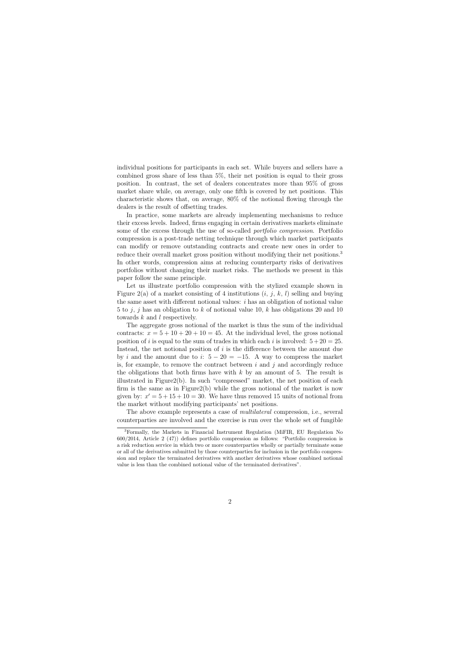individual positions for participants in each set. While buyers and sellers have a combined gross share of less than 5%, their net position is equal to their gross position. In contrast, the set of dealers concentrates more than 95% of gross market share while, on average, only one fifth is covered by net positions. This characteristic shows that, on average, 80% of the notional flowing through the dealers is the result of offsetting trades.

In practice, some markets are already implementing mechanisms to reduce their excess levels. Indeed, firms engaging in certain derivatives markets eliminate some of the excess through the use of so-called portfolio compression. Portfolio compression is a post-trade netting technique through which market participants can modify or remove outstanding contracts and create new ones in order to reduce their overall market gross position without modifying their net positions.<sup>3</sup> In other words, compression aims at reducing counterparty risks of derivatives portfolios without changing their market risks. The methods we present in this paper follow the same principle.

Let us illustrate portfolio compression with the stylized example shown in Figure 2(a) of a market consisting of 4 institutions  $(i, j, k, l)$  selling and buying the same asset with different notional values:  $i$  has an obligation of notional value 5 to j, j has an obligation to k of notional value 10, k has obligations 20 and 10 towards k and l respectively.

The aggregate gross notional of the market is thus the sum of the individual contracts:  $x = 5 + 10 + 20 + 10 = 45$ . At the individual level, the gross notional position of i is equal to the sum of trades in which each i is involved:  $5+20=25$ . Instead, the net notional position of i is the difference between the amount due by i and the amount due to i:  $5 - 20 = -15$ . A way to compress the market is, for example, to remove the contract between  $i$  and  $j$  and accordingly reduce the obligations that both firms have with  $k$  by an amount of 5. The result is illustrated in Figure2(b). In such "compressed" market, the net position of each firm is the same as in Figure2(b) while the gross notional of the market is now given by:  $x' = 5 + 15 + 10 = 30$ . We have thus removed 15 units of notional from the market without modifying participants' net positions.

The above example represents a case of multilateral compression, i.e., several counterparties are involved and the exercise is run over the whole set of fungible

<sup>3</sup>Formally, the Markets in Financial Instrument Regulation (MiFIR, EU Regulation No 600/2014, Article 2 (47)) defines portfolio compression as follows: "Portfolio compression is a risk reduction service in which two or more counterparties wholly or partially terminate some or all of the derivatives submitted by those counterparties for inclusion in the portfolio compression and replace the terminated derivatives with another derivatives whose combined notional value is less than the combined notional value of the terminated derivatives".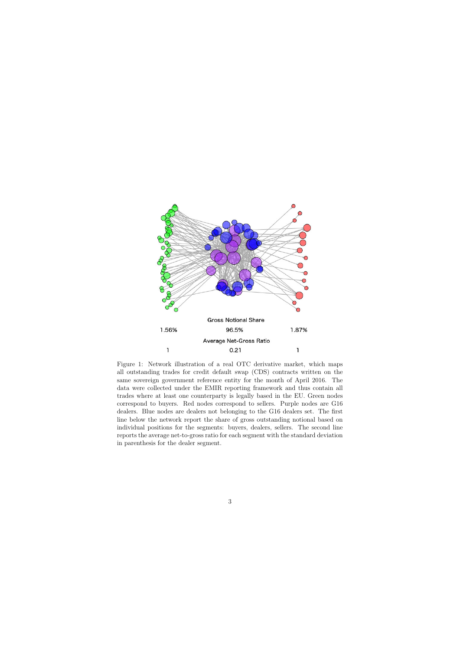

Figure 1: Network illustration of a real OTC derivative market, which maps all outstanding trades for credit default swap (CDS) contracts written on the same sovereign government reference entity for the month of April 2016. The data were collected under the EMIR reporting framework and thus contain all trades where at least one counterparty is legally based in the EU. Green nodes correspond to buyers. Red nodes correspond to sellers. Purple nodes are G16 dealers. Blue nodes are dealers not belonging to the G16 dealers set. The first line below the network report the share of gross outstanding notional based on individual positions for the segments: buyers, dealers, sellers. The second line reports the average net-to-gross ratio for each segment with the standard deviation in parenthesis for the dealer segment.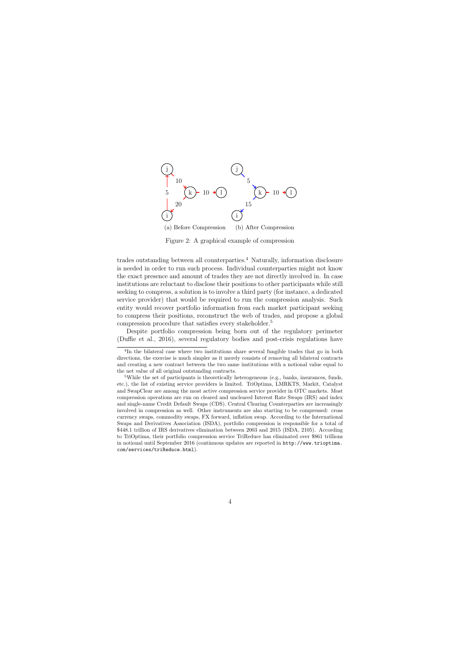

Figure 2: A graphical example of compression

trades outstanding between all counterparties.<sup>4</sup> Naturally, information disclosure is needed in order to run such process. Individual counterparties might not know the exact presence and amount of trades they are not directly involved in. In case institutions are reluctant to disclose their positions to other participants while still seeking to compress, a solution is to involve a third party (for instance, a dedicated service provider) that would be required to run the compression analysis. Such entity would recover portfolio information from each market participant seeking to compress their positions, reconstruct the web of trades, and propose a global compression procedure that satisfies every stakeholder.<sup>5</sup>

Despite portfolio compression being born out of the regulatory perimeter (Duffie et al., 2016), several regulatory bodies and post-crisis regulations have

<sup>&</sup>lt;sup>4</sup>In the bilateral case where two institutions share several fungible trades that go in both directions, the exercise is much simpler as it merely consists of removing all bilateral contracts and creating a new contract between the two same institutions with a notional value equal to the net value of all original outstanding contracts.

<sup>&</sup>lt;sup>5</sup>While the set of participants is theoretically heterogeneous (e.g., banks, insurances, funds, etc.), the list of existing service providers is limited. TriOptima, LMRKTS, Markit, Catalyst and SwapClear are among the most active compression service provider in OTC markets. Most compression operations are run on cleared and uncleared Interest Rate Swaps (IRS) and index and single-name Credit Default Swaps (CDS). Central Clearing Counterparties are increasingly involved in compression as well. Other instruments are also starting to be compressed: cross currency swaps, commodity swaps, FX forward, inflation swap. According to the International Swaps and Derivatives Association (ISDA), portfolio compression is responsible for a total of \$448.1 trillion of IRS derivatives elimination between 2003 and 2015 (ISDA, 2105). According to TriOptima, their portfolio compression service TriReduce has eliminated over \$861 trillions in notional until September 2016 (continuous updates are reported in http://www.trioptima. com/services/triReduce.html).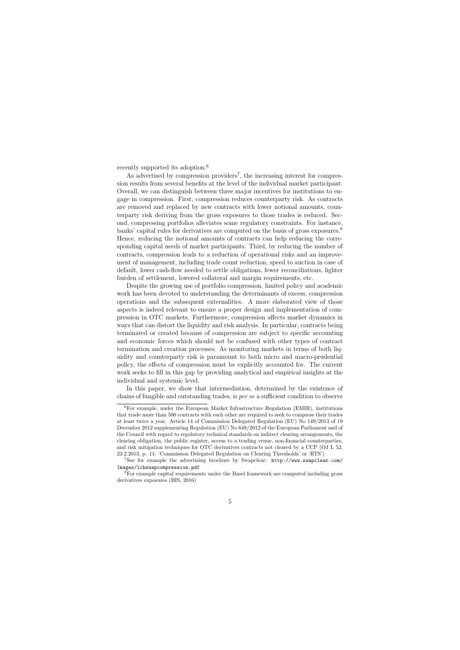recently supported its adoption.<sup>6</sup>

As advertised by compression providers<sup>7</sup>, the increasing interest for compression results from several benefits at the level of the individual market participant. Overall, we can distinguish between three major incentives for institutions to engage in compression. First, compression reduces counterparty risk. As contracts are removed and replaced by new contracts with lower notional amounts, counterparty risk deriving from the gross exposures to those trades is reduced. Second, compressing portfolios alleviates some regulatory constraints. For instance, banks' capital rules for derivatives are computed on the basis of gross exposures.<sup>8</sup> Hence, reducing the notional amounts of contracts can help reducing the corresponding capital needs of market participants. Third, by reducing the number of contracts, compression leads to a reduction of operational risks and an improvement of management, including trade count reduction, speed to auction in case of default, lower cash-flow needed to settle obligations, fewer reconciliations, lighter burden of settlement, lowered collateral and margin requirements, etc.

Despite the growing use of portfolio compression, limited policy and academic work has been devoted to understanding the determinants of excess, compression operations and the subsequent externalities. A more elaborated view of those aspects is indeed relevant to ensure a proper design and implementation of compression in OTC markets. Furthermore, compression affects market dynamics in ways that can distort the liquidity and risk analysis. In particular, contracts being terminated or created because of compression are subject to specific accounting and economic forces which should not be confused with other types of contract termination and creation processes. As monitoring markets in terms of both liquidity and counterparty risk is paramount to both micro and macro-prudential policy, the effects of compression must be explicitly accounted for. The current work seeks to fill in this gap by providing analytical and empirical insights at the individual and systemic level.

In this paper, we show that intermediation, determined by the existence of chains of fungible and outstanding trades, is per se a sufficient condition to observe

<sup>6</sup>For example, under the European Market Infrastructure Regulation (EMIR), institutions that trade more than 500 contracts with each other are required to seek to compress their trades at least twice a year. Article 14 of Commission Delegated Regulation (EU) No 149/2013 of 19 December 2012 supplementing Regulation (EU) No 648/2012 of the European Parliament and of the Council with regard to regulatory technical standards on indirect clearing arrangements, the clearing obligation, the public register, access to a trading venue, non-financial counterparties, and risk mitigation techniques for OTC derivatives contracts not cleared by a CCP (OJ L 52, 23.2.2013, p. 11- 'Commission Delegated Regulation on Clearing Thresholds' or 'RTS')

<sup>7</sup>See for example the advertising brochure by Swapclear: http://www.swapclear.com/ Images/lchswapcompression.pdf

<sup>8</sup>For example capital requirements under the Basel framework are computed including gross derivatives exposures (BIS, 2016)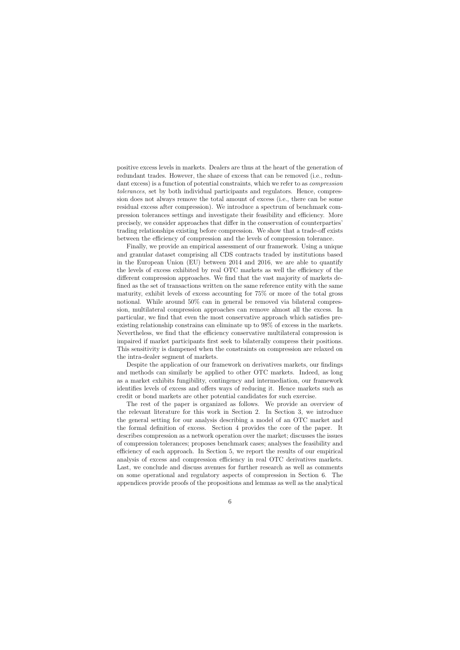positive excess levels in markets. Dealers are thus at the heart of the generation of redundant trades. However, the share of excess that can be removed (i.e., redundant excess) is a function of potential constraints, which we refer to as compression tolerances, set by both individual participants and regulators. Hence, compression does not always remove the total amount of excess (i.e., there can be some residual excess after compression). We introduce a spectrum of benchmark compression tolerances settings and investigate their feasibility and efficiency. More precisely, we consider approaches that differ in the conservation of counterparties' trading relationships existing before compression. We show that a trade-off exists between the efficiency of compression and the levels of compression tolerance.

Finally, we provide an empirical assessment of our framework. Using a unique and granular dataset comprising all CDS contracts traded by institutions based in the European Union (EU) between 2014 and 2016, we are able to quantify the levels of excess exhibited by real OTC markets as well the efficiency of the different compression approaches. We find that the vast majority of markets defined as the set of transactions written on the same reference entity with the same maturity, exhibit levels of excess accounting for 75% or more of the total gross notional. While around 50% can in general be removed via bilateral compression, multilateral compression approaches can remove almost all the excess. In particular, we find that even the most conservative approach which satisfies preexisting relationship constrains can eliminate up to 98% of excess in the markets. Nevertheless, we find that the efficiency conservative multilateral compression is impaired if market participants first seek to bilaterally compress their positions. This sensitivity is dampened when the constraints on compression are relaxed on the intra-dealer segment of markets.

Despite the application of our framework on derivatives markets, our findings and methods can similarly be applied to other OTC markets. Indeed, as long as a market exhibits fungibility, contingency and intermediation, our framework identifies levels of excess and offers ways of reducing it. Hence markets such as credit or bond markets are other potential candidates for such exercise.

The rest of the paper is organized as follows. We provide an overview of the relevant literature for this work in Section 2. In Section 3, we introduce the general setting for our analysis describing a model of an OTC market and the formal definition of excess. Section 4 provides the core of the paper. It describes compression as a network operation over the market; discusses the issues of compression tolerances; proposes benchmark cases; analyses the feasibility and efficiency of each approach. In Section 5, we report the results of our empirical analysis of excess and compression efficiency in real OTC derivatives markets. Last, we conclude and discuss avenues for further research as well as comments on some operational and regulatory aspects of compression in Section 6. The appendices provide proofs of the propositions and lemmas as well as the analytical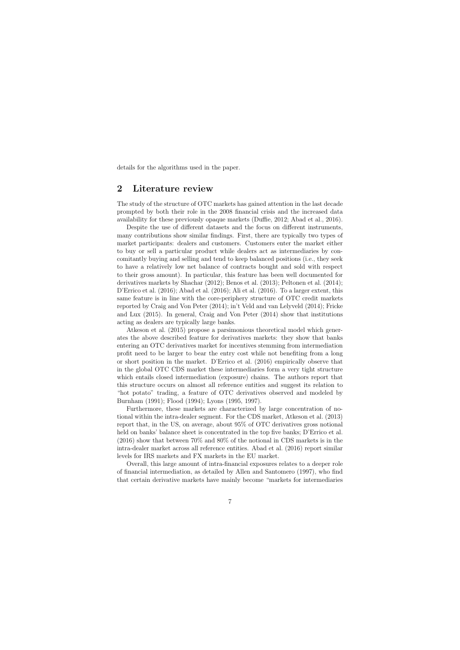details for the algorithms used in the paper.

# 2 Literature review

The study of the structure of OTC markets has gained attention in the last decade prompted by both their role in the 2008 financial crisis and the increased data availability for these previously opaque markets (Duffie, 2012; Abad et al., 2016).

Despite the use of different datasets and the focus on different instruments, many contributions show similar findings. First, there are typically two types of market participants: dealers and customers. Customers enter the market either to buy or sell a particular product while dealers act as intermediaries by concomitantly buying and selling and tend to keep balanced positions (i.e., they seek to have a relatively low net balance of contracts bought and sold with respect to their gross amount). In particular, this feature has been well documented for derivatives markets by Shachar (2012); Benos et al. (2013); Peltonen et al. (2014); D'Errico et al. (2016); Abad et al. (2016); Ali et al. (2016). To a larger extent, this same feature is in line with the core-periphery structure of OTC credit markets reported by Craig and Von Peter (2014); in't Veld and van Lelyveld (2014); Fricke and Lux (2015). In general, Craig and Von Peter (2014) show that institutions acting as dealers are typically large banks.

Atkeson et al. (2015) propose a parsimonious theoretical model which generates the above described feature for derivatives markets: they show that banks entering an OTC derivatives market for incentives stemming from intermediation profit need to be larger to bear the entry cost while not benefiting from a long or short position in the market. D'Errico et al. (2016) empirically observe that in the global OTC CDS market these intermediaries form a very tight structure which entails closed intermediation (exposure) chains. The authors report that this structure occurs on almost all reference entities and suggest its relation to "hot potato" trading, a feature of OTC derivatives observed and modeled by Burnham (1991); Flood (1994); Lyons (1995, 1997).

Furthermore, these markets are characterized by large concentration of notional within the intra-dealer segment. For the CDS market, Atkeson et al. (2013) report that, in the US, on average, about 95% of OTC derivatives gross notional held on banks' balance sheet is concentrated in the top five banks; D'Errico et al. (2016) show that between 70% and 80% of the notional in CDS markets is in the intra-dealer market across all reference entities. Abad et al. (2016) report similar levels for IRS markets and FX markets in the EU market.

Overall, this large amount of intra-financial exposures relates to a deeper role of financial intermediation, as detailed by Allen and Santomero (1997), who find that certain derivative markets have mainly become "markets for intermediaries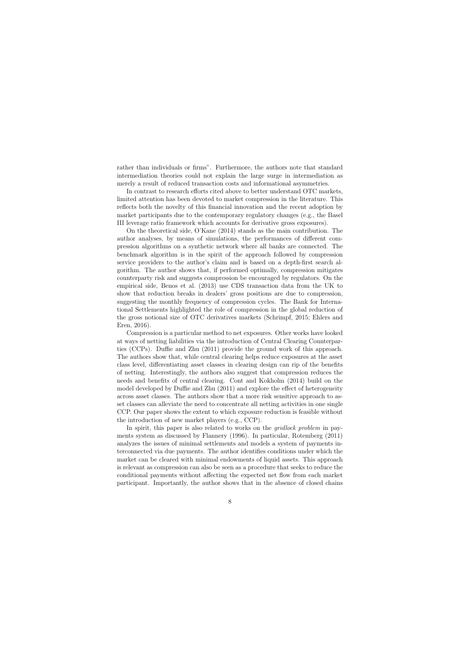rather than individuals or firms". Furthermore, the authors note that standard intermediation theories could not explain the large surge in intermediation as merely a result of reduced transaction costs and informational asymmetries.

In contrast to research efforts cited above to better understand OTC markets, limited attention has been devoted to market compression in the literature. This reflects both the novelty of this financial innovation and the recent adoption by market participants due to the contemporary regulatory changes (e.g., the Basel III leverage ratio framework which accounts for derivative gross exposures).

On the theoretical side, O'Kane (2014) stands as the main contribution. The author analyses, by means of simulations, the performances of different compression algorithms on a synthetic network where all banks are connected. The benchmark algorithm is in the spirit of the approach followed by compression service providers to the author's claim and is based on a depth-first search algorithm. The author shows that, if performed optimally, compression mitigates counterparty risk and suggests compression be encouraged by regulators. On the empirical side, Benos et al. (2013) use CDS transaction data from the UK to show that reduction breaks in dealers' gross positions are due to compression, suggesting the monthly frequency of compression cycles. The Bank for International Settlements highlighted the role of compression in the global reduction of the gross notional size of OTC derivatives markets (Schrimpf, 2015; Ehlers and Eren, 2016).

Compression is a particular method to net exposures. Other works have looked at ways of netting liabilities via the introduction of Central Clearing Counterparties (CCPs). Duffie and Zhu (2011) provide the ground work of this approach. The authors show that, while central clearing helps reduce exposures at the asset class level, differentiating asset classes in clearing design can rip of the benefits of netting. Interestingly, the authors also suggest that compression reduces the needs and benefits of central clearing. Cont and Kokholm (2014) build on the model developed by Duffie and Zhu (2011) and explore the effect of heterogeneity across asset classes. The authors show that a more risk sensitive approach to asset classes can alleviate the need to concentrate all netting activities in one single CCP. Our paper shows the extent to which exposure reduction is feasible without the introduction of new market players (e.g., CCP).

In spirit, this paper is also related to works on the *gridlock problem* in payments system as discussed by Flannery (1996). In particular, Rotemberg (2011) analyzes the issues of minimal settlements and models a system of payments interconnected via due payments. The author identifies conditions under which the market can be cleared with minimal endowments of liquid assets. This approach is relevant as compression can also be seen as a procedure that seeks to reduce the conditional payments without affecting the expected net flow from each market participant. Importantly, the author shows that in the absence of closed chains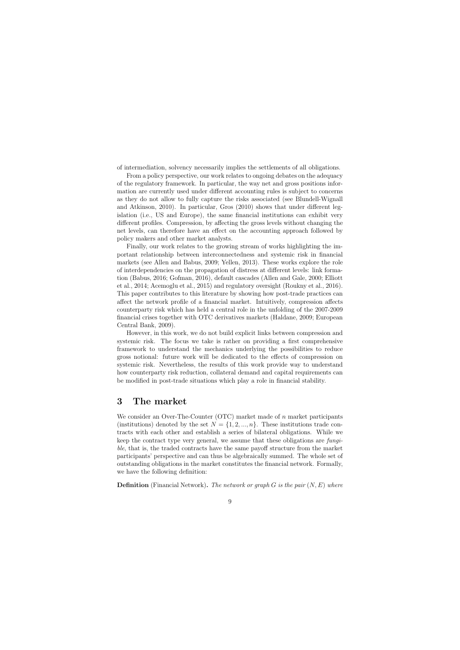of intermediation, solvency necessarily implies the settlements of all obligations.

From a policy perspective, our work relates to ongoing debates on the adequacy of the regulatory framework. In particular, the way net and gross positions information are currently used under different accounting rules is subject to concerns as they do not allow to fully capture the risks associated (see Blundell-Wignall and Atkinson, 2010). In particular, Gros (2010) shows that under different legislation (i.e., US and Europe), the same financial institutions can exhibit very different profiles. Compression, by affecting the gross levels without changing the net levels, can therefore have an effect on the accounting approach followed by policy makers and other market analysts.

Finally, our work relates to the growing stream of works highlighting the important relationship between interconnectedness and systemic risk in financial markets (see Allen and Babus, 2009; Yellen, 2013). These works explore the role of interdependencies on the propagation of distress at different levels: link formation (Babus, 2016; Gofman, 2016), default cascades (Allen and Gale, 2000; Elliott et al., 2014; Acemoglu et al., 2015) and regulatory oversight (Roukny et al., 2016). This paper contributes to this literature by showing how post-trade practices can affect the network profile of a financial market. Intuitively, compression affects counterparty risk which has held a central role in the unfolding of the 2007-2009 financial crises together with OTC derivatives markets (Haldane, 2009; European Central Bank, 2009).

However, in this work, we do not build explicit links between compression and systemic risk. The focus we take is rather on providing a first comprehensive framework to understand the mechanics underlying the possibilities to reduce gross notional: future work will be dedicated to the effects of compression on systemic risk. Nevertheless, the results of this work provide way to understand how counterparty risk reduction, collateral demand and capital requirements can be modified in post-trade situations which play a role in financial stability.

# 3 The market

We consider an Over-The-Counter (OTC) market made of n market participants (institutions) denoted by the set  $N = \{1, 2, ..., n\}$ . These institutions trade contracts with each other and establish a series of bilateral obligations. While we keep the contract type very general, we assume that these obligations are fungible, that is, the traded contracts have the same payoff structure from the market participants' perspective and can thus be algebraically summed. The whole set of outstanding obligations in the market constitutes the financial network. Formally, we have the following definition:

**Definition** (Financial Network). The network or graph G is the pair  $(N, E)$  where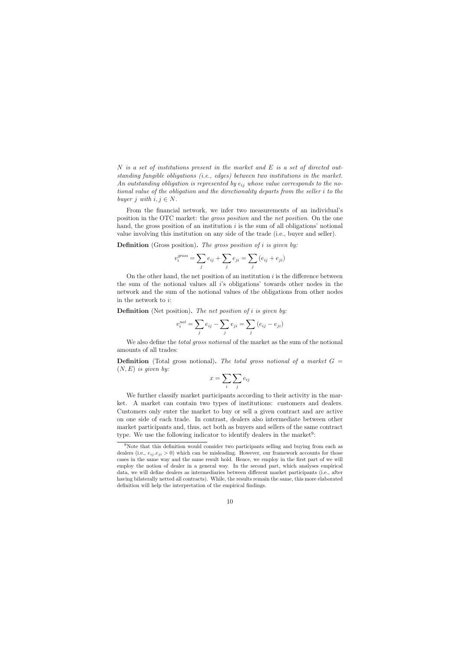N is a set of institutions present in the market and E is a set of directed outstanding fungible obligations (i.e., edges) between two institutions in the market. An outstanding obligation is represented by  $e_{ij}$  whose value corresponds to the notional value of the obligation and the directionality departs from the seller i to the buyer j with  $i, j \in N$ .

From the financial network, we infer two measurements of an individual's position in the OTC market: the gross position and the net position. On the one hand, the gross position of an institution  $i$  is the sum of all obligations' notional value involving this institution on any side of the trade (i.e., buyer and seller).

**Definition** (Gross position). The gross position of i is given by:

$$
v_i^{gross} = \sum_j e_{ij} + \sum_j e_{ji} = \sum_j (e_{ij} + e_{ji})
$$

On the other hand, the net position of an institution  $i$  is the difference between the sum of the notional values all  $i$ 's obligations' towards other nodes in the network and the sum of the notional values of the obligations from other nodes in the network to i:

**Definition** (Net position). The net position of i is given by:

$$
v_i^{net} = \sum_j e_{ij} - \sum_j e_{ji} = \sum_j (e_{ij} - e_{ji})
$$

We also define the *total gross notional* of the market as the sum of the notional amounts of all trades:

**Definition** (Total gross notional). The total gross notional of a market  $G =$  $(N, E)$  is given by:

$$
x = \sum_{i} \sum_{j} e_{ij}
$$

We further classify market participants according to their activity in the market. A market can contain two types of institutions: customers and dealers. Customers only enter the market to buy or sell a given contract and are active on one side of each trade. In contrast, dealers also intermediate between other market participants and, thus, act both as buyers and sellers of the same contract type. We use the following indicator to identify dealers in the market<sup>9</sup>:

<sup>9</sup>Note that this definition would consider two participants selling and buying from each as dealers (i.e.,  $e_{ij}$ ,  $e_{ij} > 0$ ) which can be misleading. However, our framework accounts for those cases in the same way and the same result hold. Hence, we employ in the first part of we will employ the notion of dealer in a general way. In the second part, which analyses empirical data, we will define dealers as intermediaries between different market participants (i.e., after having bilaterally netted all contracts). While, the results remain the same, this more elaborated definition will help the interpretation of the empirical findings.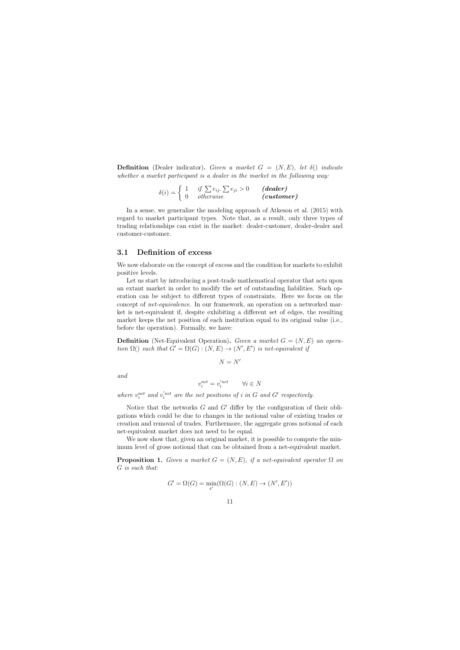**Definition** (Dealer indicator). Given a market  $G = (N, E)$ , let  $\delta()$  indicate whether a market participant is a dealer in the market in the following way:

$$
\delta(i) = \left\{ \begin{array}{cc} 1 & \textit{if $\sum e_{ij}$.} \sum e_{ji} > 0 & \textit{(dealer)}\\ 0 & \textit{otherwise} & \textit{(customer)} \end{array} \right.
$$

In a sense, we generalize the modeling approach of Atkeson et al. (2015) with regard to market participant types. Note that, as a result, only three types of trading relationships can exist in the market: dealer-customer, dealer-dealer and customer-customer.

### 3.1 Definition of excess

We now elaborate on the concept of excess and the condition for markets to exhibit positive levels.

Let us start by introducing a post-trade mathematical operator that acts upon an extant market in order to modify the set of outstanding liabilities. Such operation can be subject to different types of constraints. Here we focus on the concept of net-equivalence. In our framework, an operation on a networked market is net-equivalent if, despite exhibiting a different set of edges, the resulting market keeps the net position of each institution equal to its original value (i.e., before the operation). Formally, we have:

**Definition** (Net-Equivalent Operation). Given a market  $G = (N, E)$  an operation  $\Omega()$  such that  $G' = \Omega(G) : (N, E) \to (N', E')$  is net-equivalent if

$$
N=N'
$$

and

$$
v_i^{net} = v_i^{'net} \qquad \forall i \in N
$$

where  $v_i^{net}$  and  $v_i^{'net}$  are the net positions of i in G and G' respectively.

Notice that the networks  $G$  and  $G'$  differ by the configuration of their obligations which could be due to changes in the notional value of existing trades or creation and removal of trades. Furthermore, the aggregate gross notional of each net-equivalent market does not need to be equal.

We now show that, given an original market, it is possible to compute the minimum level of gross notional that can be obtained from a net-equivalent market.

**Proposition 1.** Given a market  $G = (N, E)$ , if a net-equivalent operator  $\Omega$  on G is such that:

$$
G' = \Omega(G) = \min_{x'}(\Omega(G) : (N, E) \to (N', E'))
$$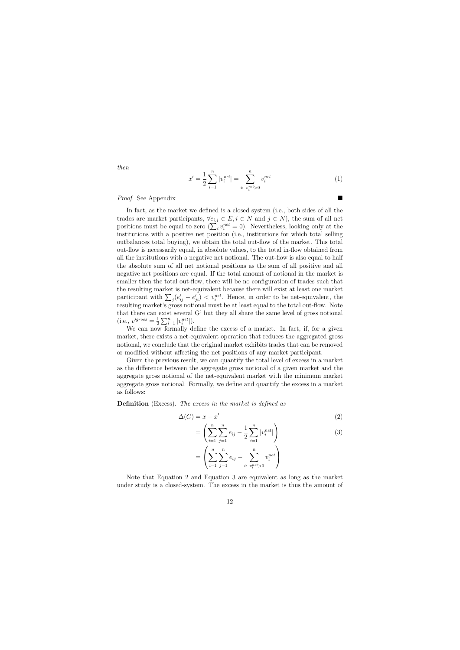then

$$
x' = \frac{1}{2} \sum_{i=1}^{n} |v_i^{net}| = \sum_{i: \ v_i^{net} > 0}^{n} v_i^{net}
$$
 (1)

#### Proof. See Appendix

In fact, as the market we defined is a closed system (i.e., both sides of all the trades are market participants,  $\forall e_{i,j} \in E, i \in N$  and  $j \in N$ , the sum of all net positions must be equal to zero  $(\sum_i v_i^{net} = 0)$ . Nevertheless, looking only at the institutions with a positive net position (i.e., institutions for which total selling outbalances total buying), we obtain the total out-flow of the market. This total out-flow is necessarily equal, in absolute values, to the total in-flow obtained from all the institutions with a negative net notional. The out-flow is also equal to half the absolute sum of all net notional positions as the sum of all positive and all negative net positions are equal. If the total amount of notional in the market is smaller then the total out-flow, there will be no configuration of trades such that the resulting market is net-equivalent because there will exist at least one market participant with  $\sum_{j} (e'_{ij} - e'_{ji}) < v_i^{net}$ . Hence, in order to be net-equivalent, the resulting market's gross notional must be at least equal to the total out-flow. Note that there can exist several G' but they all share the same level of gross notional  $(i.e., v'$ <sup>gross</sup> =  $\frac{1}{2}$  $\frac{1}{2} \sum_{i=1}^{n} |v_i^{net}|$ .

We can now formally define the excess of a market. In fact, if, for a given market, there exists a net-equivalent operation that reduces the aggregated gross notional, we conclude that the original market exhibits trades that can be removed or modified without affecting the net positions of any market participant.

Given the previous result, we can quantify the total level of excess in a market as the difference between the aggregate gross notional of a given market and the aggregate gross notional of the net-equivalent market with the minimum market aggregate gross notional. Formally, we define and quantify the excess in a market as follows:

Definition (Excess). The excess in the market is defined as

$$
\Delta(G) = x - x' \tag{2}
$$

$$
= \left(\sum_{i=1}^{n} \sum_{j=1}^{n} e_{ij} - \frac{1}{2} \sum_{i=1}^{n} |v_i^{net}| \right) \tag{3}
$$

$$
= \left( \sum_{i=1}^n \sum_{j=1}^n e_{ij} - \sum_{i: \ v_i^{net} > 0}^n v_i^{net} \right)
$$

Note that Equation 2 and Equation 3 are equivalent as long as the market under study is a closed-system. The excess in the market is thus the amount of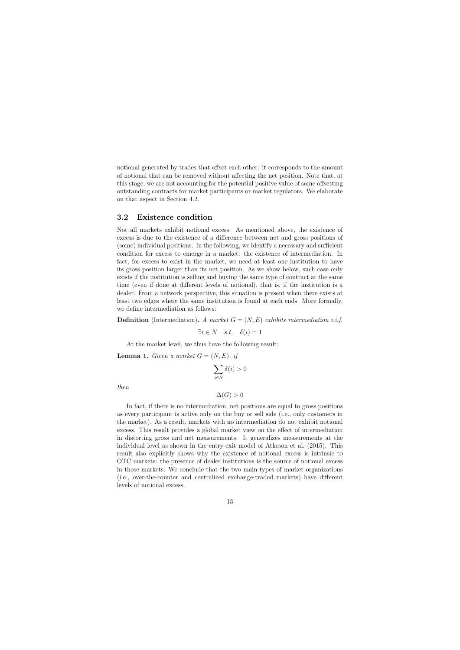notional generated by trades that offset each other: it corresponds to the amount of notional that can be removed without affecting the net position. Note that, at this stage, we are not accounting for the potential positive value of some offsetting outstanding contracts for market participants or market regulators. We elaborate on that aspect in Section 4.2.

## 3.2 Existence condition

Not all markets exhibit notional excess. As mentioned above, the existence of excess is due to the existence of a difference between net and gross positions of (some) individual positions. In the following, we identify a necessary and sufficient condition for excess to emerge in a market: the existence of intermediation. In fact, for excess to exist in the market, we need at least one institution to have its gross position larger than its net position. As we show below, such case only exists if the institution is selling and buying the same type of contract at the same time (even if done at different levels of notional), that is, if the institution is a dealer. From a network perspective, this situation is present when there exists at least two edges where the same institution is found at each ends. More formally, we define intermediation as follows:

**Definition** (Intermediation). A market  $G = (N, E)$  exhibits intermediation i.i.f.

$$
\exists i \in N \quad s.t. \quad \delta(i) = 1
$$

At the market level, we thus have the following result:

**Lemma 1.** Given a market  $G = (N, E)$ , if

$$
\sum_{i\in N}\delta(i)>0
$$

then

$$
\Delta(G) > 0
$$

In fact, if there is no intermediation, net positions are equal to gross positions as every participant is active only on the buy or sell side (i.e., only customers in the market). As a result, markets with no intermediation do not exhibit notional excess. This result provides a global market view on the effect of intermediation in distorting gross and net measurements. It generalizes measurements at the individual level as shown in the entry-exit model of Atkeson et al. (2015). This result also explicitly shows why the existence of notional excess is intrinsic to OTC markets: the presence of dealer institutions is the source of notional excess in those markets. We conclude that the two main types of market organizations (i.e., over-the-counter and centralized exchange-traded markets) have different levels of notional excess,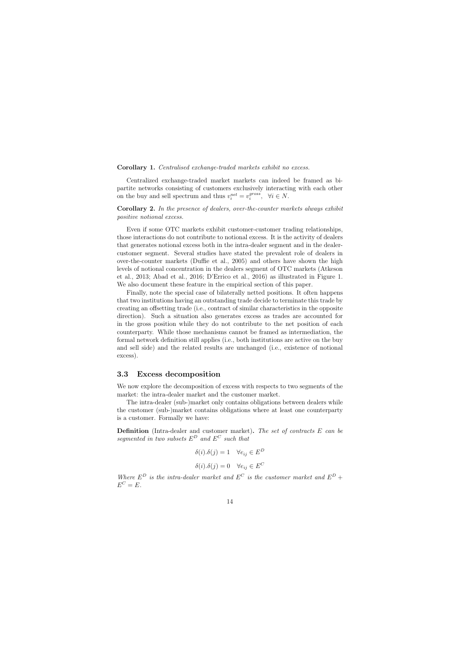#### Corollary 1. Centralised exchange-traded markets exhibit no excess.

Centralized exchange-traded market markets can indeed be framed as bipartite networks consisting of customers exclusively interacting with each other on the buy and sell spectrum and thus  $v_i^{net} = v_i^{gross}$  $i^{gross}, \forall i \in N.$ 

Corollary 2. In the presence of dealers, over-the-counter markets always exhibit positive notional excess.

Even if some OTC markets exhibit customer-customer trading relationships, those interactions do not contribute to notional excess. It is the activity of dealers that generates notional excess both in the intra-dealer segment and in the dealercustomer segment. Several studies have stated the prevalent role of dealers in over-the-counter markets (Duffie et al., 2005) and others have shown the high levels of notional concentration in the dealers segment of OTC markets (Atkeson et al., 2013; Abad et al., 2016; D'Errico et al., 2016) as illustrated in Figure 1. We also document these feature in the empirical section of this paper.

Finally, note the special case of bilaterally netted positions. It often happens that two institutions having an outstanding trade decide to terminate this trade by creating an offsetting trade (i.e., contract of similar characteristics in the opposite direction). Such a situation also generates excess as trades are accounted for in the gross position while they do not contribute to the net position of each counterparty. While those mechanisms cannot be framed as intermediation, the formal network definition still applies (i.e., both institutions are active on the buy and sell side) and the related results are unchanged (i.e., existence of notional excess).

## 3.3 Excess decomposition

We now explore the decomposition of excess with respects to two segments of the market: the intra-dealer market and the customer market.

The intra-dealer (sub-)market only contains obligations between dealers while the customer (sub-)market contains obligations where at least one counterparty is a customer. Formally we have:

Definition (Intra-dealer and customer market). The set of contracts E can be segmented in two subsets  $E^D$  and  $E^C$  such that

$$
\delta(i).\delta(j) = 1 \quad \forall e_{ij} \in E^D
$$

$$
\delta(i).\delta(j) = 0 \quad \forall e_{ij} \in E^C
$$

Where  $E^D$  is the intra-dealer market and  $E^C$  is the customer market and  $E^D$  +  $E^C = E.$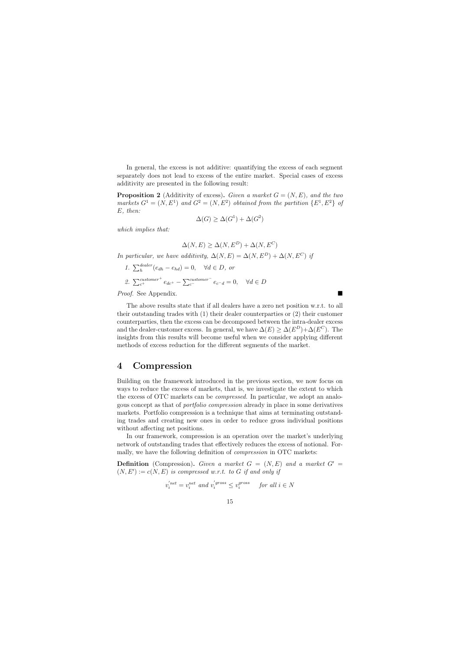In general, the excess is not additive: quantifying the excess of each segment separately does not lead to excess of the entire market. Special cases of excess additivity are presented in the following result:

**Proposition 2** (Additivity of excess). Given a market  $G = (N, E)$ , and the two markets  $G^1 = (N, E^1)$  and  $G^2 = (N, E^2)$  obtained from the partition  $\{E^1, E^2\}$  of E, then:

$$
\Delta(G) \ge \Delta(G^1) + \Delta(G^2)
$$

which implies that:

 $\Delta(N, E) \geq \Delta(N, E^D) + \Delta(N, E^C)$ 

In particular, we have additivity,  $\Delta(N, E) = \Delta(N, E^D) + \Delta(N, E^C)$  if

1.  $\sum_{h}^{dealer}(e_{dh} - e_{hd}) = 0$ ,  $\forall d \in D$ , or 2.  $\sum_{c^{+}}^{customer^{+}} e_{dc^{+}} - \sum_{c^{-}}^{customer^{-}} e_{c-d} = 0, \quad \forall d \in D$ 

Proof. See Appendix.

The above results state that if all dealers have a zero net position w.r.t. to all their outstanding trades with (1) their dealer counterparties or (2) their customer counterparties, then the excess can be decomposed between the intra-dealer excess and the dealer-customer excess. In general, we have  $\Delta(E) \geq \Delta(E^D) + \Delta(E^C)$ . The insights from this results will become useful when we consider applying different methods of excess reduction for the different segments of the market.

# 4 Compression

Building on the framework introduced in the previous section, we now focus on ways to reduce the excess of markets, that is, we investigate the extent to which the excess of OTC markets can be compressed. In particular, we adopt an analogous concept as that of portfolio compression already in place in some derivatives markets. Portfolio compression is a technique that aims at terminating outstanding trades and creating new ones in order to reduce gross individual positions without affecting net positions.

In our framework, compression is an operation over the market's underlying network of outstanding trades that effectively reduces the excess of notional. Formally, we have the following definition of compression in OTC markets:

**Definition** (Compression). Given a market  $G = (N, E)$  and a market  $G' =$  $(N, E') := c(N, E)$  is compressed w.r.t. to G if and only if

$$
v_i^{'net} = v_i^{net} \ and \ v_i^{'gross} \le v_i^{gross} \quad \textit{ for all } i \in N
$$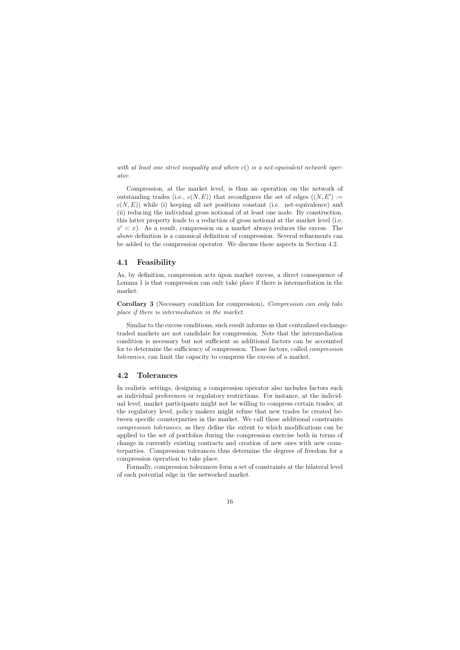with at least one strict inequality and where  $c()$  is a net-equivalent network operator.

Compression, at the market level, is thus an operation on the network of outstanding trades (i.e.,  $c(N, E)$ ) that reconfigures the set of edges  $((N, E') :=$  $c(N, E)$ ) while (i) keeping all net positions constant (i.e. net-equivalence) and (ii) reducing the individual gross notional of at least one node. By construction, this latter property leads to a reduction of gross notional at the market level (i.e,  $x' < x$ ). As a result, compression on a market always reduces the excess. The above definition is a canonical definition of compression. Several refinements can be added to the compression operator. We discuss these aspects in Section 4.2.

# 4.1 Feasibility

As, by definition, compression acts upon market excess, a direct consequence of Lemma 1 is that compression can only take place if there is intermediation in the market:

Corollary 3 (Necessary condition for compression). Compression can only take place if there is intermediation in the market.

Similar to the excess conditions, such result informs us that centralized exchangetraded markets are not candidate for compression. Note that the intermediation condition is necessary but not sufficient as additional factors can be accounted for to determine the sufficiency of compression. Those factors, called compression tolerances, can limit the capacity to compress the excess of a market.

# 4.2 Tolerances

In realistic settings, designing a compression operator also includes factors such as individual preferences or regulatory restrictions. For instance, at the individual level, market participants might not be willing to compress certain trades; at the regulatory level, policy makers might refuse that new trades be created between specific counterparties in the market. We call these additional constraints compression tolerances, as they define the extent to which modifications can be applied to the set of portfolios during the compression exercise both in terms of change in currently existing contracts and creation of new ones with new counterparties. Compression tolerances thus determine the degrees of freedom for a compression operation to take place.

Formally, compression tolerances form a set of constraints at the bilateral level of each potential edge in the networked market.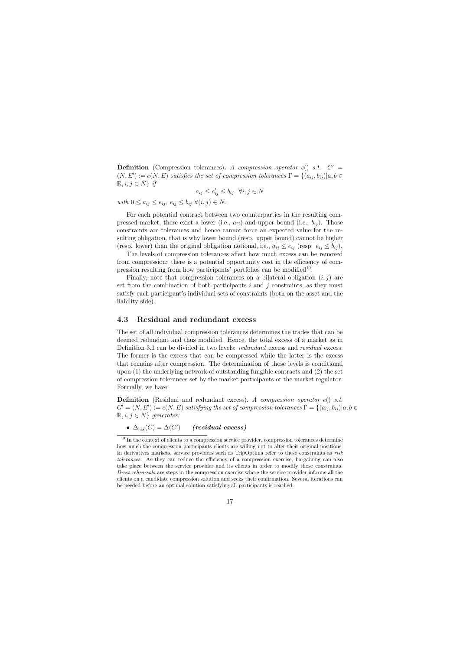**Definition** (Compression tolerances). A compression operator c() s.t.  $G' =$  $(N, E') := c(N, E)$  satisfies the set of compression tolerances  $\Gamma = \{(a_{ij}, b_{ij}) | a, b \in$  $\mathbb{R}, i, j \in N$  if

$$
a_{ij} \le e'_{ij} \le b_{ij} \quad \forall i, j \in N
$$

with  $0 \leq a_{ij} \leq e_{ij}, e_{ij} \leq b_{ij} \ \forall (i, j) \in N$ .

For each potential contract between two counterparties in the resulting compressed market, there exist a lower (i.e.,  $a_{ij}$ ) and upper bound (i.e.,  $b_{ij}$ ). Those constraints are tolerances and hence cannot force an expected value for the resulting obligation, that is why lower bound (resp. upper bound) cannot be higher (resp. lower) than the original obligation notional, i.e.,  $a_{ij} \leq e_{ij}$  (resp.  $e_{ij} \leq b_{ij}$ ).

The levels of compression tolerances affect how much excess can be removed from compression: there is a potential opportunity cost in the efficiency of compression resulting from how participants' portfolios can be modified<sup>10</sup>.

Finally, note that compression tolerances on a bilateral obligation  $(i, j)$  are set from the combination of both participants  $i$  and  $j$  constraints, as they must satisfy each participant's individual sets of constraints (both on the asset and the liability side).

# 4.3 Residual and redundant excess

The set of all individual compression tolerances determines the trades that can be deemed redundant and thus modified. Hence, the total excess of a market as in Definition 3.1 can be divided in two levels: *redundant* excess and *residual* excess. The former is the excess that can be compressed while the latter is the excess that remains after compression. The determination of those levels is conditional upon (1) the underlying network of outstanding fungible contracts and (2) the set of compression tolerances set by the market participants or the market regulator. Formally, we have:

**Definition** (Residual and redundant excess). A compression operator  $c()$  s.t.  $G' = (N, E') := c(N, E)$  satisfying the set of compression tolerances  $\Gamma = \{(a_{ij}, b_{ij}) | a, b \in$  $\mathbb{R}, i, j \in N$  generates:

 $\bullet \ \Delta_{res}(G) = \Delta(G') \qquad \text{(residual excess)}$ 

 $10$ In the context of clients to a compression service provider, compression tolerances determine how much the compression participants clients are willing not to alter their original positions. In derivatives markets, service providers such as TripOptima refer to these constraints as risk tolerances. As they can reduce the efficiency of a compression exercise, bargaining can also take place between the service provider and its clients in order to modify those constraints. Dress rehearsals are steps in the compression exercise where the service provider informs all the clients on a candidate compression solution and seeks their confirmation. Several iterations can be needed before an optimal solution satisfying all participants is reached.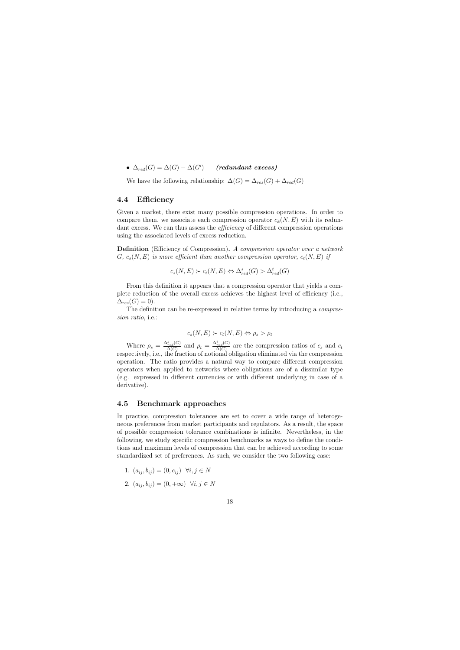$\bullet \ \Delta_{red}(G) = \Delta(G) - \Delta(G') \quad \quad (redundant \ excess)$ 

We have the following relationship:  $\Delta(G) = \Delta_{res}(G) + \Delta_{red}(G)$ 

# 4.4 Efficiency

Given a market, there exist many possible compression operations. In order to compare them, we associate each compression operator  $c_k(N, E)$  with its redundant excess. We can thus assess the *efficiency* of different compression operations using the associated levels of excess reduction.

Definition (Efficiency of Compression). A compression operator over a network G,  $c_s(N, E)$  is more efficient than another compression operator,  $c_t(N, E)$  if

$$
c_s(N, E) \succ c_t(N, E) \Leftrightarrow \Delta_{red}^s(G) > \Delta_{red}^t(G)
$$

From this definition it appears that a compression operator that yields a complete reduction of the overall excess achieves the highest level of efficiency (i.e.,  $\Delta_{res}(G) = 0.$ 

The definition can be re-expressed in relative terms by introducing a compression ratio, i.e.:

$$
c_s(N, E) \succ c_t(N, E) \Leftrightarrow \rho_s > \rho_t
$$

Where  $\rho_s = \frac{\Delta_{red}^s(G)}{\Delta(G)}$  $\frac{\Delta_{red}^s(G)}{\Delta(G)}$  and  $\rho_t = \frac{\Delta_{red}^t(G)}{\Delta(G)}$  $\frac{C_{red}(G)}{\Delta(G)}$  are the compression ratios of  $c_s$  and  $c_t$ respectively, i.e., the fraction of notional obligation eliminated via the compression operation. The ratio provides a natural way to compare different compression operators when applied to networks where obligations are of a dissimilar type (e.g. expressed in different currencies or with different underlying in case of a derivative).

## 4.5 Benchmark approaches

In practice, compression tolerances are set to cover a wide range of heterogeneous preferences from market participants and regulators. As a result, the space of possible compression tolerance combinations is infinite. Nevertheless, in the following, we study specific compression benchmarks as ways to define the conditions and maximum levels of compression that can be achieved according to some standardized set of preferences. As such, we consider the two following case:

1. 
$$
(a_{ij}, b_{ij}) = (0, e_{ij}) \quad \forall i, j \in N
$$

2.  $(a_{ij}, b_{ij}) = (0, +\infty) \ \forall i, j \in N$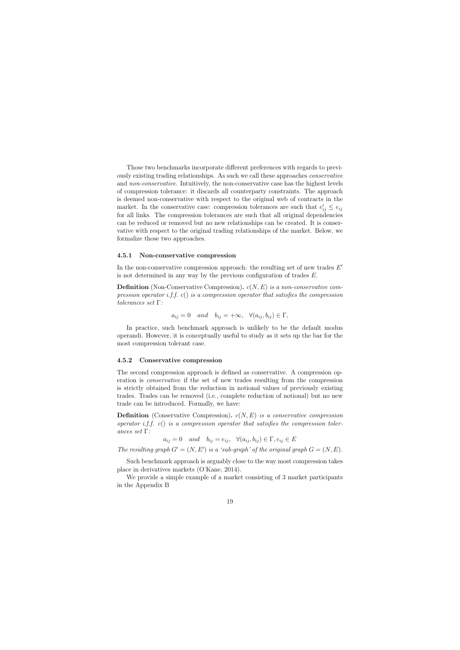Those two benchmarks incorporate different preferences with regards to previously existing trading relationships. As such we call these approaches conservative and non-conservative. Intuitively, the non-conservative case has the highest levels of compression tolerance: it discards all counterparty constraints. The approach is deemed non-conservative with respect to the original web of contracts in the market. In the conservative case: compression tolerances are such that  $e'_{ij} \leq e_{ij}$ for all links. The compression tolerances are such that all original dependencies can be reduced or removed but no new relationships can be created. It is conservative with respect to the original trading relationships of the market. Below, we formalize those two approaches.

#### 4.5.1 Non-conservative compression

In the non-conservative compression approach: the resulting set of new trades  $E'$ is not determined in any way by the previous configuration of trades  $E$ .

**Definition** (Non-Conservative Compression).  $c(N, E)$  is a non-conservative compression operator i.f.f.  $c()$  is a compression operator that satisfies the compression tolerances set Γ:

$$
a_{ij} = 0
$$
 and  $b_{ij} = +\infty$ ,  $\forall (a_{ij}, b_{ij}) \in \Gamma$ ,

In practice, such benchmark approach is unlikely to be the default modus operandi. However, it is conceptually useful to study as it sets up the bar for the most compression tolerant case.

#### 4.5.2 Conservative compression

The second compression approach is defined as conservative. A compression operation is conservative if the set of new trades resulting from the compression is strictly obtained from the reduction in notional values of previously existing trades. Trades can be removed (i.e., complete reduction of notional) but no new trade can be introduced. Formally, we have:

**Definition** (Conservative Compression).  $c(N, E)$  is a conservative compression operator i.f.f. c() is a compression operator that satisfies the compression tolerances set Γ:

 $a_{ij} = 0$  and  $b_{ij} = e_{ij}$ ,  $\forall (a_{ij}, b_{ij}) \in \Gamma, e_{ij} \in E$ 

The resulting graph  $G' = (N, E')$  is a 'sub-graph' of the original graph  $G = (N, E)$ .

Such benchmark approach is arguably close to the way most compression takes place in derivatives markets (O'Kane, 2014).

We provide a simple example of a market consisting of 3 market participants in the Appendix B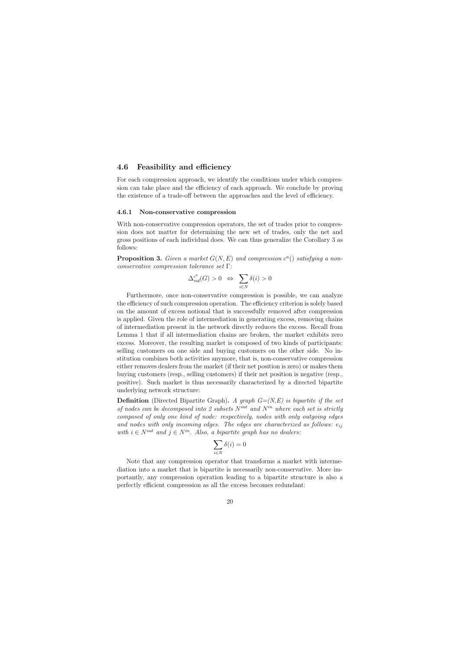## 4.6 Feasibility and efficiency

For each compression approach, we identify the conditions under which compression can take place and the efficiency of each approach. We conclude by proving the existence of a trade-off between the approaches and the level of efficiency.

#### 4.6.1 Non-conservative compression

With non-conservative compression operators, the set of trades prior to compression does not matter for determining the new set of trades, only the net and gross positions of each individual does. We can thus generalize the Corollary 3 as follows:

**Proposition 3.** Given a market  $G(N, E)$  and compression  $c^n()$  satisfying a nonconservative compression tolerance set Γ:

$$
\Delta_{red}^{c^n}(G) > 0 \Leftrightarrow \sum_{i \in N} \delta(i) > 0
$$

Furthermore, once non-conservative compression is possible, we can analyze the efficiency of such compression operation. The efficiency criterion is solely based on the amount of excess notional that is successfully removed after compression is applied. Given the role of intermediation in generating excess, removing chains of intermediation present in the network directly reduces the excess. Recall from Lemma 1 that if all intermediation chains are broken, the market exhibits zero excess. Moreover, the resulting market is composed of two kinds of participants: selling customers on one side and buying customers on the other side. No institution combines both activities anymore, that is, non-conservative compression either removes dealers from the market (if their net position is zero) or makes them buying customers (resp., selling customers) if their net position is negative (resp., positive). Such market is thus necessarily characterized by a directed bipartite underlying network structure:

**Definition** (Directed Bipartite Graph). A graph  $G=(N,E)$  is bipartite if the set of nodes can be decomposed into 2 subsets  $N^{out}$  and  $N^{in}$  where each set is strictly composed of only one kind of node: respectively, nodes with only outgoing edges and nodes with only incoming edges. The edges are characterized as follows:  $e_{ij}$ with  $i \in N^{out}$  and  $j \in N^{in}$ . Also, a bipartite graph has no dealers:

$$
\sum_{i\in N}\delta(i)=0
$$

Note that any compression operator that transforms a market with intermediation into a market that is bipartite is necessarily non-conservative. More importantly, any compression operation leading to a bipartite structure is also a perfectly efficient compression as all the excess becomes redundant: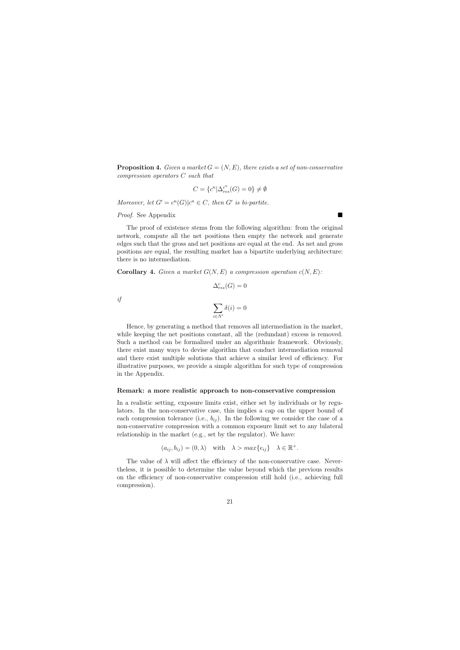**Proposition 4.** Given a market  $G = (N, E)$ , there exists a set of non-conservative compression operators C such that

$$
C = \{c^n | \Delta_{res}^{c^n}(G) = 0\} \neq \emptyset
$$

Moreover, let  $G' = c^n(G) | c^n \in C$ , then G' is bi-partite.

Proof. See Appendix

The proof of existence stems from the following algorithm: from the original network, compute all the net positions then empty the network and generate edges such that the gross and net positions are equal at the end. As net and gross positions are equal, the resulting market has a bipartite underlying architecture: there is no intermediation.

**Corollary 4.** Given a market  $G(N, E)$  a compression operation  $c(N, E)$ :

 $\Delta_{res}^c(G) = 0$ 

if

$$
\sum_{i\in N'} \delta(i)=0
$$

Hence, by generating a method that removes all intermediation in the market, while keeping the net positions constant, all the (redundant) excess is removed. Such a method can be formalized under an algorithmic framework. Obviously, there exist many ways to devise algorithm that conduct intermediation removal and there exist multiple solutions that achieve a similar level of efficiency. For illustrative purposes, we provide a simple algorithm for such type of compression in the Appendix.

#### Remark: a more realistic approach to non-conservative compression

In a realistic setting, exposure limits exist, either set by individuals or by regulators. In the non-conservative case, this implies a cap on the upper bound of each compression tolerance (i.e.,  $b_{ij}$ ). In the following we consider the case of a non-conservative compression with a common exposure limit set to any bilateral relationship in the market (e.g., set by the regulator). We have:

$$
(a_{ij}, b_{ij}) = (0, \lambda)
$$
 with  $\lambda > max\{e_{ij}\}\quad \lambda \in \mathbb{R}^+$ .

The value of  $\lambda$  will affect the efficiency of the non-conservative case. Nevertheless, it is possible to determine the value beyond which the previous results on the efficiency of non-conservative compression still hold (i.e., achieving full compression).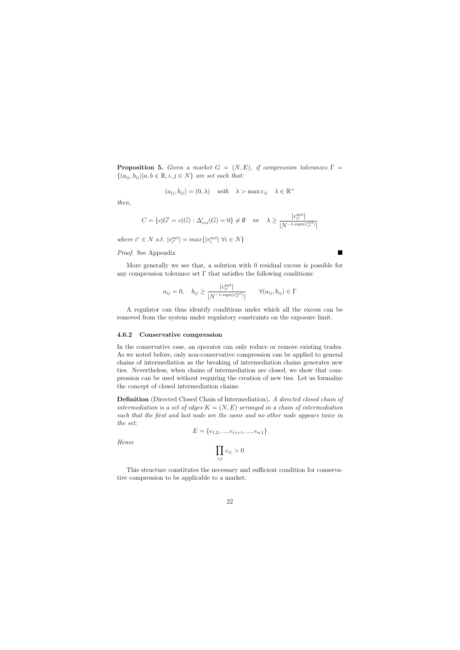**Proposition 5.** Given a market  $G = (N, E)$ , if compression tolerances  $\Gamma$  $\{(a_{ij}, b_{ij}) | a, b \in \mathbb{R}, i, j \in N\}$  are set such that:

$$
(a_{ij}, b_{ij}) = (0, \lambda) \quad \text{with} \quad \lambda > \max e_{ij} \quad \lambda \in \mathbb{R}^+
$$

then,

$$
C = \{c | G' = c(G) : \Delta_{res}^c(G) = 0\} \neq \emptyset \quad \Leftrightarrow \quad \lambda \ge \frac{|v_{i^*}^{net}|}{|N^{-1} \cdot sign(v_{i^*}^{net})|}
$$

where  $i^* \in N$  s.t.  $|v_{i^*}^{net}| = max\{|v_i^{net}| \; \forall i \in N\}$ 

#### Proof. See Appendix

More generally we see that, a solution with 0 residual excess is possible for any compression tolerance set  $\Gamma$  that satisfies the following conditions:

$$
a_{ij} = 0, \quad b_{ij} \ge \frac{|v_{i^*}^{net}|}{|N^{-1 \cdot sign(v_{i^*}^{net})}|} \qquad \forall (a_{ij}, b_{ij}) \in \Gamma
$$

A regulator can thus identify conditions under which all the excess can be removed from the system under regulatory constraints on the exposure limit.

#### 4.6.2 Conservative compression

In the conservative case, an operator can only reduce or remove existing trades. As we noted before, only non-conservative compression can be applied to general chains of intermediation as the breaking of intermediation chains generates new ties. Nevertheless, when chains of intermediation are closed, we show that compression can be used without requiring the creation of new ties. Let us formalize the concept of closed intermediation chains:

Definition (Directed Closed Chain of Intermediation). A directed closed chain of intermediation is a set of edges  $K = (N, E)$  arranged in a chain of intermediation such that the first and last node are the same and no other node appears twice in the set:

$$
E = \{e_{1,2}, ..., e_{i,i+1}, ..., e_{n,1}\}
$$

Hence

$$
\prod_{i,j} e_{ij} > 0
$$

This structure constitutes the necessary and sufficient condition for conservative compression to be applicable to a market: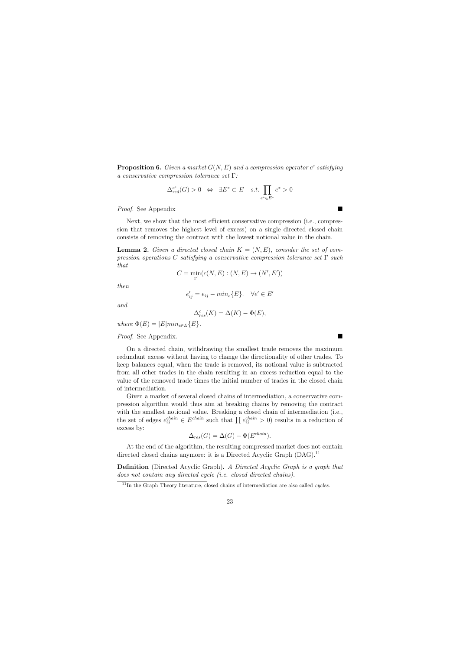**Proposition 6.** Given a market  $G(N, E)$  and a compression operator  $c^c$  satisfying a conservative compression tolerance set Γ:

$$
\Delta_{red}^{c^c}(G) > 0 \Leftrightarrow \exists E^* \subset E \quad s.t. \prod_{e^* \in E^*} e^* > 0
$$

Proof. See Appendix

Next, we show that the most efficient conservative compression (i.e., compression that removes the highest level of excess) on a single directed closed chain consists of removing the contract with the lowest notional value in the chain.

**Lemma 2.** Given a directed closed chain  $K = (N, E)$ , consider the set of compression operations C satisfying a conservative compression tolerance set  $\Gamma$  such that

$$
C = \min_{x'} (c(N, E) : (N, E) \rightarrow (N', E'))
$$

then

$$
e'_{ij} = e_{ij} - \min_{e} \{ E \}. \quad \forall e' \in E'
$$

and

$$
\Delta_{res}^c(K) = \Delta(K) - \Phi(E),
$$

where  $\Phi(E) = |E| min_{e \in E} \{E\}.$ 

Proof. See Appendix.

On a directed chain, withdrawing the smallest trade removes the maximum redundant excess without having to change the directionality of other trades. To keep balances equal, when the trade is removed, its notional value is subtracted from all other trades in the chain resulting in an excess reduction equal to the value of the removed trade times the initial number of trades in the closed chain of intermediation.

Given a market of several closed chains of intermediation, a conservative compression algorithm would thus aim at breaking chains by removing the contract with the smallest notional value. Breaking a closed chain of intermediation (i.e., the set of edges  $e_{ij}^{chain} \in E^{chain}$  such that  $\prod e_{ij}^{chain} > 0$  results in a reduction of excess by:

$$
\Delta_{res}(G) = \Delta(G) - \Phi(E^{chain}).
$$

At the end of the algorithm, the resulting compressed market does not contain directed closed chains anymore: it is a Directed Acyclic Graph (DAG).<sup>11</sup>

Definition (Directed Acyclic Graph). A Directed Acyclic Graph is a graph that does not contain any directed cycle (i.e. closed directed chains).

 $11$ In the Graph Theory literature, closed chains of intermediation are also called *cycles*.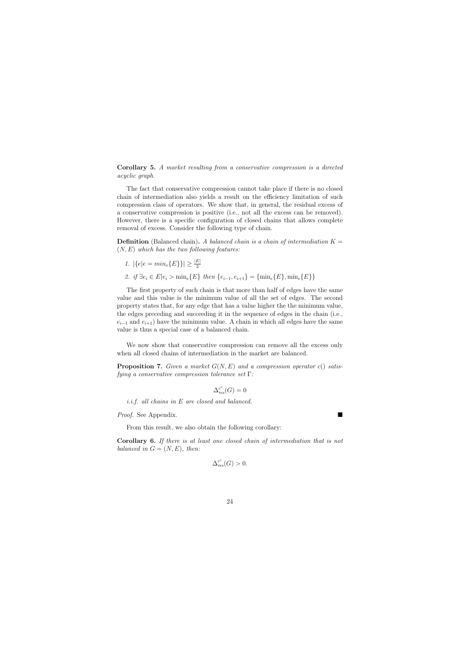Corollary 5. A market resulting from a conservative compression is a directed acyclic graph.

The fact that conservative compression cannot take place if there is no closed chain of intermediation also yields a result on the efficiency limitation of such compression class of operators. We show that, in general, the residual excess of a conservative compression is positive (i.e., not all the excess can be removed). However, there is a specific configuration of closed chains that allows complete removal of excess. Consider the following type of chain.

**Definition** (Balanced chain). A balanced chain is a chain of intermediation  $K =$  $(N, E)$  which has the two following features:

\n- 1. 
$$
|\{e|e = \min_e\{E\}\}| \ge \frac{|E|}{2}
$$
\n- 2.  $if \exists e_i \in E | e_i > \min_e\{E\} \ then \{e_{i-1}, e_{i+1}\} = \{\min_e\{E\}, \min_e\{E\}\}$
\n

The first property of such chain is that more than half of edges have the same value and this value is the minimum value of all the set of edges. The second property states that, for any edge that has a value higher the the minimum value, the edges preceding and succeeding it in the sequence of edges in the chain (i.e.,  $e_{i-1}$  and  $e_{i+1}$ ) have the minimum value. A chain in which all edges have the same value is thus a special case of a balanced chain.

We now show that conservative compression can remove all the excess only when all closed chains of intermediation in the market are balanced.

**Proposition 7.** Given a market  $G(N, E)$  and a compression operator c() satisfying a conservative compression tolerance set Γ:

$$
\Delta_{res}^{c^c}(G) = 0
$$

i.i.f. all chains in E are closed and balanced.

Proof. See Appendix.

From this result, we also obtain the following corollary:

Corollary 6. If there is at least one closed chain of intermediation that is not balanced in  $G = (N, E)$ , then:

$$
\Delta_{res}^{c^c}(G) > 0.
$$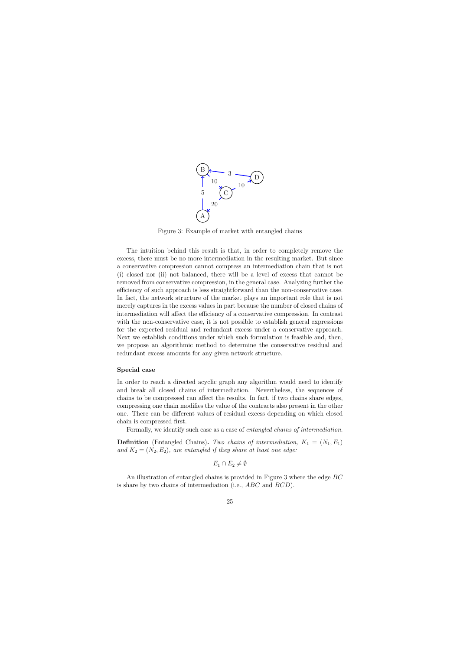

Figure 3: Example of market with entangled chains

The intuition behind this result is that, in order to completely remove the excess, there must be no more intermediation in the resulting market. But since a conservative compression cannot compress an intermediation chain that is not (i) closed nor (ii) not balanced, there will be a level of excess that cannot be removed from conservative compression, in the general case. Analyzing further the efficiency of such approach is less straightforward than the non-conservative case. In fact, the network structure of the market plays an important role that is not merely captures in the excess values in part because the number of closed chains of intermediation will affect the efficiency of a conservative compression. In contrast with the non-conservative case, it is not possible to establish general expressions for the expected residual and redundant excess under a conservative approach. Next we establish conditions under which such formulation is feasible and, then, we propose an algorithmic method to determine the conservative residual and redundant excess amounts for any given network structure.

#### Special case

In order to reach a directed acyclic graph any algorithm would need to identify and break all closed chains of intermediation. Nevertheless, the sequences of chains to be compressed can affect the results. In fact, if two chains share edges, compressing one chain modifies the value of the contracts also present in the other one. There can be different values of residual excess depending on which closed chain is compressed first.

Formally, we identify such case as a case of entangled chains of intermediation.

**Definition** (Entangled Chains). Two chains of intermediation,  $K_1 = (N_1, E_1)$ and  $K_2 = (N_2, E_2)$ , are entangled if they share at least one edge:

 $E_1 \cap E_2 \neq \emptyset$ 

An illustration of entangled chains is provided in Figure 3 where the edge BC is share by two chains of intermediation (i.e., ABC and BCD).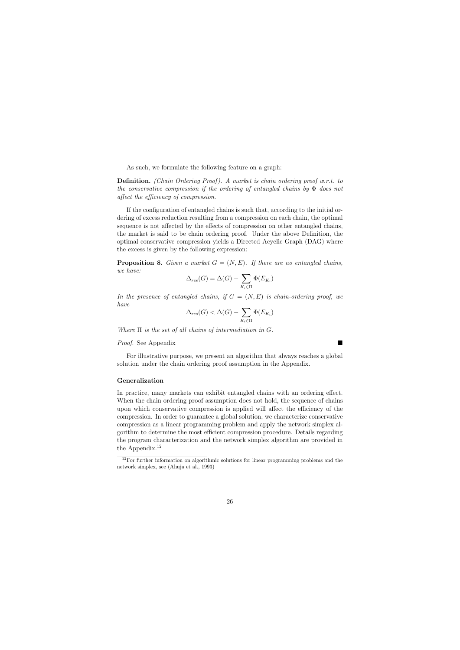As such, we formulate the following feature on a graph:

**Definition.** (Chain Ordering Proof). A market is chain ordering proof w.r.t. to the conservative compression if the ordering of entangled chains by  $\Phi$  does not affect the efficiency of compression.

If the configuration of entangled chains is such that, according to the initial ordering of excess reduction resulting from a compression on each chain, the optimal sequence is not affected by the effects of compression on other entangled chains, the market is said to be chain ordering proof. Under the above Definition, the optimal conservative compression yields a Directed Acyclic Graph (DAG) where the excess is given by the following expression:

**Proposition 8.** Given a market  $G = (N, E)$ . If there are no entangled chains, we have:

$$
\Delta_{res}(G) = \Delta(G) - \sum_{K_i \in \Pi} \Phi(E_{K_i})
$$

In the presence of entangled chains, if  $G = (N, E)$  is chain-ordering proof, we have

$$
\Delta_{res}(G) < \Delta(G) - \sum_{K_i \in \Pi} \Phi(E_{K_i})
$$

Where  $\Pi$  is the set of all chains of intermediation in  $G$ .

#### Proof. See Appendix

For illustrative purpose, we present an algorithm that always reaches a global solution under the chain ordering proof assumption in the Appendix.

#### Generalization

In practice, many markets can exhibit entangled chains with an ordering effect. When the chain ordering proof assumption does not hold, the sequence of chains upon which conservative compression is applied will affect the efficiency of the compression. In order to guarantee a global solution, we characterize conservative compression as a linear programming problem and apply the network simplex algorithm to determine the most efficient compression procedure. Details regarding the program characterization and the network simplex algorithm are provided in the Appendix.<sup>12</sup>

 $12$ For further information on algorithmic solutions for linear programming problems and the network simplex, see (Ahuja et al., 1993)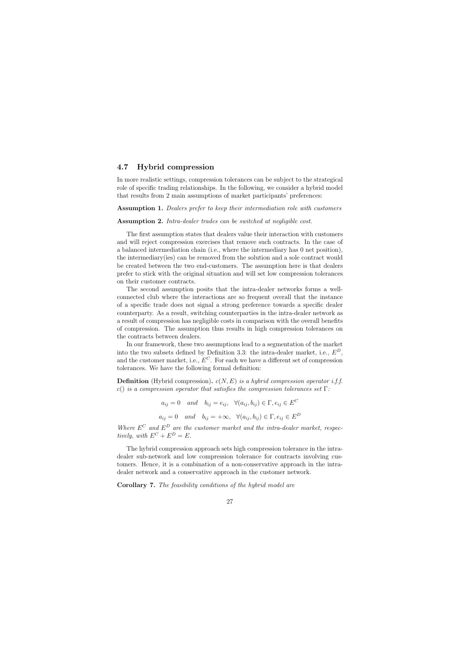# 4.7 Hybrid compression

In more realistic settings, compression tolerances can be subject to the strategical role of specific trading relationships. In the following, we consider a hybrid model that results from 2 main assumptions of market participants' preferences:

**Assumption 1.** Dealers prefer to keep their intermediation role with customers

Assumption 2. Intra-dealer trades can be switched at negligible cost.

The first assumption states that dealers value their interaction with customers and will reject compression exercises that remove such contracts. In the case of a balanced intermediation chain (i.e., where the intermediary has 0 net position), the intermediary(ies) can be removed from the solution and a sole contract would be created between the two end-customers. The assumption here is that dealers prefer to stick with the original situation and will set low compression tolerances on their customer contracts.

The second assumption posits that the intra-dealer networks forms a wellconnected club where the interactions are so frequent overall that the instance of a specific trade does not signal a strong preference towards a specific dealer counterparty. As a result, switching counterparties in the intra-dealer network as a result of compression has negligible costs in comparison with the overall benefits of compression. The assumption thus results in high compression tolerances on the contracts between dealers.

In our framework, these two assumptions lead to a segmentation of the market into the two subsets defined by Definition 3.3: the intra-dealer market, i.e.,  $E^D$ , and the customer market, i.e.,  $E^C$ . For each we have a different set of compression tolerances. We have the following formal definition:

**Definition** (Hybrid compression).  $c(N, E)$  is a hybrid compression operator i.f.f. c() is a compression operator that satisfies the compression tolerances set  $\Gamma$ :

> $a_{ij} = 0$  and  $b_{ij} = e_{ij}, \forall (a_{ij}, b_{ij}) \in \Gamma, e_{ij} \in E^C$  $a_{ij} = 0$  and  $b_{ij} = +\infty$ ,  $\forall (a_{ij}, b_{ij}) \in \Gamma, e_{ij} \in E^D$

Where  $E^C$  and  $E^D$  are the customer market and the intra-dealer market, respectively, with  $E^C + E^D = E$ .

The hybrid compression approach sets high compression tolerance in the intradealer sub-network and low compression tolerance for contracts involving customers. Hence, it is a combination of a non-conservative approach in the intradealer network and a conservative approach in the customer network.

Corollary 7. The feasibility conditions of the hybrid model are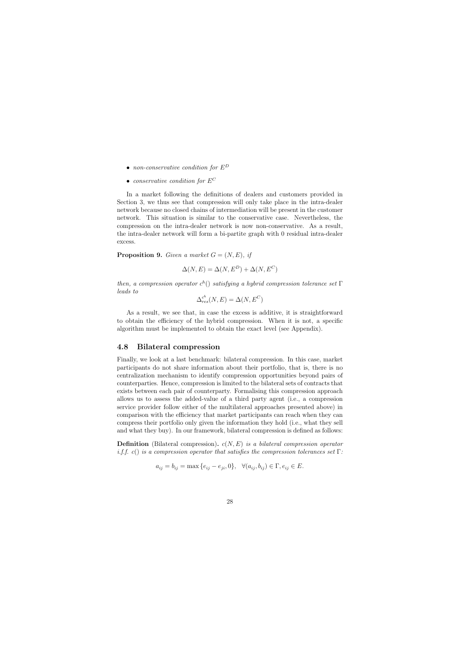- non-conservative condition for  $E^D$
- conservative condition for  $E^C$

In a market following the definitions of dealers and customers provided in Section 3, we thus see that compression will only take place in the intra-dealer network because no closed chains of intermediation will be present in the customer network. This situation is similar to the conservative case. Nevertheless, the compression on the intra-dealer network is now non-conservative. As a result, the intra-dealer network will form a bi-partite graph with 0 residual intra-dealer excess.

**Proposition 9.** Given a market  $G = (N, E)$ , if

$$
\Delta(N, E) = \Delta(N, E^D) + \Delta(N, E^C)
$$

then, a compression operator  $c^h()$  satisfying a hybrid compression tolerance set  $\Gamma$ leads to

$$
\Delta_{res}^{c^h}(N, E) = \Delta(N, E^C)
$$

As a result, we see that, in case the excess is additive, it is straightforward to obtain the efficiency of the hybrid compression. When it is not, a specific algorithm must be implemented to obtain the exact level (see Appendix).

# 4.8 Bilateral compression

Finally, we look at a last benchmark: bilateral compression. In this case, market participants do not share information about their portfolio, that is, there is no centralization mechanism to identify compression opportunities beyond pairs of counterparties. Hence, compression is limited to the bilateral sets of contracts that exists between each pair of counterparty. Formalising this compression approach allows us to assess the added-value of a third party agent (i.e., a compression service provider follow either of the multilateral approaches presented above) in comparison with the efficiency that market participants can reach when they can compress their portfolio only given the information they hold (i.e., what they sell and what they buy). In our framework, bilateral compression is defined as follows:

**Definition** (Bilateral compression).  $c(N, E)$  is a bilateral compression operator i.f. c() is a compression operator that satisfies the compression tolerances set  $\Gamma$ :

$$
a_{ij} = b_{ij} = \max\{e_{ij} - e_{ji}, 0\}, \quad \forall (a_{ij}, b_{ij}) \in \Gamma, e_{ij} \in E.
$$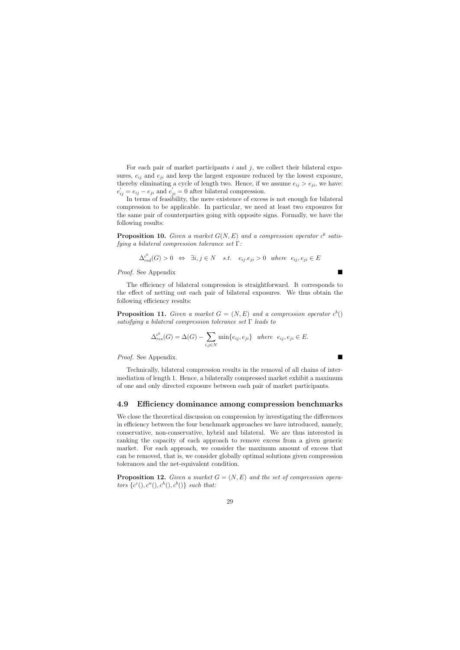For each pair of market participants  $i$  and  $j$ , we collect their bilateral exposures,  $e_{ii}$  and  $e_{ii}$  and keep the largest exposure reduced by the lowest exposure, thereby eliminating a cycle of length two. Hence, if we assume  $e_{ij} > e_{ji}$ , we have:  $e'_{ij} = e_{ij} - e_{ji}$  and  $e'_{ji} = 0$  after bilateral compression.

In terms of feasibility, the mere existence of excess is not enough for bilateral compression to be applicable. In particular, we need at least two exposures for the same pair of counterparties going with opposite signs. Formally, we have the following results:

**Proposition 10.** Given a market  $G(N, E)$  and a compression operator  $c^b$  satisfying a bilateral compression tolerance set Γ:

$$
\Delta_{red}^{c^b}(G) > 0 \Leftrightarrow \exists i, j \in N \quad s.t. \quad e_{ij}.e_{ji} > 0 \quad where \quad e_{ij}, e_{ji} \in E
$$

Proof. See Appendix

The efficiency of bilateral compression is straightforward. It corresponds to the effect of netting out each pair of bilateral exposures. We thus obtain the following efficiency results:

**Proposition 11.** Given a market  $G = (N, E)$  and a compression operator  $c^b()$ satisfying a bilateral compression tolerance set  $\Gamma$  leads to

$$
\Delta_{res}^{c^b}(G) = \Delta(G) - \sum_{i,j \in N} \min\{e_{ij}, e_{ji}\} \quad where \quad e_{ij}, e_{ji} \in E.
$$

Proof. See Appendix.

Technically, bilateral compression results in the removal of all chains of intermediation of length 1. Hence, a bilaterally compressed market exhibit a maximum of one and only directed exposure between each pair of market participants.

# 4.9 Efficiency dominance among compression benchmarks

We close the theoretical discussion on compression by investigating the differences in efficiency between the four benchmark approaches we have introduced, namely, conservative, non-conservative, hybrid and bilateral. We are thus interested in ranking the capacity of each approach to remove excess from a given generic market. For each approach, we consider the maximum amount of excess that can be removed, that is, we consider globally optimal solutions given compression tolerances and the net-equivalent condition.

**Proposition 12.** Given a market  $G = (N, E)$  and the set of compression operators  $\{c^c(), c^n(), c^h(), c^b()\}$  such that: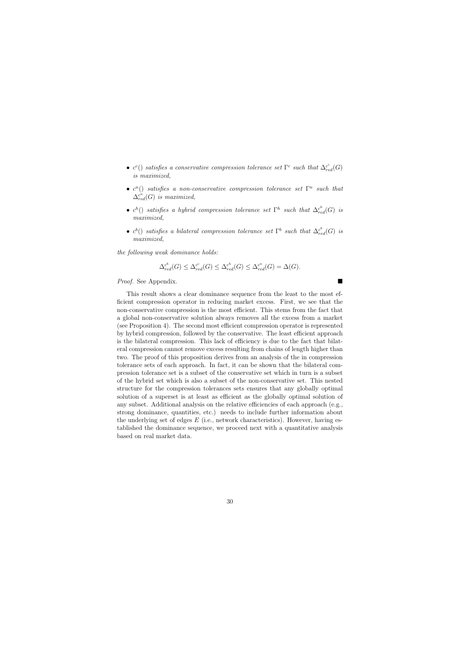- $c^c$ ) satisfies a conservative compression tolerance set  $\Gamma^c$  such that  $\Delta_{red}^{c^c}(G)$ is maximized,
- $c^n()$  satisfies a non-conservative compression tolerance set  $\Gamma^n$  such that  $\Delta_{red}^{c^n}(G)$  is maximized,
- $c^h$ () satisfies a hybrid compression tolerance set  $\Gamma^h$  such that  $\Delta_{red}^{c^h}(G)$  is maximized,
- $c^b$ () satisfies a bilateral compression tolerance set  $\Gamma^b$  such that  $\Delta_{red}^{c^b}(G)$  is maximized,

the following weak dominance holds:

$$
\Delta_{red}^{c^b}(G) \leq \Delta_{red}^{c^c}(G) \leq \Delta_{red}^{c^h}(G) \leq \Delta_{red}^{c^n}(G) = \Delta(G).
$$

Proof. See Appendix.

This result shows a clear dominance sequence from the least to the most efficient compression operator in reducing market excess. First, we see that the non-conservative compression is the most efficient. This stems from the fact that a global non-conservative solution always removes all the excess from a market (see Proposition 4). The second most efficient compression operator is represented by hybrid compression, followed by the conservative. The least efficient approach is the bilateral compression. This lack of efficiency is due to the fact that bilateral compression cannot remove excess resulting from chains of length higher than two. The proof of this proposition derives from an analysis of the in compression tolerance sets of each approach. In fact, it can be shown that the bilateral compression tolerance set is a subset of the conservative set which in turn is a subset of the hybrid set which is also a subset of the non-conservative set. This nested structure for the compression tolerances sets ensures that any globally optimal solution of a superset is at least as efficient as the globally optimal solution of any subset. Additional analysis on the relative efficiencies of each approach (e.g., strong dominance, quantities, etc.) needs to include further information about the underlying set of edges  $E$  (i.e., network characteristics). However, having established the dominance sequence, we proceed next with a quantitative analysis based on real market data.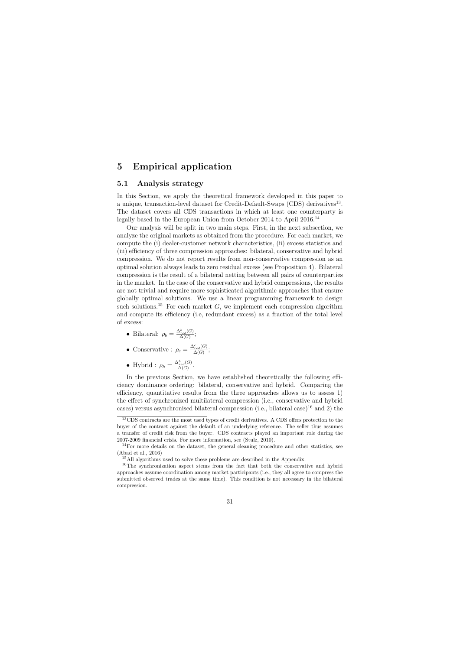# 5 Empirical application

# 5.1 Analysis strategy

In this Section, we apply the theoretical framework developed in this paper to a unique, transaction-level dataset for Credit-Default-Swaps (CDS) derivatives<sup>13</sup>. The dataset covers all CDS transactions in which at least one counterparty is legally based in the European Union from October 2014 to April 2016.<sup>14</sup>

Our analysis will be split in two main steps. First, in the next subsection, we analyze the original markets as obtained from the procedure. For each market, we compute the (i) dealer-customer network characteristics, (ii) excess statistics and (iii) efficiency of three compression approaches: bilateral, conservative and hybrid compression. We do not report results from non-conservative compression as an optimal solution always leads to zero residual excess (see Proposition 4). Bilateral compression is the result of a bilateral netting between all pairs of counterparties in the market. In the case of the conservative and hybrid compressions, the results are not trivial and require more sophisticated algorithmic approaches that ensure globally optimal solutions. We use a linear programming framework to design such solutions.<sup>15</sup> For each market  $G$ , we implement each compression algorithm and compute its efficiency (i.e, redundant excess) as a fraction of the total level of excess:

• Bilateral:  $\rho_b = \frac{\Delta_{red}^b(G)}{\Delta(G)}$  $\frac{\Delta_{red}(G)}{\Delta(G)}$ ;

• Conservative : 
$$
\rho_c = \frac{\Delta_{red}^c(G)}{\Delta(G)}
$$
;

• Hybrid :  $\rho_h = \frac{\Delta_{red}^h(G)}{\Delta(G)}$  $\frac{\Gamma_{red}(G)}{\Delta(G)}$ .

In the previous Section, we have established theoretically the following efficiency dominance ordering: bilateral, conservative and hybrid. Comparing the efficiency, quantitative results from the three approaches allows us to assess 1) the effect of synchronized multilateral compression (i.e., conservative and hybrid cases) versus asynchronised bilateral compression (i.e., bilateral case)<sup>16</sup> and 2) the

<sup>&</sup>lt;sup>13</sup>CDS contracts are the most used types of credit derivatives. A CDS offers protection to the buyer of the contract against the default of an underlying reference. The seller thus assumes a transfer of credit risk from the buyer. CDS contracts played an important role during the 2007-2009 financial crisis. For more information, see (Stulz, 2010).

 $14$ For more details on the dataset, the general cleaning procedure and other statistics, see (Abad et al., 2016)

<sup>&</sup>lt;sup>15</sup>All algorithms used to solve these problems are described in the Appendix.

<sup>&</sup>lt;sup>16</sup>The synchronization aspect stems from the fact that both the conservative and hybrid approaches assume coordination among market participants (i.e., they all agree to compress the submitted observed trades at the same time). This condition is not necessary in the bilateral compression.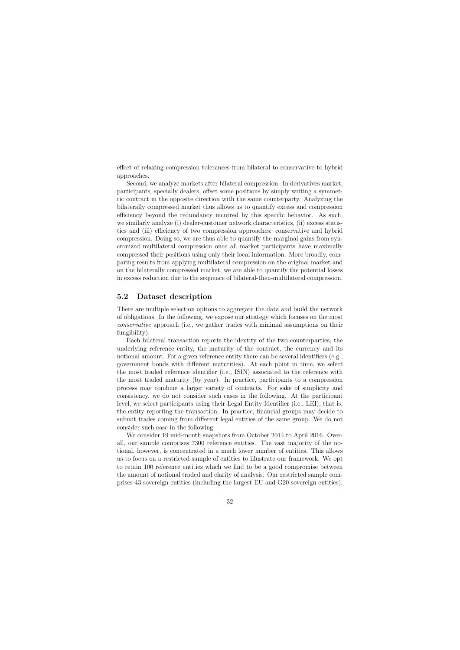effect of relaxing compression tolerances from bilateral to conservative to hybrid approaches.

Second, we analyze markets after bilateral compression. In derivatives market, participants, specially dealers, offset some positions by simply writing a symmetric contract in the opposite direction with the same counterparty. Analyzing the bilaterally compressed market thus allows us to quantify excess and compression efficiency beyond the redundancy incurred by this specific behavior. As such, we similarly analyze (i) dealer-customer network characteristics, (ii) excess statistics and (iii) efficiency of two compression approaches: conservative and hybrid compression. Doing so, we are thus able to quantify the marginal gains from syncronized multilateral compression once all market participants have maximally compressed their positions using only their local information. More broadly, comparing results from applying multilateral compression on the original market and on the bilaterally compressed market, we are able to quantify the potential losses in excess reduction due to the sequence of bilateral-then-multilateral compression.

# 5.2 Dataset description

There are multiple selection options to aggregate the data and build the network of obligations. In the following, we expose our strategy which focuses on the most conservative approach (i.e., we gather trades with minimal assumptions on their fungibility).

Each bilateral transaction reports the identity of the two counterparties, the underlying reference entity, the maturity of the contract, the currency and its notional amount. For a given reference entity there can be several identifiers (e.g., government bonds with different maturities). At each point in time, we select the most traded reference identifier (i.e., ISIN) associated to the reference with the most traded maturity (by year). In practice, participants to a compression process may combine a larger variety of contracts. For sake of simplicity and consistency, we do not consider such cases in the following. At the participant level, we select participants using their Legal Entity Identifier (i.e., LEI), that is, the entity reporting the transaction. In practice, financial groups may decide to submit trades coming from different legal entities of the same group. We do not consider such case in the following.

We consider 19 mid-month snapshots from October 2014 to April 2016. Overall, our sample comprises 7300 reference entities. The vast majority of the notional, however, is concentrated in a much lower number of entities. This allows us to focus on a restricted sample of entities to illustrate our framework. We opt to retain 100 reference entities which we find to be a good compromise between the amount of notional traded and clarity of analysis. Our restricted sample comprises 43 sovereign entities (including the largest EU and G20 sovereign entities),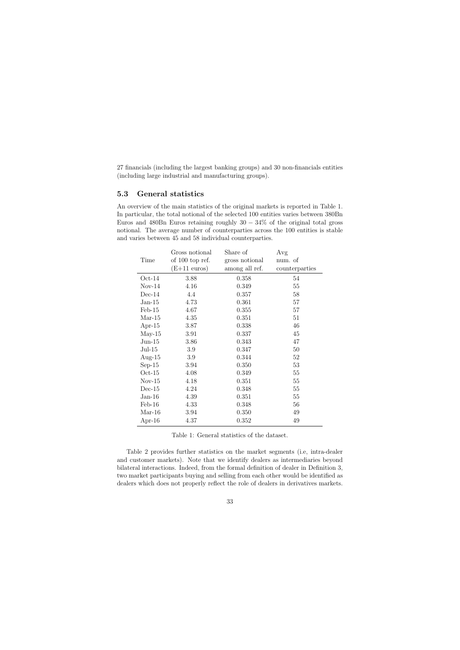27 financials (including the largest banking groups) and 30 non-financials entities (including large industrial and manufacturing groups).

# 5.3 General statistics

An overview of the main statistics of the original markets is reported in Table 1. In particular, the total notional of the selected 100 entities varies between 380Bn Euros and 480Bn Euros retaining roughly  $30 - 34\%$  of the original total gross notional. The average number of counterparties across the 100 entities is stable and varies between 45 and 58 individual counterparties.

|           | Gross notional         | Share of       | Avg            |
|-----------|------------------------|----------------|----------------|
| Time      | of $100$ top ref.      | gross notional | num. of        |
|           | $(E+11 \text{ euros})$ | among all ref. | counterparties |
| $Oct-14$  | 3.88                   | 0.358          | 54             |
| $Nov-14$  | 4.16                   | 0.349          | 55             |
| $Dec-14$  | 4.4                    | 0.357          | 58             |
| $Jan-15$  | 4.73                   | 0.361          | $57\,$         |
| $Feb-15$  | 4.67                   | 0.355          | 57             |
| $Mar-15$  | 4.35                   | 0.351          | 51             |
| Apr- $15$ | 3.87                   | 0.338          | 46             |
| $May-15$  | 3.91                   | 0.337          | 45             |
| $Jun-15$  | 3.86                   | 0.343          | 47             |
| $Jul-15$  | 3.9                    | 0.347          | 50             |
| Aug- $15$ | 3.9                    | 0.344          | $52\,$         |
| $Sep-15$  | 3.94                   | 0.350          | 53             |
| $Oct-15$  | 4.08                   | 0.349          | 55             |
| $Nov-15$  | 4.18                   | 0.351          | 55             |
| $Dec-15$  | 4.24                   | 0.348          | 55             |
| $Jan-16$  | 4.39                   | 0.351          | 55             |
| $Feb-16$  | 4.33                   | 0.348          | 56             |
| $Mar-16$  | 3.94                   | 0.350          | 49             |
| Apr-16    | 4.37                   | 0.352          | 49             |
|           |                        |                |                |

Table 1: General statistics of the dataset.

Table 2 provides further statistics on the market segments (i.e, intra-dealer and customer markets). Note that we identify dealers as intermediaries beyond bilateral interactions. Indeed, from the formal definition of dealer in Definition 3, two market participants buying and selling from each other would be identified as dealers which does not properly reflect the role of dealers in derivatives markets.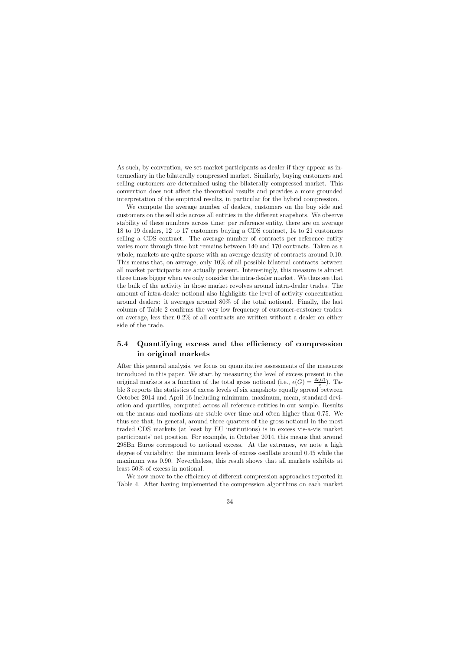As such, by convention, we set market participants as dealer if they appear as intermediary in the bilaterally compressed market. Similarly, buying customers and selling customers are determined using the bilaterally compressed market. This convention does not affect the theoretical results and provides a more grounded interpretation of the empirical results, in particular for the hybrid compression.

We compute the average number of dealers, customers on the buy side and customers on the sell side across all entities in the different snapshots. We observe stability of these numbers across time: per reference entity, there are on average 18 to 19 dealers, 12 to 17 customers buying a CDS contract, 14 to 21 customers selling a CDS contract. The average number of contracts per reference entity varies more through time but remains between 140 and 170 contracts. Taken as a whole, markets are quite sparse with an average density of contracts around 0.10. This means that, on average, only 10% of all possible bilateral contracts between all market participants are actually present. Interestingly, this measure is almost three times bigger when we only consider the intra-dealer market. We thus see that the bulk of the activity in those market revolves around intra-dealer trades. The amount of intra-dealer notional also highlights the level of activity concentration around dealers: it averages around 80% of the total notional. Finally, the last column of Table 2 confirms the very low frequency of customer-customer trades: on average, less then 0.2% of all contracts are written without a dealer on either side of the trade.

## 5.4 Quantifying excess and the efficiency of compression in original markets

After this general analysis, we focus on quantitative assessments of the measures introduced in this paper. We start by measuring the level of excess present in the original markets as a function of the total gross notional (i.e.,  $\epsilon(G) = \frac{\Delta(G)}{x}$ ). Table 3 reports the statistics of excess levels of six snapshots equally spread between October 2014 and April 16 including minimum, maximum, mean, standard deviation and quartiles, computed across all reference entities in our sample. Results on the means and medians are stable over time and often higher than 0.75. We thus see that, in general, around three quarters of the gross notional in the most traded CDS markets (at least by EU institutions) is in excess vis-a-vis market participants' net position. For example, in October 2014, this means that around 298Bn Euros correspond to notional excess. At the extremes, we note a high degree of variability: the minimum levels of excess oscillate around 0.45 while the maximum was 0.90. Nevertheless, this result shows that all markets exhibits at least 50% of excess in notional.

We now move to the efficiency of different compression approaches reported in Table 4. After having implemented the compression algorithms on each market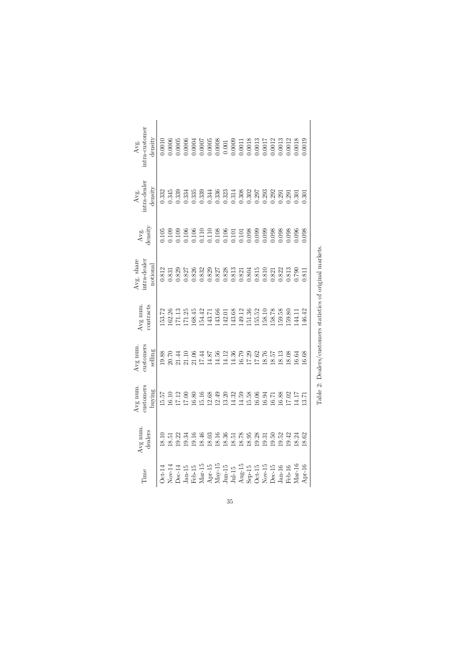| $0.0018$<br>$0.0013$<br>0.0012<br>0.0013<br>0.0018<br>0.0008<br>$\begin{array}{c} 0.001 \\ 0.0009 \end{array}$<br>1.0017<br>0.0012<br>0.0019<br>$0.0011\,$<br>0.336<br>0.323<br>0.308<br>0.302<br>0.293<br>0.292<br>0.314<br>0.297<br>0.291<br>0.291<br>0.301<br>0.301<br>$\begin{array}{c} 0.108 \\ 0.106 \\ 0.101 \end{array}$<br>$0.101$<br>$0.098$<br>0.098<br>0.098<br>0.098<br>0.099<br>0.099<br>0.098<br>0.096<br>$\begin{array}{c} 0.827 \\ 0.828 \\ 0.813 \end{array}$<br>$0.804\,$<br>0.815<br>0.822<br>0.813<br>0.821<br>0.810<br>$0.821\,$<br>0.790<br>0.811<br>158.78<br>159.58<br>143.66<br>143.68<br>149.12<br>151.36<br>155.52<br>159.80<br>146.42<br>158.10<br>142.01<br>144.11<br>4.12<br>4.36<br>8.76<br>8.13<br>8.08<br>6.68<br>4.56<br>6.79<br>8.57<br>7.29<br>.7.62<br>6.64 | Avg num.<br>dealers<br>18.10<br>19.22<br>19.16<br>18.46<br>19.34<br>18.03<br>18.51 | customers<br>Avg num<br>buying<br>15.57<br>15.16<br>17.12<br>17.00<br>16.80<br>16.10 | customers<br>Avg num<br>selling<br>19.88<br>21.44<br>21.06<br>7.44<br>20.70<br>21.10 | contracts<br>Avg num.<br>153.72<br>171.25<br>162.26<br>171.13<br>168.45<br>154.42 | intra-dealer<br>Avg. share<br>notional<br>0.812<br>0.829<br>0.826<br>0.832<br>0.827<br>0.831 | density<br>0.105<br>0.109<br>0.106<br>0.109<br>0.106<br>0.110<br>Avg. | $Avg.$ intra-dealer<br>density<br>0.345<br>0.332<br>1.339<br>0.335<br>1.339<br>0.334 | intra-customer<br>density<br>0.0005<br>0.0010<br>0.0006<br>0.0006<br>0.0007<br>0.0004<br>Avg. |
|---------------------------------------------------------------------------------------------------------------------------------------------------------------------------------------------------------------------------------------------------------------------------------------------------------------------------------------------------------------------------------------------------------------------------------------------------------------------------------------------------------------------------------------------------------------------------------------------------------------------------------------------------------------------------------------------------------------------------------------------------------------------------------------------------|------------------------------------------------------------------------------------|--------------------------------------------------------------------------------------|--------------------------------------------------------------------------------------|-----------------------------------------------------------------------------------|----------------------------------------------------------------------------------------------|-----------------------------------------------------------------------|--------------------------------------------------------------------------------------|-----------------------------------------------------------------------------------------------|
|                                                                                                                                                                                                                                                                                                                                                                                                                                                                                                                                                                                                                                                                                                                                                                                                   | 12.49<br>13.20<br>12.68                                                            |                                                                                      | 4.87                                                                                 | 143.71                                                                            | 0.829                                                                                        | 0.110                                                                 | 0.344                                                                                | 1.0005                                                                                        |
|                                                                                                                                                                                                                                                                                                                                                                                                                                                                                                                                                                                                                                                                                                                                                                                                   | 14.59<br>14.32                                                                     |                                                                                      |                                                                                      |                                                                                   |                                                                                              |                                                                       |                                                                                      |                                                                                               |
|                                                                                                                                                                                                                                                                                                                                                                                                                                                                                                                                                                                                                                                                                                                                                                                                   | 16.06<br>15.58                                                                     |                                                                                      |                                                                                      |                                                                                   |                                                                                              |                                                                       |                                                                                      |                                                                                               |
|                                                                                                                                                                                                                                                                                                                                                                                                                                                                                                                                                                                                                                                                                                                                                                                                   | 16.94<br>16.71                                                                     |                                                                                      |                                                                                      |                                                                                   |                                                                                              |                                                                       |                                                                                      |                                                                                               |
|                                                                                                                                                                                                                                                                                                                                                                                                                                                                                                                                                                                                                                                                                                                                                                                                   | 16.88<br>17.02                                                                     |                                                                                      |                                                                                      |                                                                                   |                                                                                              |                                                                       |                                                                                      |                                                                                               |
|                                                                                                                                                                                                                                                                                                                                                                                                                                                                                                                                                                                                                                                                                                                                                                                                   | 14.17                                                                              |                                                                                      |                                                                                      |                                                                                   |                                                                                              |                                                                       |                                                                                      |                                                                                               |
|                                                                                                                                                                                                                                                                                                                                                                                                                                                                                                                                                                                                                                                                                                                                                                                                   | 13.71                                                                              |                                                                                      |                                                                                      |                                                                                   |                                                                                              |                                                                       |                                                                                      |                                                                                               |

Table 2: Dealers/customers statistics of original markets. Table 2: Dealers/customers statistics of original markets.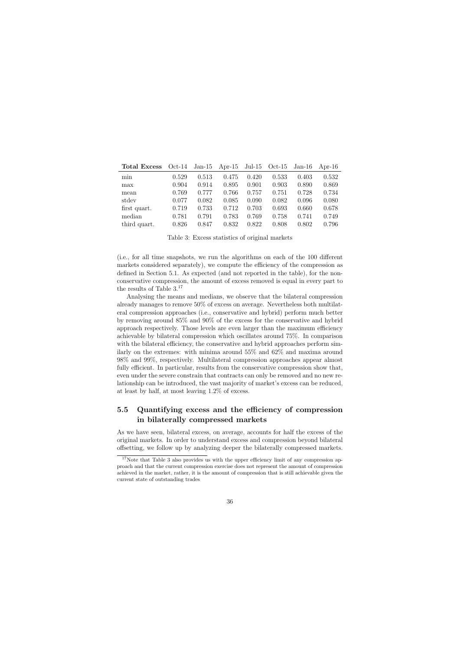| <b>Total Excess</b> | $Oct-14$ | $Jan-15$ | Apr-15 Jul-15 Oct-15 |       |       | $Jan-16$ | Apr-16 |
|---------------------|----------|----------|----------------------|-------|-------|----------|--------|
| min                 | 0.529    | 0.513    | 0.475                | 0.420 | 0.533 | 0.403    | 0.532  |
| max                 | 0.904    | 0.914    | 0.895                | 0.901 | 0.903 | 0.890    | 0.869  |
| mean                | 0.769    | 0.777    | 0.766                | 0.757 | 0.751 | 0.728    | 0.734  |
| stdev               | 0.077    | 0.082    | 0.085                | 0.090 | 0.082 | 0.096    | 0.080  |
| first quart.        | 0.719    | 0.733    | 0.712                | 0.703 | 0.693 | 0.660    | 0.678  |
| median              | 0.781    | 0.791    | 0.783                | 0.769 | 0.758 | 0.741    | 0.749  |
| third quart.        | 0.826    | 0.847    | 0.832                | 0.822 | 0.808 | 0.802    | 0.796  |

Table 3: Excess statistics of original markets

(i.e., for all time snapshots, we run the algorithms on each of the 100 different markets considered separately), we compute the efficiency of the compression as defined in Section 5.1. As expected (and not reported in the table), for the nonconservative compression, the amount of excess removed is equal in every part to the results of Table 3.<sup>17</sup>

Analysing the means and medians, we observe that the bilateral compression already manages to remove 50% of excess on average. Nevertheless both multilateral compression approaches (i.e., conservative and hybrid) perform much better by removing around 85% and 90% of the excess for the conservative and hybrid approach respectively. Those levels are even larger than the maximum efficiency achievable by bilateral compression which oscillates around 75%. In comparison with the bilateral efficiency, the conservative and hybrid approaches perform similarly on the extremes: with minima around 55% and 62% and maxima around 98% and 99%, respectively. Multilateral compression approaches appear almost fully efficient. In particular, results from the conservative compression show that, even under the severe constrain that contracts can only be removed and no new relationship can be introduced, the vast majority of market's excess can be reduced, at least by half, at most leaving 1.2% of excess.

## 5.5 Quantifying excess and the efficiency of compression in bilaterally compressed markets

As we have seen, bilateral excess, on average, accounts for half the excess of the original markets. In order to understand excess and compression beyond bilateral offsetting, we follow up by analyzing deeper the bilaterally compressed markets.

<sup>&</sup>lt;sup>17</sup>Note that Table 3 also provides us with the upper efficiency limit of any compression approach and that the current compression exercise does not represent the amount of compression achieved in the market, rather, it is the amount of compression that is still achievable given the current state of outstanding trades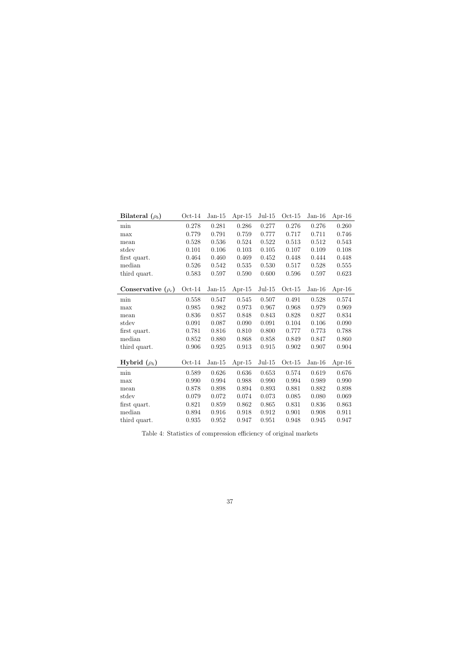| Bilateral $(\rho_b)$    | $Oct-14$ | $Jan-15$ | Apr-15    | $Jul-15$ | $Oct-15$ | $Jan-16$ | Apr-16 |
|-------------------------|----------|----------|-----------|----------|----------|----------|--------|
| min                     | 0.278    | 0.281    | 0.286     | 0.277    | 0.276    | 0.276    | 0.260  |
| max                     | 0.779    | 0.791    | 0.759     | 0.777    | 0.717    | 0.711    | 0.746  |
| mean                    | 0.528    | 0.536    | 0.524     | 0.522    | 0.513    | 0.512    | 0.543  |
| stdev                   | 0.101    | 0.106    | 0.103     | 0.105    | 0.107    | 0.109    | 0.108  |
| first quart.            | 0.464    | 0.460    | 0.469     | 0.452    | 0.448    | 0.444    | 0.448  |
| median                  | 0.526    | 0.542    | 0.535     | 0.530    | 0.517    | 0.528    | 0.555  |
| third quart.            | 0.583    | 0.597    | 0.590     | 0.600    | 0.596    | 0.597    | 0.623  |
|                         |          |          |           |          |          |          |        |
| Conservative $(\rho_c)$ | $Oct-14$ | $Jan-15$ | Apr- $15$ | $Jul-15$ | $Oct-15$ | $Jan-16$ | Apr-16 |
| min                     | 0.558    | 0.547    | 0.545     | 0.507    | 0.491    | 0.528    | 0.574  |
| max                     | 0.985    | 0.982    | 0.973     | 0.967    | 0.968    | 0.979    | 0.969  |
| mean                    | 0.836    | 0.857    | 0.848     | 0.843    | 0.828    | 0.827    | 0.834  |
| stdev                   | 0.091    | 0.087    | 0.090     | 0.091    | 0.104    | 0.106    | 0.090  |
| first quart.            | 0.781    | 0.816    | 0.810     | 0.800    | 0.777    | 0.773    | 0.788  |
| median                  | 0.852    | 0.880    | 0.868     | 0.858    | 0.849    | 0.847    | 0.860  |
| third quart.            | 0.906    | 0.925    | 0.913     | 0.915    | 0.902    | 0.907    | 0.904  |
|                         |          |          |           |          |          |          |        |
| Hybrid $(\rho_h)$       | $Oct-14$ | $Jan-15$ | Apr- $15$ | $Jul-15$ | $Oct-15$ | $Jan-16$ | Apr-16 |
| min                     | 0.589    | 0.626    | 0.636     | 0.653    | 0.574    | 0.619    | 0.676  |
| max                     | 0.990    | 0.994    | 0.988     | 0.990    | 0.994    | 0.989    | 0.990  |
| mean                    | 0.878    | 0.898    | 0.894     | 0.893    | 0.881    | 0.882    | 0.898  |
| stdev                   | 0.079    | 0.072    | 0.074     | 0.073    | 0.085    | 0.080    | 0.069  |
| first quart.            | 0.821    | 0.859    | 0.862     | 0.865    | 0.831    | 0.836    | 0.863  |
| median                  | 0.894    | 0.916    | 0.918     | 0.912    | 0.901    | 0.908    | 0.911  |
| third quart.            | 0.935    | 0.952    | 0.947     | 0.951    | 0.948    | 0.945    | 0.947  |

Table 4: Statistics of compression efficiency of original markets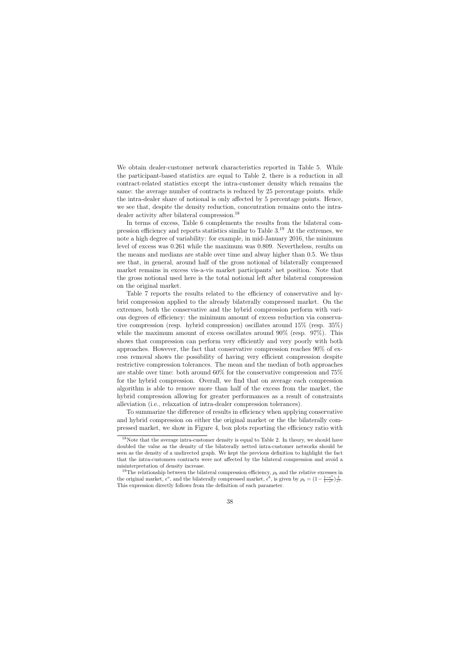We obtain dealer-customer network characteristics reported in Table 5. While the participant-based statistics are equal to Table 2, there is a reduction in all contract-related statistics except the intra-customer density which remains the same: the average number of contracts is reduced by 25 percentage points. while the intra-dealer share of notional is only affected by 5 percentage points. Hence, we see that, despite the density reduction, concentration remains onto the intradealer activity after bilateral compression.<sup>18</sup>

In terms of excess, Table 6 complements the results from the bilateral compression efficiency and reports statistics similar to Table 3.<sup>19</sup> At the extremes, we note a high degree of variability: for example, in mid-January 2016, the minimum level of excess was 0.261 while the maximum was 0.809. Nevertheless, results on the means and medians are stable over time and alway higher than 0.5. We thus see that, in general, around half of the gross notional of bilaterally compressed market remains in excess vis-a-vis market participants' net position. Note that the gross notional used here is the total notional left after bilateral compression on the original market.

Table 7 reports the results related to the efficiency of conservative and hybrid compression applied to the already bilaterally compressed market. On the extremes, both the conservative and the hybrid compression perform with various degrees of efficiency: the minimum amount of excess reduction via conservative compression (resp. hybrid compression) oscillates around 15% (resp. 35%) while the maximum amount of excess oscillates around  $90\%$  (resp.  $97\%$ ). This shows that compression can perform very efficiently and very poorly with both approaches. However, the fact that conservative compression reaches 90% of excess removal shows the possibility of having very efficient compression despite restrictive compression tolerances. The mean and the median of both approaches are stable over time: both around 60% for the conservative compression and 75% for the hybrid compression. Overall, we find that on average each compression algorithm is able to remove more than half of the excess from the market, the hybrid compression allowing for greater performances as a result of constraints alleviation (i.e., relaxation of intra-dealer compression tolerances).

To summarize the difference of results in efficiency when applying conservative and hybrid compression on either the original market or the the bilaterally compressed market, we show in Figure 4, box plots reporting the efficiency ratio with

<sup>&</sup>lt;sup>18</sup>Note that the average intra-customer density is equal to Table 2. In theory, we should have doubled the value as the density of the bilaterally netted intra-customer networks should be seen as the density of a undirected graph. We kept the previous definition to highlight the fact that the intra-customers contracts were not affected by the bilateral compression and avoid a misinterpretation of density increase.

<sup>&</sup>lt;sup>19</sup>The relationship between the bilateral compression efficiency,  $\rho_b$  and the relative excesses in the original market,  $\epsilon^o$ , and the bilaterally compressed market,  $\epsilon^b$ , is given by  $\rho_b = (1 - \frac{1-\epsilon^o}{1-\epsilon^b})$  $\frac{1-\epsilon^o}{1-\epsilon^b}\Big)\frac{1}{\epsilon^o}.$ This expression directly follows from the definition of each parameter.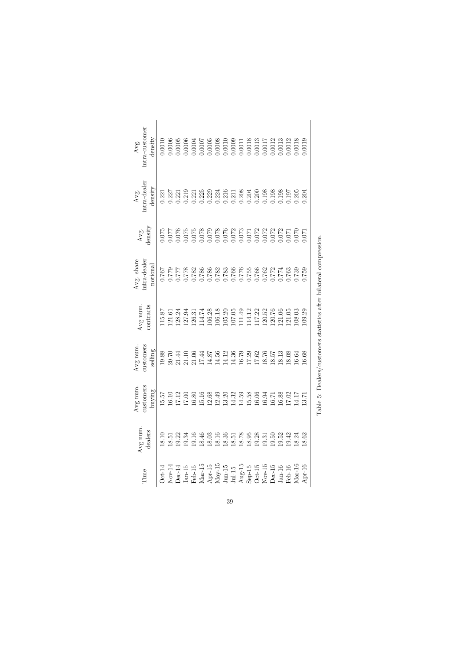| dealers | customers<br>buying | customers<br>selling | Avg num.<br>contracts                          | intra-dealer<br>Avg. share<br>$\rm{notional}$                                                                        | density<br>Avg.                                                                                                                                                                                                                                                                                     | $Avg.$ intra-dealer<br>density                                                                                                 | intra-customer<br>density                                 |
|---------|---------------------|----------------------|------------------------------------------------|----------------------------------------------------------------------------------------------------------------------|-----------------------------------------------------------------------------------------------------------------------------------------------------------------------------------------------------------------------------------------------------------------------------------------------------|--------------------------------------------------------------------------------------------------------------------------------|-----------------------------------------------------------|
| 18.10   | 15.57               | 19.88                | 15.87                                          | 0.767                                                                                                                | 0.75                                                                                                                                                                                                                                                                                                | 0.221                                                                                                                          | 0.0010                                                    |
| 18.51   | 16.10               | 20.70                | 121.61                                         |                                                                                                                      |                                                                                                                                                                                                                                                                                                     | 0.227                                                                                                                          | 0.0006                                                    |
| 19.22   | 17.12               | 1.44                 | 128.24                                         | $0.7779$<br>0.777                                                                                                    | 7.076<br>770.0                                                                                                                                                                                                                                                                                      | 0.221                                                                                                                          | 1.0005                                                    |
| 19.34   | 17.00               | 1.10                 | 127.94                                         |                                                                                                                      |                                                                                                                                                                                                                                                                                                     |                                                                                                                                | 0.0006                                                    |
| 19.16   | 16.80               | 1.06                 | 126.31                                         |                                                                                                                      |                                                                                                                                                                                                                                                                                                     |                                                                                                                                |                                                           |
| 18.46   | 15.16               | 7.44                 | 14.74                                          | 0.778<br>0.782<br>0.785                                                                                              |                                                                                                                                                                                                                                                                                                     |                                                                                                                                | $0.0004$<br>$0.0007$                                      |
| 18.03   | 12.68               | 4.87                 | 106.28                                         |                                                                                                                      |                                                                                                                                                                                                                                                                                                     |                                                                                                                                | 1.0005                                                    |
| 18.16   | 12.49               | 4.56                 | 106.18                                         |                                                                                                                      |                                                                                                                                                                                                                                                                                                     |                                                                                                                                |                                                           |
| 18.36   | 13.20               | 4.12                 |                                                |                                                                                                                      |                                                                                                                                                                                                                                                                                                     |                                                                                                                                |                                                           |
| 18.51   | 14.32               | 4.36                 |                                                |                                                                                                                      |                                                                                                                                                                                                                                                                                                     |                                                                                                                                | $\begin{array}{c} 0.0008 \\ 0.0010 \\ 0.0009 \end{array}$ |
| 18.78   | 14.59               | 6.79                 | 105.20<br>107.05<br>111.49<br>114.12<br>117.22 | $\begin{array}{l} 0.788 \\ 0.787 \\ 2.87 \\ 2.87 \\ 3.0 \\ 0.76 \\ 3.0 \\ 0.0 \\ 0.0 \\ 0.0 \\ 0.0 \\ 0 \end{array}$ |                                                                                                                                                                                                                                                                                                     | $\begin{array}{l} 0.219 \\ 0.225 \\ 0.225 \\ 0.239 \\ 0.214 \\ 0.214 \\ 0.211 \\ 0.211 \\ 0.208 \\ 0.204 \\ 0.204 \end{array}$ | $\begin{array}{c} 0.0011 \\ 0.0018 \\ 0.0013 \end{array}$ |
| 18.95   | 15.58               | 7.29                 |                                                |                                                                                                                      |                                                                                                                                                                                                                                                                                                     |                                                                                                                                |                                                           |
| 19.28   | 16.06               | $7.62$<br>8.76       |                                                |                                                                                                                      |                                                                                                                                                                                                                                                                                                     | 0.200                                                                                                                          |                                                           |
| 19.31   | 16.94               |                      | 120.52                                         | 0.762                                                                                                                | $\begin{array}{l} 0.075 \\ 0.075 \\ 0.078 \\ 0.078 \\ 0.078 \\ 0.078 \\ 0.078 \\ 0.072 \\ 0.072 \\ 0.072 \\ 0.072 \\ 0.072 \\ 0.072 \\ 0.072 \\ 0.072 \\ 0.072 \\ 0.000 \\ 0.000 \\ 0.000 \\ 0.000 \\ 0.000 \\ 0.000 \\ 0.000 \\ 0.000 \\ 0.000 \\ 0.000 \\ 0.000 \\ 0.000 \\ 0.000 \\ 0.000 \\ 0.$ | 1.198                                                                                                                          | 1.0017                                                    |
| 19.50   | 16.71               | 8.57                 | 120.76                                         | $\frac{0.772}{0.774}$                                                                                                |                                                                                                                                                                                                                                                                                                     | 0.198                                                                                                                          | 0.0012<br>0.0013                                          |
|         | 16.88               | 8.13                 | 121.06                                         |                                                                                                                      |                                                                                                                                                                                                                                                                                                     |                                                                                                                                |                                                           |
| 19.42   | 17.02               | 8.08                 | 121.05                                         |                                                                                                                      |                                                                                                                                                                                                                                                                                                     | 197                                                                                                                            | 0.0012                                                    |
| 18.24   | 14.17               | 6.64                 | 108.03                                         | 0.739                                                                                                                |                                                                                                                                                                                                                                                                                                     | 0.205                                                                                                                          | 0.0018                                                    |
| 18.62   | 13.71               | 6.68                 | 109.29                                         | 0.759                                                                                                                | 1.070                                                                                                                                                                                                                                                                                               | 0.204                                                                                                                          | 0.0019                                                    |

Table 5: Dealers/customers statistics after bilateral compression. Table 5: Dealers/customers statistics after bilateral compression.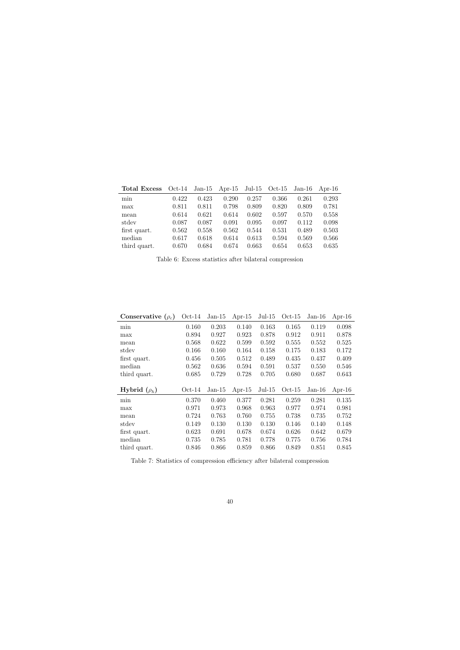| <b>Total Excess</b> | $Oct-14$ |       | Jan-15 Apr-15 Jul-15 Oct-15 |       |       | $Jan-16$ | Apr-16 |
|---------------------|----------|-------|-----------------------------|-------|-------|----------|--------|
| min                 | 0.422    | 0.423 | 0.290                       | 0.257 | 0.366 | 0.261    | 0.293  |
| max                 | 0.811    | 0.811 | 0.798                       | 0.809 | 0.820 | 0.809    | 0.781  |
| mean                | 0.614    | 0.621 | 0.614                       | 0.602 | 0.597 | 0.570    | 0.558  |
| stdev               | 0.087    | 0.087 | 0.091                       | 0.095 | 0.097 | 0.112    | 0.098  |
| first quart.        | 0.562    | 0.558 | 0.562                       | 0.544 | 0.531 | 0.489    | 0.503  |
| median              | 0.617    | 0.618 | 0.614                       | 0.613 | 0.594 | 0.569    | 0.566  |
| third quart.        | 0.670    | 0.684 | 0.674                       | 0.663 | 0.654 | 0.653    | 0.635  |

Table 6: Excess statistics after bilateral compression

| Conservative $(\rho_c)$ | $Oct-14$ | $Jan-15$ | Apr- $15$ | $Jul-15$ | $Oct-15$ | $Jan-16$ | Apr-16 |
|-------------------------|----------|----------|-----------|----------|----------|----------|--------|
| min                     | 0.160    | 0.203    | 0.140     | 0.163    | 0.165    | 0.119    | 0.098  |
| max                     | 0.894    | 0.927    | 0.923     | 0.878    | 0.912    | 0.911    | 0.878  |
| mean                    | 0.568    | 0.622    | 0.599     | 0.592    | 0.555    | 0.552    | 0.525  |
| stdev                   | 0.166    | 0.160    | 0.164     | 0.158    | 0.175    | 0.183    | 0.172  |
| first quart.            | 0.456    | 0.505    | 0.512     | 0.489    | 0.435    | 0.437    | 0.409  |
| median                  | 0.562    | 0.636    | 0.594     | 0.591    | 0.537    | 0.550    | 0.546  |
| third quart.            | 0.685    | 0.729    | 0.728     | 0.705    | 0.680    | 0.687    | 0.643  |
|                         |          |          |           |          |          |          |        |
| Hybrid $(\rho_h)$       | $Oct-14$ | $Jan-15$ | Apr- $15$ | $Jul-15$ | $Oct-15$ | $Jan-16$ | Apr-16 |
| min                     | 0.370    | 0.460    | 0.377     | 0.281    | 0.259    | 0.281    | 0.135  |
| max                     | 0.971    | 0.973    | 0.968     | 0.963    | 0.977    | 0.974    | 0.981  |
| mean                    | 0.724    | 0.763    | 0.760     | 0.755    | 0.738    | 0.735    | 0.752  |
| stdev                   | 0.149    | 0.130    | 0.130     | 0.130    | 0.146    | 0.140    | 0.148  |
| first quart.            | 0.623    | 0.691    | 0.678     | 0.674    | 0.626    | 0.642    | 0.679  |
| median                  | 0.735    | 0.785    | 0.781     | 0.778    | 0.775    | 0.756    | 0.784  |
| third quart.            | 0.846    | 0.866    | 0.859     | 0.866    | 0.849    | 0.851    | 0.845  |

Table 7: Statistics of compression efficiency after bilateral compression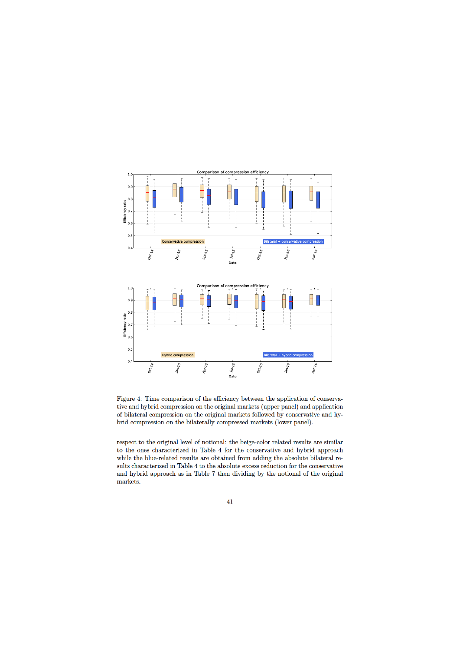

Figure 4: Time comparison of the efficiency between the application of conservative and hybrid compression on the original markets (upper panel) and application of bilateral compression on the original markets followed by conservative and hybrid compression on the bilaterally compressed markets (lower panel).

respect to the original level of notional: the beige-color related results are similar to the ones characterized in Table 4 for the conservative and hybrid approach while the blue-related results are obtained from adding the absolute bilateral results characterized in Table 4 to the absolute excess reduction for the conservative and hybrid approach as in Table 7 then dividing by the notional of the original markets.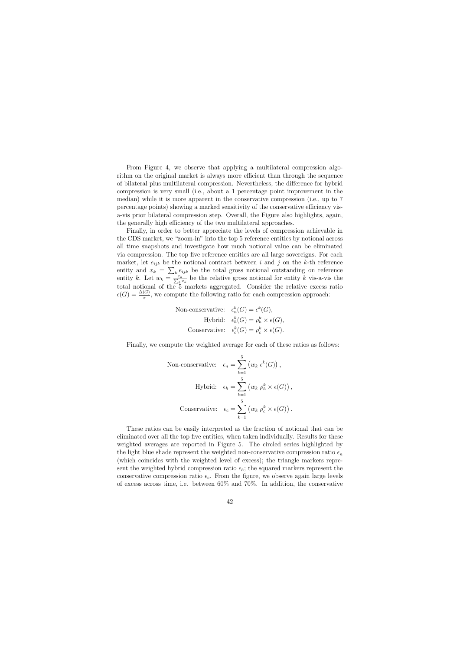From Figure 4, we observe that applying a multilateral compression algorithm on the original market is always more efficient than through the sequence of bilateral plus multilateral compression. Nevertheless, the difference for hybrid compression is very small (i.e., about a 1 percentage point improvement in the median) while it is more apparent in the conservative compression (i.e., up to 7 percentage points) showing a marked sensitivity of the conservative efficiency visa-vis prior bilateral compression step. Overall, the Figure also highlights, again, the generally high efficiency of the two multilateral approaches.

Finally, in order to better appreciate the levels of compression achievable in the CDS market, we "zoom-in" into the top 5 reference entities by notional across all time snapshots and investigate how much notional value can be eliminated via compression. The top five reference entities are all large sovereigns. For each market, let  $e_{ijk}$  be the notional contract between i and j on the k-th reference entity and  $x_k = \sum_k e_{ijk}$  be the total gross notional outstanding on reference entity k. Let  $w_k = \frac{x_k}{\sum_k x_k}$  be the relative gross notional for entity k vis-a-vis the total notional of the 5 markets aggregated. Consider the relative excess ratio  $\epsilon(G) = \frac{\Delta(G)}{x}$ , we compute the following ratio for each compression approach:

Non-conservative: 
$$
\epsilon_n^k(G) = \epsilon^k(G)
$$
,  
Hybrid:  $\epsilon_h^k(G) = \rho_h^k \times \epsilon(G)$ ,  
Conservative:  $\epsilon_c^k(G) = \rho_c^k \times \epsilon(G)$ .

Finally, we compute the weighted average for each of these ratios as follows:

Non-conservative: 
$$
\epsilon_n = \sum_{k=1}^5 (w_k \epsilon^k(G)),
$$
  
\nHybrid:  $\epsilon_h = \sum_{k=1}^5 (w_k \rho_h^k \times \epsilon(G)),$   
\nConservative:  $\epsilon_c = \sum_{k=1}^5 (w_k \rho_c^k \times \epsilon(G)).$ 

These ratios can be easily interpreted as the fraction of notional that can be eliminated over all the top five entities, when taken individually. Results for these weighted averages are reported in Figure 5. The circled series highlighted by the light blue shade represent the weighted non-conservative compression ratio  $\epsilon_n$ (which coincides with the weighted level of excess); the triangle markers represent the weighted hybrid compression ratio  $\epsilon_h$ ; the squared markers represent the conservative compression ratio  $\epsilon_c$ . From the figure, we observe again large levels of excess across time, i.e. between 60% and 70%. In addition, the conservative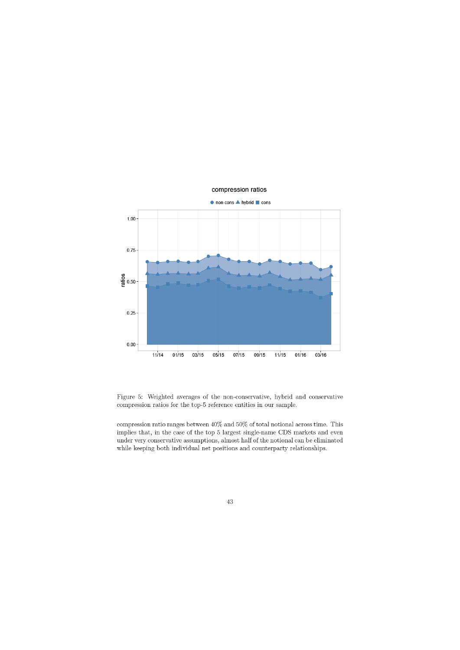

## compression ratios

Figure 5: Weighted averages of the non-conservative, hybrid and conservative compression ratios for the top-5 reference entities in our sample.

compression ratio ranges between  $40\%$  and  $50\%$  of total notional across time. This implies that, in the case of the top 5 largest single-name CDS markets and even under very conservative assumptions, almost half of the notional can be eliminated while keeping both individual net positions and counterparty relationships.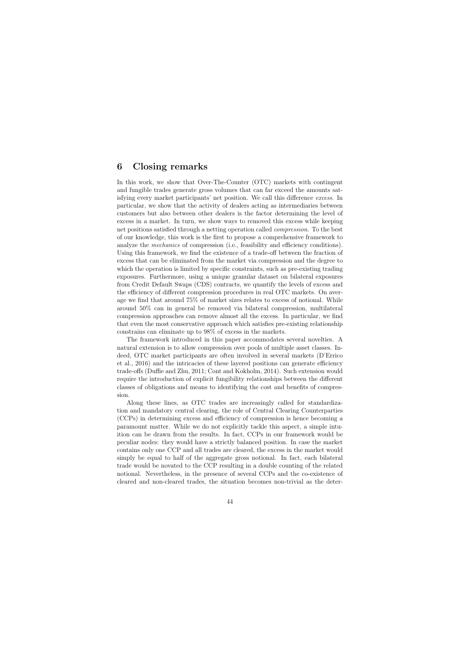# 6 Closing remarks

In this work, we show that Over-The-Counter (OTC) markets with contingent and fungible trades generate gross volumes that can far exceed the amounts satisfying every market participants' net position. We call this difference excess. In particular, we show that the activity of dealers acting as intermediaries between customers but also between other dealers is the factor determining the level of excess in a market. In turn, we show ways to removed this excess while keeping net positions satisfied through a netting operation called compression. To the best of our knowledge, this work is the first to propose a comprehensive framework to analyze the *mechanics* of compression (i.e., feasibility and efficiency conditions). Using this framework, we find the existence of a trade-off between the fraction of excess that can be eliminated from the market via compression and the degree to which the operation is limited by specific constraints, such as pre-existing trading exposures. Furthermore, using a unique granular dataset on bilateral exposures from Credit Default Swaps (CDS) contracts, we quantify the levels of excess and the efficiency of different compression procedures in real OTC markets. On average we find that around 75% of market sizes relates to excess of notional. While around 50% can in general be removed via bilateral compression, multilateral compression approaches can remove almost all the excess. In particular, we find that even the most conservative approach which satisfies pre-existing relationship constrains can eliminate up to 98% of excess in the markets.

The framework introduced in this paper accommodates several novelties. A natural extension is to allow compression over pools of multiple asset classes. Indeed, OTC market participants are often involved in several markets (D'Errico et al., 2016) and the intricacies of these layered positions can generate efficiency trade-offs (Duffie and Zhu, 2011; Cont and Kokholm, 2014). Such extension would require the introduction of explicit fungibility relationships between the different classes of obligations and means to identifying the cost and benefits of compression.

Along these lines, as OTC trades are increasingly called for standardization and mandatory central clearing, the role of Central Clearing Counterparties (CCPs) in determining excess and efficiency of compression is hence becoming a paramount matter. While we do not explicitly tackle this aspect, a simple intuition can be drawn from the results. In fact, CCPs in our framework would be peculiar nodes: they would have a strictly balanced position. In case the market contains only one CCP and all trades are cleared, the excess in the market would simply be equal to half of the aggregate gross notional. In fact, each bilateral trade would be novated to the CCP resulting in a double counting of the related notional. Nevertheless, in the presence of several CCPs and the co-existence of cleared and non-cleared trades, the situation becomes non-trivial as the deter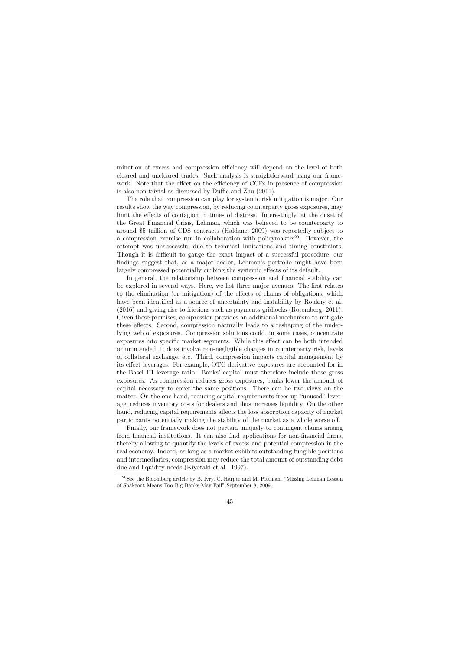mination of excess and compression efficiency will depend on the level of both cleared and uncleared trades. Such analysis is straightforward using our framework. Note that the effect on the efficiency of CCPs in presence of compression is also non-trivial as discussed by Duffie and Zhu (2011).

The role that compression can play for systemic risk mitigation is major. Our results show the way compression, by reducing counterparty gross exposures, may limit the effects of contagion in times of distress. Interestingly, at the onset of the Great Financial Crisis, Lehman, which was believed to be counterparty to around \$5 trillion of CDS contracts (Haldane, 2009) was reportedly subject to a compression exercise run in collaboration with policymakers<sup>20</sup>. However, the attempt was unsuccessful due to technical limitations and timing constraints. Though it is difficult to gauge the exact impact of a successful procedure, our findings suggest that, as a major dealer, Lehman's portfolio might have been largely compressed potentially curbing the systemic effects of its default.

In general, the relationship between compression and financial stability can be explored in several ways. Here, we list three major avenues. The first relates to the elimination (or mitigation) of the effects of chains of obligations, which have been identified as a source of uncertainty and instability by Roukny et al. (2016) and giving rise to frictions such as payments gridlocks (Rotemberg, 2011). Given these premises, compression provides an additional mechanism to mitigate these effects. Second, compression naturally leads to a reshaping of the underlying web of exposures. Compression solutions could, in some cases, concentrate exposures into specific market segments. While this effect can be both intended or unintended, it does involve non-negligible changes in counterparty risk, levels of collateral exchange, etc. Third, compression impacts capital management by its effect leverages. For example, OTC derivative exposures are accounted for in the Basel III leverage ratio. Banks' capital must therefore include those gross exposures. As compression reduces gross exposures, banks lower the amount of capital necessary to cover the same positions. There can be two views on the matter. On the one hand, reducing capital requirements frees up "unused" leverage, reduces inventory costs for dealers and thus increases liquidity. On the other hand, reducing capital requirements affects the loss absorption capacity of market participants potentially making the stability of the market as a whole worse off.

Finally, our framework does not pertain uniquely to contingent claims arising from financial institutions. It can also find applications for non-financial firms, thereby allowing to quantify the levels of excess and potential compression in the real economy. Indeed, as long as a market exhibits outstanding fungible positions and intermediaries, compression may reduce the total amount of outstanding debt due and liquidity needs (Kiyotaki et al., 1997).

<sup>20</sup>See the Bloomberg article by B. Ivry, C. Harper and M. Pittman, "Missing Lehman Lesson of Shakeout Means Too Big Banks May Fail" September 8, 2009.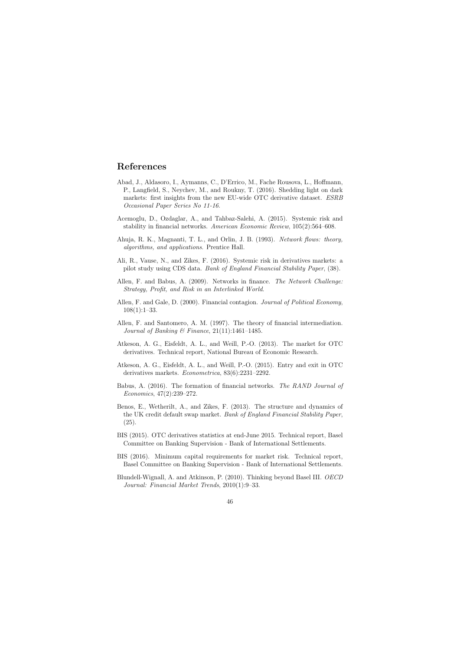# References

- Abad, J., Aldasoro, I., Aymanns, C., D'Errico, M., Fache Rousova, L., Hoffmann, P., Langfield, S., Neychev, M., and Roukny, T. (2016). Shedding light on dark markets: first insights from the new EU-wide OTC derivative dataset. ESRB Occasional Paper Series No 11-16.
- Acemoglu, D., Ozdaglar, A., and Tahbaz-Salehi, A. (2015). Systemic risk and stability in financial networks. American Economic Review, 105(2):564–608.
- Ahuja, R. K., Magnanti, T. L., and Orlin, J. B. (1993). Network flows: theory, algorithms, and applications. Prentice Hall.
- Ali, R., Vause, N., and Zikes, F. (2016). Systemic risk in derivatives markets: a pilot study using CDS data. Bank of England Financial Stability Paper, (38).
- Allen, F. and Babus, A. (2009). Networks in finance. The Network Challenge: Strategy, Profit, and Risk in an Interlinked World.
- Allen, F. and Gale, D. (2000). Financial contagion. Journal of Political Economy,  $108(1):1-33.$
- Allen, F. and Santomero, A. M. (1997). The theory of financial intermediation. Journal of Banking & Finance,  $21(11):1461-1485$ .
- Atkeson, A. G., Eisfeldt, A. L., and Weill, P.-O. (2013). The market for OTC derivatives. Technical report, National Bureau of Economic Research.
- Atkeson, A. G., Eisfeldt, A. L., and Weill, P.-O. (2015). Entry and exit in OTC derivatives markets. Econometrica, 83(6):2231–2292.
- Babus, A. (2016). The formation of financial networks. The RAND Journal of Economics, 47(2):239–272.
- Benos, E., Wetherilt, A., and Zikes, F. (2013). The structure and dynamics of the UK credit default swap market. Bank of England Financial Stability Paper, (25).
- BIS (2015). OTC derivatives statistics at end-June 2015. Technical report, Basel Committee on Banking Supervision - Bank of International Settlements.
- BIS (2016). Minimum capital requirements for market risk. Technical report, Basel Committee on Banking Supervision - Bank of International Settlements.
- Blundell-Wignall, A. and Atkinson, P. (2010). Thinking beyond Basel III. OECD Journal: Financial Market Trends, 2010(1):9–33.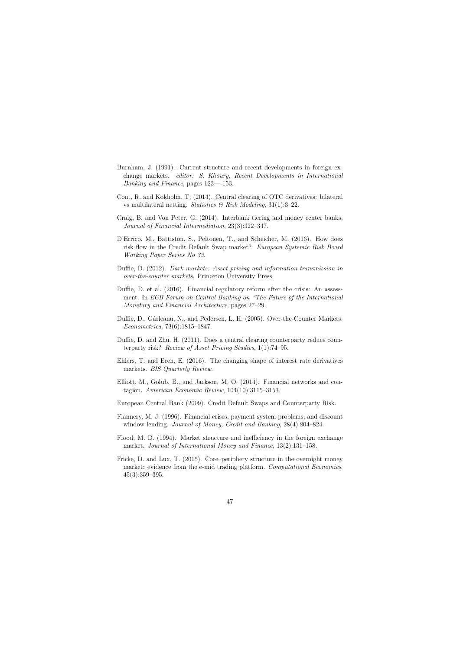- Burnham, J. (1991). Current structure and recent developments in foreign exchange markets. editor: S. Khoury, Recent Developments in International Banking and Finance, pages 123—-153.
- Cont, R. and Kokholm, T. (2014). Central clearing of OTC derivatives: bilateral vs multilateral netting. Statistics & Risk Modeling,  $31(1):3-22$ .
- Craig, B. and Von Peter, G. (2014). Interbank tiering and money center banks. Journal of Financial Intermediation, 23(3):322–347.
- D'Errico, M., Battiston, S., Peltonen, T., and Scheicher, M. (2016). How does risk flow in the Credit Default Swap market? European Systemic Risk Board Working Paper Series No 33.
- Duffie, D. (2012). Dark markets: Asset pricing and information transmission in over-the-counter markets. Princeton University Press.
- Duffie, D. et al. (2016). Financial regulatory reform after the crisis: An assessment. In ECB Forum on Central Banking on "The Future of the International Monetary and Financial Architecture, pages 27–29.
- Duffie, D., Gârleanu, N., and Pedersen, L. H. (2005). Over-the-Counter Markets. Econometrica, 73(6):1815–1847.
- Duffie, D. and Zhu, H. (2011). Does a central clearing counterparty reduce counterparty risk? Review of Asset Pricing Studies, 1(1):74–95.
- Ehlers, T. and Eren, E. (2016). The changing shape of interest rate derivatives markets. BIS Quarterly Review.
- Elliott, M., Golub, B., and Jackson, M. O. (2014). Financial networks and contagion. American Economic Review, 104(10):3115–3153.
- European Central Bank (2009). Credit Default Swaps and Counterparty Risk.
- Flannery, M. J. (1996). Financial crises, payment system problems, and discount window lending. Journal of Money, Credit and Banking, 28(4):804–824.
- Flood, M. D. (1994). Market structure and inefficiency in the foreign exchange market. Journal of International Money and Finance, 13(2):131–158.
- Fricke, D. and Lux, T. (2015). Core–periphery structure in the overnight money market: evidence from the e-mid trading platform. Computational Economics, 45(3):359–395.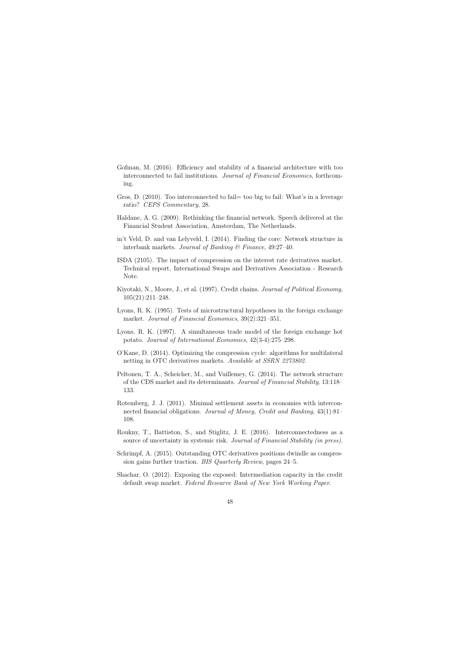- Gofman, M. (2016). Efficiency and stability of a financial architecture with too interconnected to fail institutions. Journal of Financial Economics, forthcoming.
- Gros, D. (2010). Too interconnected to fail = too big to fail: What's in a leverage ratio? CEPS Commentary, 28.
- Haldane, A. G. (2009). Rethinking the financial network. Speech delivered at the Financial Student Association, Amsterdam, The Netherlands.
- in't Veld, D. and van Lelyveld, I. (2014). Finding the core: Network structure in interbank markets. Journal of Banking & Finance, 49:27–40.
- ISDA (2105). The impact of compression on the interest rate derivatives market. Technical report, International Swaps and Derivatives Association - Research Note.
- Kiyotaki, N., Moore, J., et al. (1997). Credit chains. Journal of Political Economy, 105(21):211–248.
- Lyons, R. K. (1995). Tests of microstructural hypotheses in the foreign exchange market. Journal of Financial Economics, 39(2):321–351.
- Lyons, R. K. (1997). A simultaneous trade model of the foreign exchange hot potato. Journal of International Economics, 42(3-4):275–298.
- O'Kane, D. (2014). Optimizing the compression cycle: algorithms for multilateral netting in OTC derivatives markets. Available at SSRN 2273802.
- Peltonen, T. A., Scheicher, M., and Vuillemey, G. (2014). The network structure of the CDS market and its determinants. Journal of Financial Stability, 13:118– 133.
- Rotemberg, J. J. (2011). Minimal settlement assets in economies with interconnected financial obligations. Journal of Money, Credit and Banking, 43(1):81– 108.
- Roukny, T., Battiston, S., and Stiglitz, J. E. (2016). Interconnectedness as a source of uncertainty in systemic risk. Journal of Financial Stability (in press).
- Schrimpf, A. (2015). Outstanding OTC derivatives positions dwindle as compression gains further traction. BIS Quarterly Review, pages 24–5.
- Shachar, O. (2012). Exposing the exposed: Intermediation capacity in the credit default swap market. Federal Researve Bank of New York Working Paper.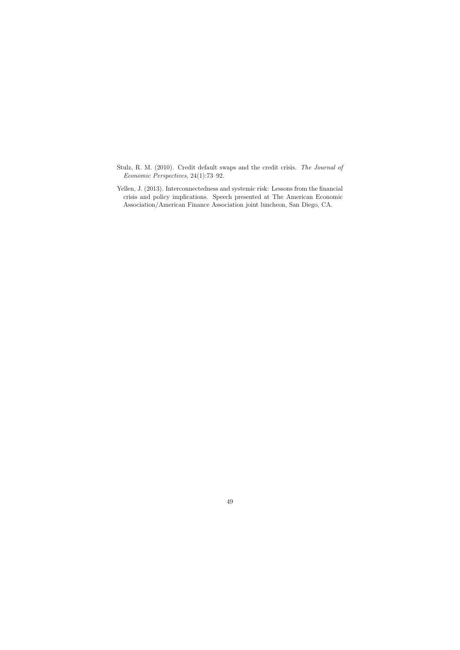- Stulz, R. M. (2010). Credit default swaps and the credit crisis. The Journal of Economic Perspectives, 24(1):73–92.
- Yellen, J. (2013). Interconnectedness and systemic risk: Lessons from the financial crisis and policy implications. Speech presented at The American Economic Association/American Finance Association joint luncheon, San Diego, CA.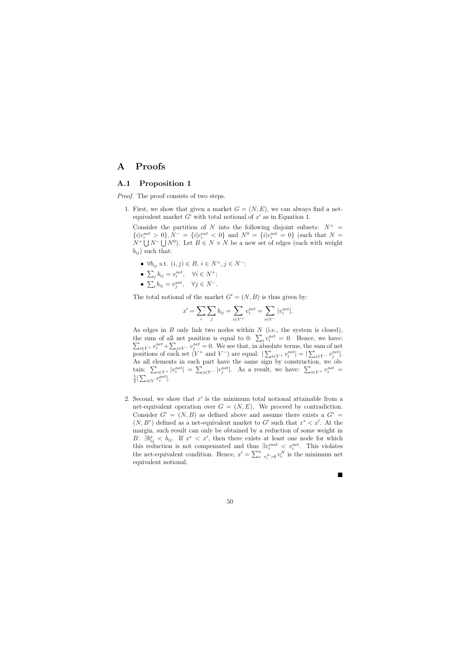# A Proofs

## A.1 Proposition 1

Proof. The proof consists of two steps.

1. First, we show that given a market  $G = (N, E)$ , we can always find a netequivalent market  $G'$  with total notional of  $x'$  as in Equation 1.

Consider the partition of N into the following disjoint subsets:  $N^+$  =  ${i|v_i^{net} > 0}, N^- = {i|v_i^{net} < 0}$  and  $N^0 = {i|v_i^{net} = 0}$  (such that  $N =$  $N^+ \bigcup N^- \bigcup N^0$ ). Let  $B \in N \times N$  be a new set of edges (each with weight  $b_{ij}$ ) such that:

- $\forall b_{ij}$  s.t.  $(i, j) \in B$ ,  $i \in N^+, j \in N^-$ ;
- $\sum_j b_{ij} = v_i^{net}, \quad \forall i \in N^+;$
- $\sum_i b_{ij} = v_j^{net}, \quad \forall j \in N^-$ .

The total notional of the market  $G' = (N, B)$  is thus given by:

$$
x' = \sum_{i} \sum_{j} b_{ij} = \sum_{i \in V^{+}} v_i^{net} = \sum_{i \in V^{-}} |v_i^{net}|.
$$

As edges in  $B$  only link two nodes within  $N$  (i.e., the system is closed), the sum of all net position is equal to 0:  $\sum_i v_i^{net} = 0$ . Hence, we have:  $\sum_{i\in V^+} v_i^{net} + \sum_{j\in V^-} v_j^{net} = 0$ . We see that, in absolute terms, the sum of net positions of each set  $(V^+$  and  $V^-$ ) are equal:  $|\sum_{i\in V^+} v_i^{net}| = |\sum_{j\in V^-} v_j^{net}|$ . As all elements in each part have the same sign by construction, we obtain:  $\sum_{i\in V^+} |v_i^{net}| = \sum_{j\in V^-} |v_j^{net}|$ . As a result, we have:  $\sum_{i\in V^+} v_i^{net} =$ 1  $\frac{1}{2}|\sum_{i\in V}v_i^{net}|.$ 

2. Second, we show that  $x'$  is the minimum total notional attainable from a net-equivalent operation over  $G = (N, E)$ . We proceed by contradiction. Consider  $G' = (N, B)$  as defined above and assume there exists a  $G^* =$  $(N, B^*)$  defined as a net-equivalent market to G' such that  $x^* < x'$ . At the margin, such result can only be obtained by a reduction of some weight in B:  $\exists b_{ij}^* < b_{ij}$ . If  $x^* < x'$ , then there exists at least one node for which this reduction is not compensated and thus  $\exists v_i^{net} < v_i^{net}$ . This violates the net-equivalent condition. Hence,  $x' = \sum_{i: v_i^N > 0}^n v_i^N$  is the minimum net equivalent notional.

×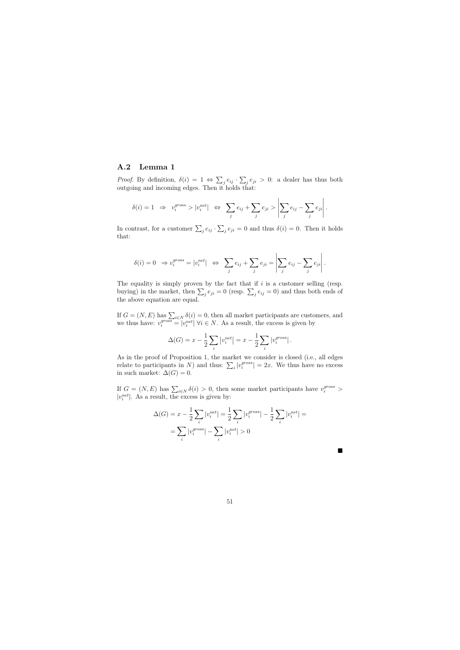#### A.2 Lemma 1

*Proof.* By definition,  $\delta(i) = 1 \Leftrightarrow \sum_j e_{ij} \cdot \sum_j e_{ji} > 0$ : a dealer has thus both outgoing and incoming edges. Then it holds that:

$$
\delta(i) = 1 \Rightarrow v_i^{gross} > |v_i^{net}| \Leftrightarrow \sum_j e_{ij} + \sum_j e_{ji} > \left| \sum_j e_{ij} - \sum_j e_{ji} \right|.
$$

In contrast, for a customer  $\sum_j e_{ij} \cdot \sum_j e_{ji} = 0$  and thus  $\delta(i) = 0$ . Then it holds that:

$$
\delta(i) = 0 \Rightarrow v_i^{gross} = |v_i^{net}| \Leftrightarrow \sum_j e_{ij} + \sum_j e_{ji} = \left| \sum_j e_{ij} - \sum_j e_{ji} \right|.
$$

The equality is simply proven by the fact that if  $i$  is a customer selling (resp. buying) in the market, then  $\sum_j e_{ji} = 0$  (resp.  $\sum_j e_{ij} = 0$ ) and thus both ends of the above equation are equal.

If  $G = (N, E)$  has  $\sum_{i \in N} \delta(i) = 0$ , then all market participants are customers, and we thus have:  $v_i^{gross} = |v_i^{net}| \; \forall i \in N$ . As a result, the excess is given by

$$
\Delta(G) = x - \frac{1}{2} \sum_{i} |v_i^{net}| = x - \frac{1}{2} \sum_{i} |v_i^{gross}|.
$$

As in the proof of Proposition 1, the market we consider is closed (i.e., all edges relate to participants in N) and thus:  $\sum_i |v_i^{gross}|$  $\left| \sum_{i=1}^{gross} \right| = 2x$ . We thus have no excess in such market:  $\Delta(G) = 0$ .

If  $G = (N, E)$  has  $\sum_{i \in N} \delta(i) > 0$ , then some market participants have  $v_i^{gross} > 0$  $|v_i^{net}|$ . As a result, the excess is given by:

$$
\Delta(G) = x - \frac{1}{2} \sum_{i} |v_i^{net}| = \frac{1}{2} \sum_{i} |v_i^{gross}| - \frac{1}{2} \sum_{i} |v_i^{net}| =
$$

$$
= \sum_{i} |v_i^{gross}| - \sum_{i} |v_i^{net}| > 0
$$

п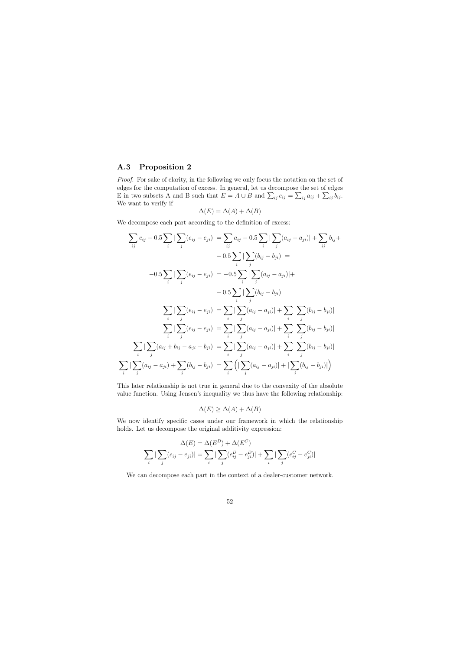## A.3 Proposition 2

i

Proof. For sake of clarity, in the following we only focus the notation on the set of edges for the computation of excess. In general, let us decompose the set of edges E in two subsets A and B such that  $E = A \cup B$  and  $\sum_{ij} e_{ij} = \sum_{ij} a_{ij} + \sum_{ij} b_{ij}$ . We want to verify if

$$
\Delta(E) = \Delta(A) + \Delta(B)
$$

We decompose each part according to the definition of excess:

$$
\sum_{ij} e_{ij} - 0.5 \sum_{i} |\sum_{j} (e_{ij} - e_{ji})| = \sum_{ij} a_{ij} - 0.5 \sum_{i} |\sum_{j} (a_{ij} - a_{ji})| + \sum_{ij} b_{ij} +
$$
  
\n
$$
-0.5 \sum_{i} |\sum_{j} (e_{ij} - e_{ji})| = -0.5 \sum_{i} |\sum_{j} (a_{ij} - a_{ji})| +
$$
  
\n
$$
-0.5 \sum_{i} |\sum_{j} (e_{ij} - e_{ji})| = -0.5 \sum_{i} |\sum_{j} (a_{ij} - a_{ji})| +
$$
  
\n
$$
-0.5 \sum_{i} |\sum_{j} (b_{ij} - b_{ji})|
$$
  
\n
$$
\sum_{i} |\sum_{j} (e_{ij} - e_{ji})| = \sum_{i} |\sum_{j} (a_{ij} - a_{ji})| + \sum_{i} |\sum_{j} (b_{ij} - b_{ji})|
$$
  
\n
$$
\sum_{i} |\sum_{j} (e_{ij} - e_{ji})| = \sum_{i} |\sum_{j} (a_{ij} - a_{ji})| + \sum_{i} |\sum_{j} (b_{ij} - b_{ji})|
$$
  
\n
$$
\sum_{i} |\sum_{j} (a_{ij} + b_{ij} - a_{ji} - b_{ji})| = \sum_{i} |\sum_{j} (a_{ij} - a_{ji})| + \sum_{i} |\sum_{j} (b_{ij} - b_{ji})|
$$
  
\n
$$
\sum_{i} |\sum_{j} (a_{ij} - a_{ji}) + \sum_{j} (b_{ij} - b_{ji})| = \sum_{i} (|\sum_{j} (a_{ij} - a_{ji})| + |\sum_{j} (b_{ij} - b_{ji})|)
$$

This later relationship is not true in general due to the convexity of the absolute value function. Using Jensen's inequality we thus have the following relationship:

$$
\Delta(E) \ge \Delta(A) + \Delta(B)
$$

We now identify specific cases under our framework in which the relationship holds. Let us decompose the original additivity expression:

$$
\Delta(E) = \Delta(E^D) + \Delta(E^C)
$$
  

$$
\sum_{i} |\sum_{j} (e_{ij} - e_{ji})| = \sum_{i} |\sum_{j} (e_{ij}^D - e_{ji}^D)| + \sum_{i} |\sum_{j} (e_{ij}^C - e_{ji}^C)|
$$

We can decompose each part in the context of a dealer-customer network.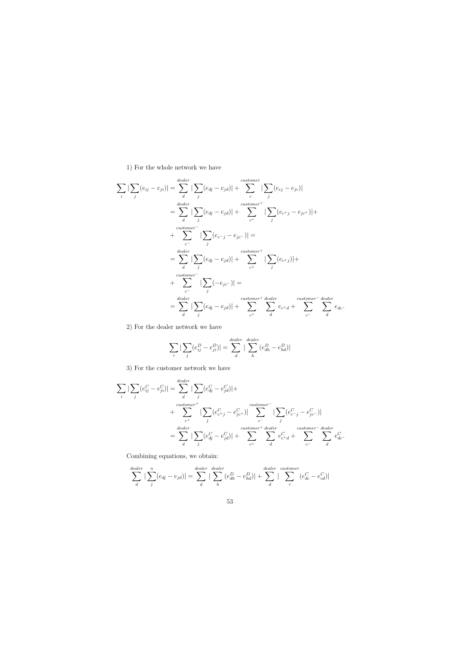## 1) For the whole network we have

$$
\sum_{i} |\sum_{j} (e_{ij} - e_{ji})| = \sum_{d}^{daler} |\sum_{j} (e_{dj} - e_{jd})| + \sum_{c}^{customer} |\sum_{j} (e_{cj} - e_{jc})|
$$
\n
$$
= \sum_{d} |\sum_{j} (e_{dj} - e_{jd})| + \sum_{c^{+}}^{customer} |\sum_{j} (e_{c^{+}j} - e_{jc^{+}})| +
$$
\n
$$
= \sum_{c}^{customer} |\sum_{j} (e_{cj} - e_{jc})| =
$$
\n
$$
= \sum_{d} |\sum_{j} (e_{dj} - e_{jd})| + \sum_{c^{+}}^{customer} |\sum_{j} (e_{c^{+}j})| +
$$
\n
$$
= \sum_{c}^{customer} |\sum_{j} (-e_{jc^{-}})| =
$$
\n
$$
= \sum_{d}^{daler} |\sum_{j} (e_{dj} - e_{jd})| + \sum_{c^{+}}^{customer} \frac{customer}{d} \sum_{c^{-}} e_{c+d} + \sum_{c^{-}}^{customer} \frac{dealer}{d} e_{dc^{-}}
$$

2) For the dealer network we have

$$
\sum_{i} \left| \sum_{j} (e_{ij}^{D} - e_{ji}^{D}) \right| = \sum_{d}^{dender} \left| \sum_{h} (e_{dh}^{D} - e_{hd}^{D}) \right|
$$

3) For the customer network we have

$$
\sum_{i} |\sum_{j} (e_{ij}^{C} - e_{ji}^{C})| = \sum_{d}^{dealer} |\sum_{j} (e_{dj}^{C} - e_{jd}^{C})| +
$$
  
+ 
$$
\sum_{c^{+}} |\sum_{j} (e_{c^{+}j}^{C} - e_{jc^{+}}^{C})| \sum_{c^{-}}^{\text{customer}^{-}} |\sum_{j} (e_{c^{-}j}^{C} - e_{jc^{-}}^{C})|
$$
  
= 
$$
\sum_{d} \sum_{j} |e_{dj}^{C} - e_{jd}^{C}| + \sum_{c^{+}}^{\text{customer}^{+} dealer} \sum_{d} e_{c^{+}d}^{C} + \sum_{c^{-}}^{\text{customer}^{-} dealer} \sum_{d} e_{dc^{-}}^{C}
$$

Combining equations, we obtain:

$$
\sum_{d}^{dealer} |\sum_{j}^{n} (e_{dj} - e_{jd})| = \sum_{d}^{dealer} |\sum_{h}^{dealer} (e_{dh}^{D} - e_{hd}^{D})| + \sum_{d}^{dealer} |\sum_{c}^{customer} (e_{dc}^{C} - e_{cd}^{C})|
$$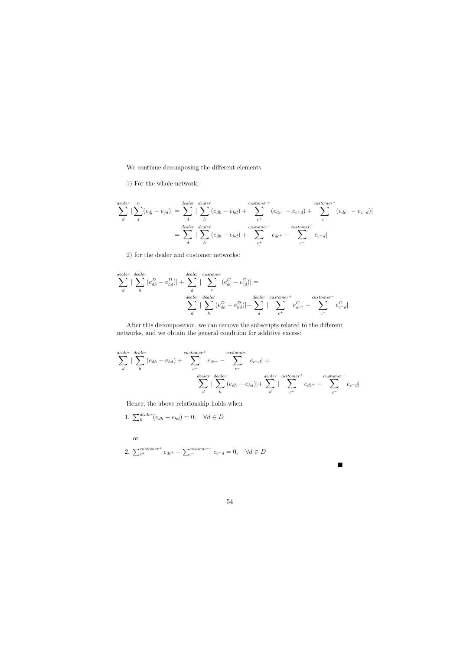We continue decomposing the different elements.

1) For the whole network:

$$
\sum_{d}^{dealer} |\sum_{j}^{n} (e_{dj} - e_{jd})| = \sum_{d}^{dealer} |\sum_{h}^{dealer} (e_{dh} - e_{hd}) + \sum_{c^{+}}^{customer^{+}} (e_{dc^{+}} - e_{c^{+}d}) + \sum_{c^{-}}^{customer^{-}} (e_{dc^{-}} - e_{c^{-}d})|
$$

$$
= \sum_{d}^{dealer} |\sum_{h}^{dealer} (e_{dh} - e_{hd}) + \sum_{c^{+}}^{customer^{+}} e_{dc^{+}} - \sum_{c^{-}}^{customer^{-}} e_{c^{-}d}|
$$

2) for the dealer and customer networks:

$$
\sum_{d}^{dealer} |\sum_{h}^{dealer} (e_{dh}^{D} - e_{hd}^{D})| + \sum_{d}^{dealer} |\sum_{c}^{customer} (e_{dc}^{C} - e_{cd}^{C})| =
$$
\n
$$
\sum_{d}^{dealer} |\sum_{h}^{dealer} (e_{dh}^{D} - e_{hd}^{D})| + \sum_{d}^{dealer} |\sum_{c^{+}}^{customer} e_{dc^{+}}^{C} - \sum_{c^{-}}^{customer} e_{c-d}^{C}|
$$

After this decomposition, we can remove the subscripts related to the different networks, and we obtain the general condition for additive excess:

$$
\sum_{d}^{dealer} \left| \sum_{h}^{dealer} (e_{dh} - e_{hd}) + \sum_{c^{+}}^{customer^{+}} e_{dc^{+}} - \sum_{c^{-}}^{customer^{-}} e_{c^{-}d} \right| =
$$
\n
$$
\sum_{d}^{dealer} \left| \sum_{h}^{dealer} (e_{dh} - e_{hd}) \right| + \sum_{d}^{dealer} \left| \sum_{c^{+}}^{customer^{+}} e_{dc^{+}} - \sum_{c^{-}}^{customer^{-}} e_{c^{-}d} \right|
$$

Hence, the above relationship holds when

1. 
$$
\sum_{h}^{dealer}(e_{dh} - e_{hd}) = 0, \quad \forall d \in D
$$

or

2. 
$$
\sum_{c^{+}}^{customer^{+}} e_{dc^{+}} - \sum_{c^{-}}^{customer^{-}} e_{c^{-}} = 0, \quad \forall d \in D
$$

п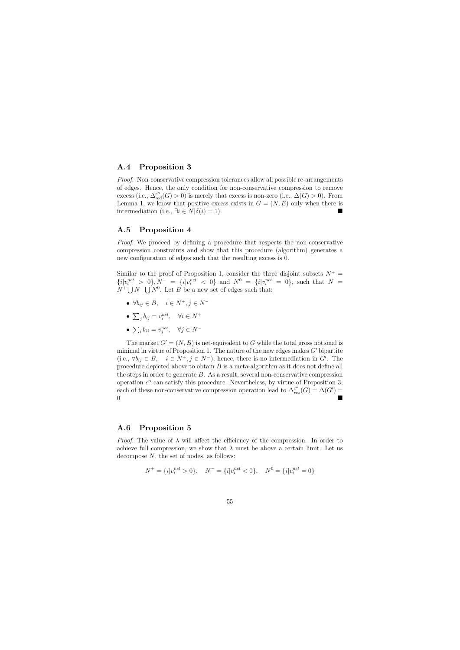## A.4 Proposition 3

Proof. Non-conservative compression tolerances allow all possible re-arrangements of edges. Hence, the only condition for non-conservative compression to remove excess (i.e.,  $\Delta_{\text{red}}^{c^n}(G) > 0$ ) is merely that excess is non-zero (i.e.,  $\Delta(G) > 0$ ). From Lemma 1, we know that positive excess exists in  $G = (N, E)$  only when there is intermediation (i.e.,  $\exists i \in N | \delta(i) = 1$ ).

## A.5 Proposition 4

*Proof.* We proceed by defining a procedure that respects the non-conservative compression constraints and show that this procedure (algorithm) generates a new configuration of edges such that the resulting excess is 0.

Similar to the proof of Proposition 1, consider the three disjoint subsets  $N^+$  =  ${i|v_i^{net}} > 0$ ,  $N^- = {i|v_i^{net}} < 0$  and  $N^0 = {i|v_i^{net}} = 0$ , such that  $N =$  $N^+ \bigcup N^- \bigcup N^0$ . Let B be a new set of edges such that:

- $\forall b_{ij} \in B$ ,  $i \in N^+, j \in N^-$
- $\sum_j b_{ij} = v_i^{net}, \quad \forall i \in N^+$
- $\sum_i b_{ij} = v_j^{net}, \quad \forall j \in N^-$

The market  $G' = (N, B)$  is net-equivalent to G while the total gross notional is minimal in virtue of Proposition 1. The nature of the new edges makes  $G'$  bipartite (i.e.,  $\forall b_{ij} \in B$ ,  $i \in N^+, j \in N^-$ ), hence, there is no intermediation in G'. The procedure depicted above to obtain  $B$  is a meta-algorithm as it does not define all the steps in order to generate B. As a result, several non-conservative compression operation  $c^n$  can satisfy this procedure. Nevertheless, by virtue of Proposition 3, each of these non-conservative compression operation lead to  $\Delta_{res}^{c^n}(G) = \Delta(G')$  $\overline{0}$ 

## A.6 Proposition 5

*Proof.* The value of  $\lambda$  will affect the efficiency of the compression. In order to achieve full compression, we show that  $\lambda$  must be above a certain limit. Let us decompose N, the set of nodes, as follows:

$$
N^{+} = \{i|v_i^{net} > 0\}, \quad N^{-} = \{i|v_i^{net} < 0\}, \quad N^{0} = \{i|v_i^{net} = 0\}
$$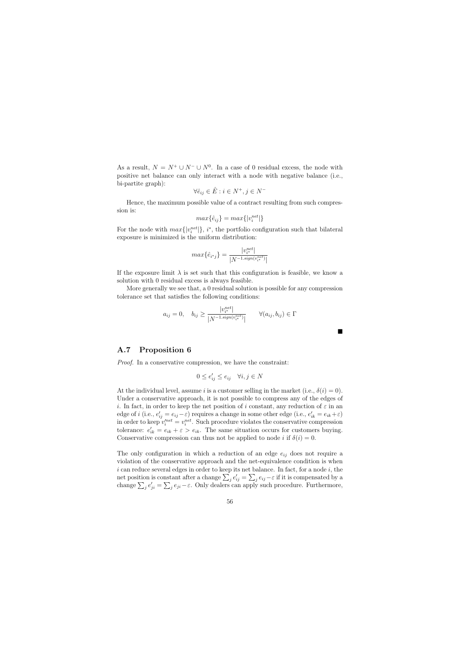As a result,  $N = N^+ \cup N^- \cup N^0$ . In a case of 0 residual excess, the node with positive net balance can only interact with a node with negative balance (i.e., bi-partite graph):

$$
\forall \hat{e}_{ij} \in \hat{E} : i \in N^+, j \in N^-
$$

Hence, the maximum possible value of a contract resulting from such compression is:

$$
max\{\hat{e}_{ij}\} = max\{|v_i^{net}|\}
$$

For the node with  $max\{|v_i^{net}|\}, i^*$ , the portfolio configuration such that bilateral exposure is minimized is the uniform distribution:

$$
max\{\hat{e}_{i^*j}\} = \frac{|v_{i^*}^{net}|}{|N^{-1.isign(v_{i^*}^{net})}|}
$$

If the exposure limit  $\lambda$  is set such that this configuration is feasible, we know a solution with 0 residual excess is always feasible.

More generally we see that, a 0 residual solution is possible for any compression tolerance set that satisfies the following conditions:

$$
a_{ij} = 0, \quad b_{ij} \ge \frac{|v_{i^*}^{net}|}{|N^{-1 \cdot sign(v_{i^*}^{net})}|} \qquad \forall (a_{ij}, b_{ij}) \in \Gamma
$$

 $\blacksquare$ 

## A.7 Proposition 6

Proof. In a conservative compression, we have the constraint:

$$
0 \le e'_{ij} \le e_{ij} \quad \forall i, j \in N
$$

At the individual level, assume i is a customer selling in the market (i.e.,  $\delta(i) = 0$ ). Under a conservative approach, it is not possible to compress any of the edges of i. In fact, in order to keep the net position of i constant, any reduction of  $\varepsilon$  in an edge of *i* (i.e.,  $e'_{ij} = e_{ij} - \varepsilon$ ) requires a change in some other edge (i.e.,  $e'_{ik} = e_{ik} + \varepsilon$ ) in order to keep  $v_i^{net} = v_i^{net}$ . Such procedure violates the conservative compression tolerance:  $e'_{ik} = e_{ik} + \varepsilon > e_{ik}$ . The same situation occurs for customers buying. Conservative compression can thus not be applied to node i if  $\delta(i) = 0$ .

The only configuration in which a reduction of an edge  $e_{ij}$  does not require a violation of the conservative approach and the net-equivalence condition is when  $i$  can reduce several edges in order to keep its net balance. In fact, for a node  $i$ , the net position is constant after a change  $\sum_j e'_{ij} = \sum_j e_{ij} - \varepsilon$  if it is compensated by a change  $\sum_j e'_{ji} = \sum_j e_{ji} - \varepsilon$ . Only dealers can apply such procedure. Furthermore,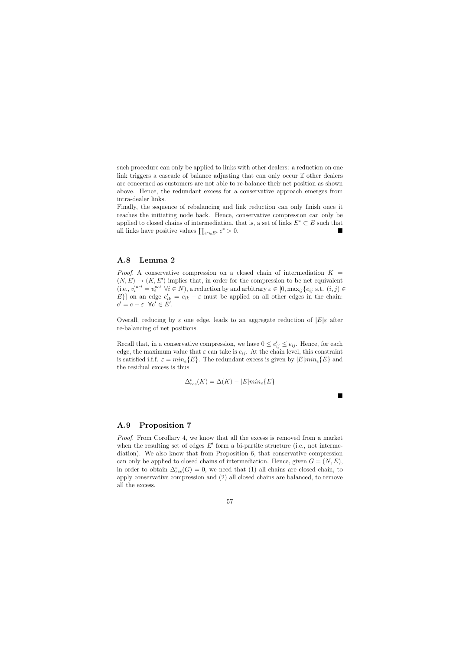such procedure can only be applied to links with other dealers: a reduction on one link triggers a cascade of balance adjusting that can only occur if other dealers are concerned as customers are not able to re-balance their net position as shown above. Hence, the redundant excess for a conservative approach emerges from intra-dealer links.

Finally, the sequence of rebalancing and link reduction can only finish once it reaches the initiating node back. Hence, conservative compression can only be applied to closed chains of intermediation, that is, a set of links  $E^* \subset E$  such that all links have positive values  $\prod_{e^* \in E^*} e^* > 0$ .

## A.8 Lemma 2

*Proof.* A conservative compression on a closed chain of intermediation  $K =$  $(N, E) \rightarrow (K, E')$  implies that, in order for the compression to be net equivalent (i.e.,  $v_i'^{net} = v_i^{net} \ \forall i \in N$ ), a reduction by and arbitrary  $\varepsilon \in [0, \max_{ij} \{e_{ij} \text{ s.t. } (i, j) \in$ E} on an edge  $e'_{ik} = e_{ik} - \varepsilon$  must be applied on all other edges in the chain:  $e' = e - \varepsilon \ \ \forall e' \in E'.$ 

Overall, reducing by  $\varepsilon$  one edge, leads to an aggregate reduction of  $|E|\varepsilon$  after re-balancing of net positions.

Recall that, in a conservative compression, we have  $0 \le e'_{ij} \le e_{ij}$ . Hence, for each edge, the maximum value that  $\varepsilon$  can take is  $e_{ij}$ . At the chain level, this constraint is satisfied i.f.f.  $\varepsilon = min_e\{E\}$ . The redundant excess is given by  $|E|min_e\{E\}$  and the residual excess is thus

$$
\Delta_{res}^c(K) = \Delta(K) - |E|min_e\{E\}
$$

ш

#### A.9 Proposition 7

Proof. From Corollary 4, we know that all the excess is removed from a market when the resulting set of edges  $E'$  form a bi-partite structure (i.e., not intermediation). We also know that from Proposition 6, that conservative compression can only be applied to closed chains of intermediation. Hence, given  $G = (N, E)$ , in order to obtain  $\Delta_{res}^c(G) = 0$ , we need that (1) all chains are closed chain, to apply conservative compression and (2) all closed chains are balanced, to remove all the excess.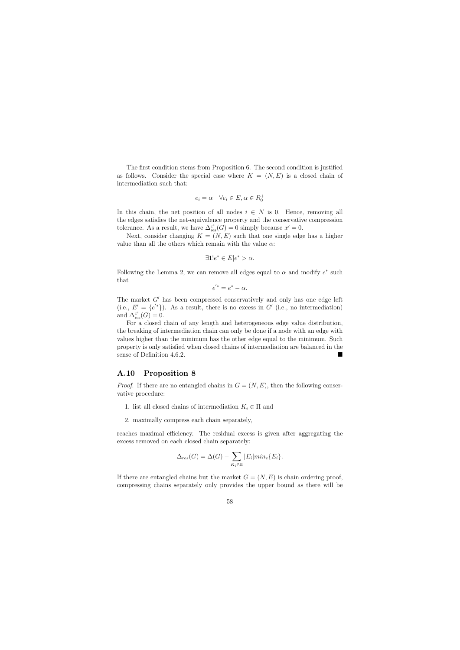The first condition stems from Proposition 6. The second condition is justified as follows. Consider the special case where  $K = (N, E)$  is a closed chain of intermediation such that:

$$
e_i = \alpha \quad \forall e_i \in E, \alpha \in R_0^+
$$

In this chain, the net position of all nodes  $i \in N$  is 0. Hence, removing all the edges satisfies the net-equivalence property and the conservative compression tolerance. As a result, we have  $\Delta_{\text{res}}^{c}(G) = 0$  simply because  $x' = 0$ .

Next, consider changing  $K = (N, E)$  such that one single edge has a higher value than all the others which remain with the value  $\alpha$ :

$$
\exists 1!e^* \in E | e^* > \alpha.
$$

Following the Lemma 2, we can remove all edges equal to  $\alpha$  and modify  $e^*$  such that

$$
e^{'*}=e^*-\alpha.
$$

The market  $G'$  has been compressed conservatively and only has one edge left (i.e.,  $E' = \{e^{i*}\}\)$ ). As a result, there is no excess in G' (i.e., no intermediation) and  $\Delta_{\text{res}}^{c^c}(G) = 0.$ 

For a closed chain of any length and heterogeneous edge value distribution, the breaking of intermediation chain can only be done if a node with an edge with values higher than the minimum has the other edge equal to the minimum. Such property is only satisfied when closed chains of intermediation are balanced in the sense of Definition 4.6.2.

## A.10 Proposition 8

*Proof.* If there are no entangled chains in  $G = (N, E)$ , then the following conservative procedure:

- 1. list all closed chains of intermediation  $K_i \in \Pi$  and
- 2. maximally compress each chain separately,

reaches maximal efficiency. The residual excess is given after aggregating the excess removed on each closed chain separately:

$$
\Delta_{res}(G) = \Delta(G) - \sum_{K_i \in \Pi} |E_i| \min_e \{E_i\}.
$$

If there are entangled chains but the market  $G = (N, E)$  is chain ordering proof, compressing chains separately only provides the upper bound as there will be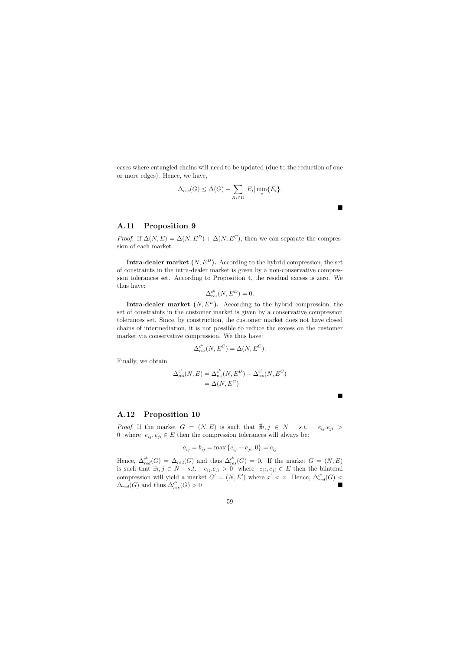cases where entangled chains will need to be updated (due to the reduction of one or more edges). Hence, we have,

$$
\Delta_{res}(G) \leq \Delta(G) - \sum_{K_i \in \Pi} |E_i| \min_e \{E_i\}.
$$

 $\blacksquare$ 

**The Second Service** 

## A.11 Proposition 9

*Proof.* If  $\Delta(N, E) = \Delta(N, E^D) + \Delta(N, E^C)$ , then we can separate the compression of each market.

Intra-dealer market  $(N, E^D)$ . According to the hybrid compression, the set of constraints in the intra-dealer market is given by a non-conservative compression tolerances set. According to Proposition 4, the residual excess is zero. We thus have:

$$
\Delta_{res}^{c^h}(N, E^D) = 0.
$$

Intra-dealer market  $(N, E^D)$ . According to the hybrid compression, the set of constraints in the customer market is given by a conservative compression tolerances set. Since, by construction, the customer market does not have closed chains of intermediation, it is not possible to reduce the excess on the customer market via conservative compression. We thus have:

$$
\Delta_{res}^{c^h}(N, E^C) = \Delta(N, E^C).
$$

Finally, we obtain

$$
\Delta_{\text{res}}^{c^h}(N, E) = \Delta_{\text{res}}^{c^h}(N, E^D) + \Delta_{\text{res}}^{c^h}(N, E^C)
$$

$$
= \Delta(N, E^C)
$$

#### A.12 Proposition 10

*Proof.* If the market  $G = (N, E)$  is such that  $\nexists i, j \in N$  s.t.  $e_{ij}e_{ji} >$ 0 where  $e_{ij}, e_{ji} \in E$  then the compression tolerances will always be:

$$
a_{ij} = b_{ij} = \max\{e_{ij} - e_{ji}, 0\} = e_{ij}
$$

Hence,  $\Delta_{red}^{c^b}(G) = \Delta_{red}(G)$  and thus  $\Delta_{res}^{c^b}(G) = 0$ . If the market  $G = (N, E)$ is such that  $\exists i, j \in N$  s.t.  $e_{ij}.e_{ji} > 0$  where  $e_{ij}, e_{ji} \in E$  then the bilateral compression will yield a market  $G' = (N, E')$  where  $x' < x$ . Hence,  $\Delta_{red}^{c^b}(G)$  <  $\Delta_{red}(G)$  and thus  $\Delta_{re}^{c^b}$  $r_{res}^{c^b}(G) > 0$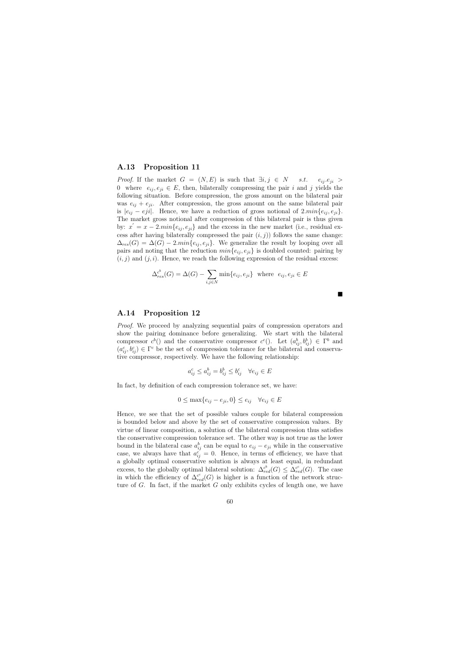#### A.13 Proposition 11

*Proof.* If the market  $G = (N, E)$  is such that  $\exists i, j \in N$  s.t.  $e_{ij}e_{ji} >$ 0 where  $e_{ii}, e_{ii} \in E$ , then, bilaterally compressing the pair i and j yields the following situation. Before compression, the gross amount on the bilateral pair was  $e_{ij} + e_{ji}$ . After compression, the gross amount on the same bilateral pair is  $|e_{ij} - eji|$ . Hence, we have a reduction of gross notional of  $2.min\{e_{ij}, e_{ji}\}.$ The market gross notional after compression of this bilateral pair is thus given by:  $x' = x - 2.min\{e_{ij}, e_{ji}\}\$ and the excess in the new market (i.e., residual excess after having bilaterally compressed the pair  $(i, j)$ ) follows the same change:  $\Delta_{res}(G) = \Delta(G) - 2.min\{e_{ij}, e_{ji}\}.$  We generalize the result by looping over all pairs and noting that the reduction  $min\{e_{ij}, e_{ji}\}$  is doubled counted: pairing by  $(i, j)$  and  $(j, i)$ . Hence, we reach the following expression of the residual excess:

$$
\Delta_{res}^{c^b}(G) = \Delta(G) - \sum_{i,j \in N} \min\{e_{ij}, e_{ji}\} \text{ where } e_{ij}, e_{ji} \in E
$$

 $\blacksquare$ 

## A.14 Proposition 12

Proof. We proceed by analyzing sequential pairs of compression operators and show the pairing dominance before generalizing. We start with the bilateral compressor  $c^b$  and the conservative compressor  $c^c$  ). Let  $(a_{ij}^b, b_{ij}^b) \in \Gamma^b$  and  $(a_{ij}^c, b_{ij}^c) \in \Gamma^c$  be the set of compression tolerance for the bilateral and conservative compressor, respectively. We have the following relationship:

$$
a_{ij}^c \le a_{ij}^b = b_{ij}^b \le b_{ij}^c \quad \forall e_{ij} \in E
$$

In fact, by definition of each compression tolerance set, we have:

$$
0 \le \max\{e_{ij} - e_{ji}, 0\} \le e_{ij} \quad \forall e_{ij} \in E
$$

Hence, we see that the set of possible values couple for bilateral compression is bounded below and above by the set of conservative compression values. By virtue of linear composition, a solution of the bilateral compression thus satisfies the conservative compression tolerance set. The other way is not true as the lower bound in the bilateral case  $a_{ij}^b$  can be equal to  $e_{ij} - e_{ji}$  while in the conservative case, we always have that  $a_{ij}^c = 0$ . Hence, in terms of efficiency, we have that a globally optimal conservative solution is always at least equal, in redundant excess, to the globally optimal bilateral solution:  $\Delta_{red}^{c^b}(G) \leq \Delta_{red}^{c^c}(G)$ . The case in which the efficiency of  $\Delta_{red}^{c^c}(G)$  is higher is a function of the network structure of G. In fact, if the market G only exhibits cycles of length one, we have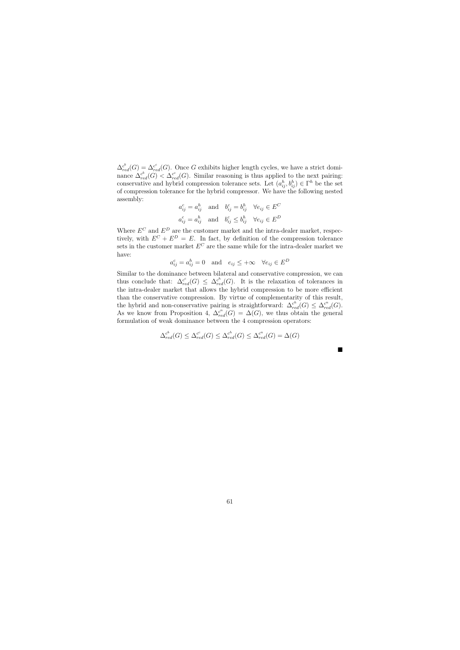$\Delta_{red}^{c^b}(G) = \Delta_{red}^{c^c}(G)$ . Once G exhibits higher length cycles, we have a strict dominance  $\Delta_{red}^{c^b}(G) < \Delta_{red}^{c^c}(G)$ . Similar reasoning is thus applied to the next pairing: conservative and hybrid compression tolerance sets. Let  $(a_{ij}^h, b_{ij}^h) \in \Gamma^h$  be the set of compression tolerance for the hybrid compressor. We have the following nested assembly:

$$
a_{ij}^c = a_{ij}^h
$$
 and  $b_{ij}^c = b_{ij}^h$   $\forall e_{ij} \in E^C$   
 $a_{ij}^c = a_{ij}^h$  and  $b_{ij}^c \le b_{ij}^h$   $\forall e_{ij} \in E^D$ 

Where  $E^C$  and  $E^D$  are the customer market and the intra-dealer market, respectively, with  $E^C + E^D = E$ . In fact, by definition of the compression tolerance sets in the customer market  $E^C$  are the same while for the intra-dealer market we have:

$$
a_{ij}^c = a_{ij}^h = 0
$$
 and  $e_{ij} \leq +\infty$   $\forall e_{ij} \in E^D$ 

Similar to the dominance between bilateral and conservative compression, we can thus conclude that:  $\Delta_{red}^{c}(G) \leq \Delta_{red}^{c^h}(G)$ . It is the relaxation of tolerances in the intra-dealer market that allows the hybrid compression to be more efficient than the conservative compression. By virtue of complementarity of this result, the hybrid and non-conservative pairing is straightforward:  $\Delta_{red}^{c^h}(G) \leq \Delta_{red}^{c^n}(G)$ . As we know from Proposition 4,  $\Delta_{red}^{c^n}(G) = \Delta(G)$ , we thus obtain the general formulation of weak dominance between the 4 compression operators:

$$
\Delta_{red}^{c^b}(G) \leq \Delta_{red}^{c^c}(G) \leq \Delta_{red}^{c^h}(G) \leq \Delta_{red}^{c^n}(G) = \Delta(G)
$$

 $\blacksquare$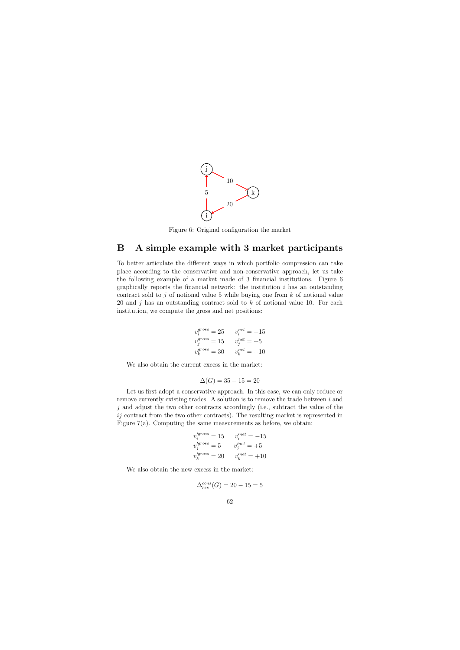

Figure 6: Original configuration the market

# B A simple example with 3 market participants

To better articulate the different ways in which portfolio compression can take place according to the conservative and non-conservative approach, let us take the following example of a market made of 3 financial institutions. Figure 6 graphically reports the financial network: the institution  $i$  has an outstanding contract sold to j of notional value 5 while buying one from  $k$  of notional value 20 and j has an outstanding contract sold to  $k$  of notional value 10. For each institution, we compute the gross and net positions:

$$
v_i^{gross} = 25 \qquad v_i^{net} = -15
$$
  
\n
$$
v_j^{gross} = 15 \qquad v_j^{net} = +5
$$
  
\n
$$
v_k^{gross} = 30 \qquad v_k^{net} = +10
$$

We also obtain the current excess in the market:

$$
\Delta(G) = 35 - 15 = 20
$$

Let us first adopt a conservative approach. In this case, we can only reduce or remove currently existing trades. A solution is to remove the trade between i and  $j$  and adjust the two other contracts accordingly (i.e., subtract the value of the ij contract from the two other contracts). The resulting market is represented in Figure 7(a). Computing the same measurements as before, we obtain:

$$
v_i'^{gross} = 15
$$
  $v_i'^{net} = -15$   
\n $v_j'^{gross} = 5$   $v_j'^{net} = +5$   
\n $v_k'^{gross} = 20$   $v_k'^{net} = +10$ 

We also obtain the new excess in the market:

$$
\Delta_{res}^{cons}(G) = 20 - 15 = 5
$$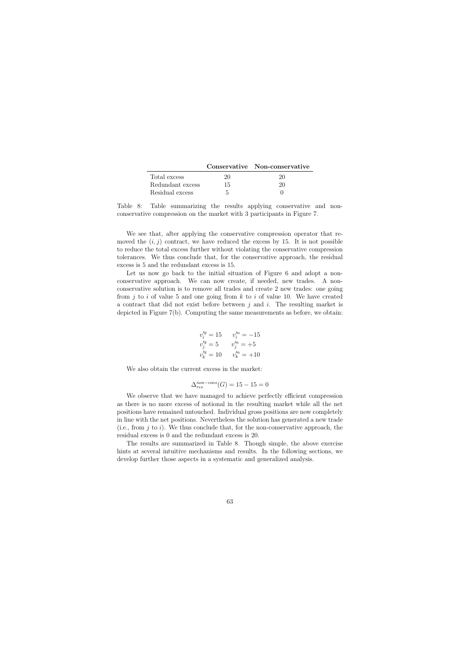|                  |    | Conservative Non-conservative |
|------------------|----|-------------------------------|
| Total excess     | 20 | 20                            |
| Redundant excess | 15 | 20                            |
| Residual excess  | 5  |                               |

Table 8: Table summarizing the results applying conservative and nonconservative compression on the market with 3 participants in Figure 7.

We see that, after applying the conservative compression operator that removed the  $(i, j)$  contract, we have reduced the excess by 15. It is not possible to reduce the total excess further without violating the conservative compression tolerances. We thus conclude that, for the conservative approach, the residual excess is 5 and the redundant excess is 15.

Let us now go back to the initial situation of Figure 6 and adopt a nonconservative approach. We can now create, if needed, new trades. A nonconservative solution is to remove all trades and create 2 new trades: one going from j to i of value 5 and one going from k to i of value 10. We have created a contract that did not exist before between  $j$  and  $i$ . The resulting market is depicted in Figure 7(b). Computing the same measurements as before, we obtain:

$$
v_i'^{g} = 15 \t v_i'^{n} = -15
$$
  

$$
v_j'^{g} = 5 \t v_j'^{n} = +5
$$
  

$$
v_k'^{g} = 10 \t v_k'^{n} = +10
$$

We also obtain the current excess in the market:

$$
\Delta_{res}^{non-cons}(G) = 15 - 15 = 0
$$

We observe that we have managed to achieve perfectly efficient compression as there is no more excess of notional in the resulting market while all the net positions have remained untouched. Individual gross positions are now completely in line with the net positions. Nevertheless the solution has generated a new trade (i.e., from  $j$  to  $i$ ). We thus conclude that, for the non-conservative approach, the residual excess is 0 and the redundant excess is 20.

The results are summarized in Table 8. Though simple, the above exercise hints at several intuitive mechanisms and results. In the following sections, we develop further those aspects in a systematic and generalized analysis.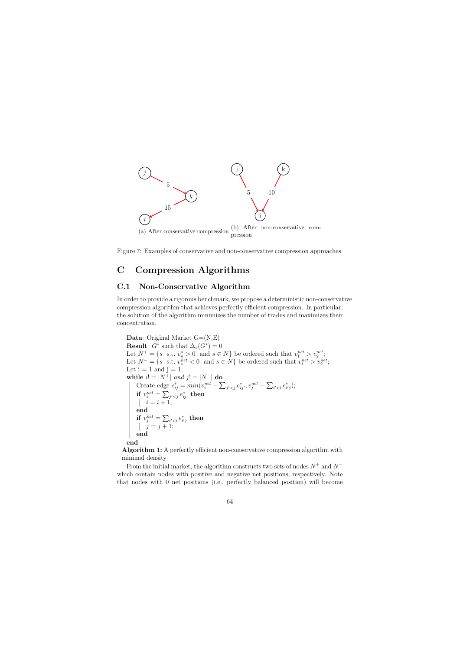

Figure 7: Examples of conservative and non-conservative compression approaches.

# C Compression Algorithms

## C.1 Non-Conservative Algorithm

In order to provide a rigorous benchmark, we propose a deterministic non-conservative compression algorithm that achieves perfectly efficient compression. In particular, the solution of the algorithm minimizes the number of trades and maximizes their concentration.

**Data:** Original Market  $G=(N,E)$ **Result:**  $G^*$  such that  $\Delta_v(G^*)=0$ Let  $N^+ = \{s \text{ s.t. } v_n^s > 0 \text{ and } s \in N\}$  be ordered such that  $v_1^{net} > v_2^{net}$ ; Let  $N^- = \{s \text{ s.t. } v_s^{net} < 0 \text{ and } s \in N\}$  be ordered such that  $v_1^{net} > v_2^{net}$ ; Let  $i = 1$  and  $j = 1$ ; while  $i! = |N^+|$  and  $j! = |N^-|$  do Create edge  $e_{ij}^* = min(v_i^{net} - \sum_{j' < j} e_{ij'}^*, v_j^{net} - \sum_{i' < i} e_{i'j}^*);$ if  $v^{net}_i = \sum_{j' then$  $i = i + 1;$ end if  $v^{net}_j = \sum_{i' then$  $j = j + 1;$ end end

Algorithm 1: A perfectly efficient non-conservative compression algorithm with minimal density

From the initial market, the algorithm constructs two sets of nodes  $N^+$  and  $N^$ which contain nodes with positive and negative net positions, respectively. Note that nodes with 0 net positions (i.e., perfectly balanced position) will become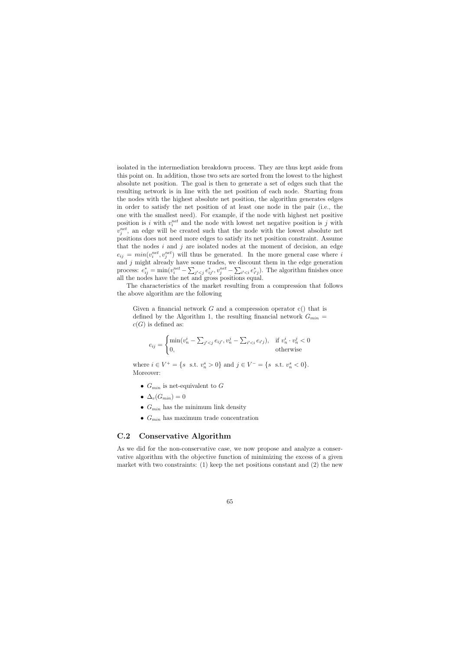isolated in the intermediation breakdown process. They are thus kept aside from this point on. In addition, those two sets are sorted from the lowest to the highest absolute net position. The goal is then to generate a set of edges such that the resulting network is in line with the net position of each node. Starting from the nodes with the highest absolute net position, the algorithm generates edges in order to satisfy the net position of at least one node in the pair (i.e., the one with the smallest need). For example, if the node with highest net positive position is i with  $v_i^{net}$  and the node with lowest net negative position is j with  $v_j^{net}$ , an edge will be created such that the node with the lowest absolute net positions does not need more edges to satisfy its net position constraint. Assume that the nodes  $i$  and  $j$  are isolated nodes at the moment of decision, an edge  $e_{ij} = min(v_i^{net}, v_j^{net})$  will thus be generated. In the more general case where i and  $j$  might already have some trades, we discount them in the edge generation process:  $e_{ij}^* = \min(v_i^{net} - \sum_{j' < j} e_{ij'}^*, v_j^{net} - \sum_{i' < i} e_{i'j}^*).$  The algorithm finishes once all the nodes have the net and gross positions equal.

The characteristics of the market resulting from a compression that follows the above algorithm are the following

Given a financial network  $G$  and a compression operator  $c()$  that is defined by the Algorithm 1, the resulting financial network  $G_{min}$  =  $c(G)$  is defined as:

$$
e_{ij} = \begin{cases} \min(v_n^i - \sum_{j' < j} e_{ij'}, v_n^j - \sum_{i' < i} e_{i'j}), & \text{if } v_n^i \cdot v_n^j < 0\\ 0, & \text{otherwise} \end{cases}
$$

where  $i \in V^+ = \{s \text{ s.t. } v_n^s > 0\}$  and  $j \in V^- = \{s \text{ s.t. } v_n^s < 0\}.$ Moreover:

- $G_{min}$  is net-equivalent to G
- $\Delta_v(G_{min})=0$
- $G_{min}$  has the minimum link density
- $G_{min}$  has maximum trade concentration

## C.2 Conservative Algorithm

As we did for the non-conservative case, we now propose and analyze a conservative algorithm with the objective function of minimizing the excess of a given market with two constraints:  $(1)$  keep the net positions constant and  $(2)$  the new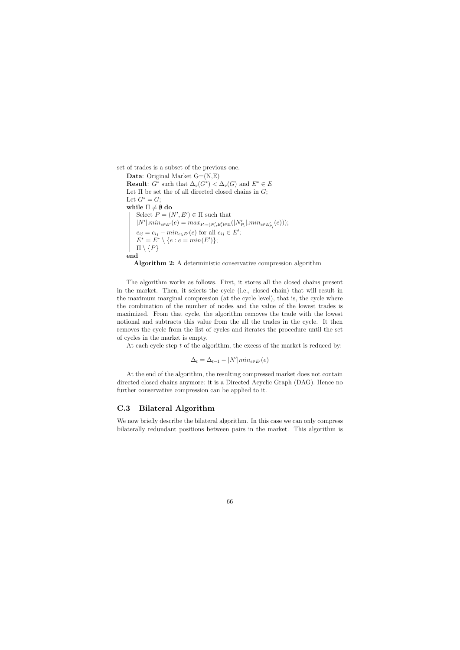set of trades is a subset of the previous one.

**Data:** Original Market  $G=(N,E)$ **Result:**  $G^*$  such that  $\Delta_v(G^*) < \Delta_v(G)$  and  $E^* \in E$ Let  $\Pi$  be set the of all directed closed chains in  $G$ ; Let  $G^* = G$ ; while  $\Pi \neq \emptyset$  do Select  $P = (N', E') \in \Pi$  such that  $|N'| \cdot min_{e \in E'}(e) = max_{P_i = (N'_i, E'_i) \in \Pi}(|N'_{P_i}| \cdot min_{e \in E'_{P_i}}(e)));$  $e_{ij} = e_{ij} - \min_{e \in E'}(e)$  for all  $e_{ij} \in E'$ ;  $E^* = E^* \setminus \{e : e = min(E')\};$  $\Pi \setminus \{P\}$ end

Algorithm 2: A deterministic conservative compression algorithm

The algorithm works as follows. First, it stores all the closed chains present in the market. Then, it selects the cycle (i.e., closed chain) that will result in the maximum marginal compression (at the cycle level), that is, the cycle where the combination of the number of nodes and the value of the lowest trades is maximized. From that cycle, the algorithm removes the trade with the lowest notional and subtracts this value from the all the trades in the cycle. It then removes the cycle from the list of cycles and iterates the procedure until the set of cycles in the market is empty.

At each cycle step  $t$  of the algorithm, the excess of the market is reduced by:

$$
\Delta_t = \Delta_{t-1} - |N'|min_{e \in E'}(e)
$$

At the end of the algorithm, the resulting compressed market does not contain directed closed chains anymore: it is a Directed Acyclic Graph (DAG). Hence no further conservative compression can be applied to it.

## C.3 Bilateral Algorithm

We now briefly describe the bilateral algorithm. In this case we can only compress bilaterally redundant positions between pairs in the market. This algorithm is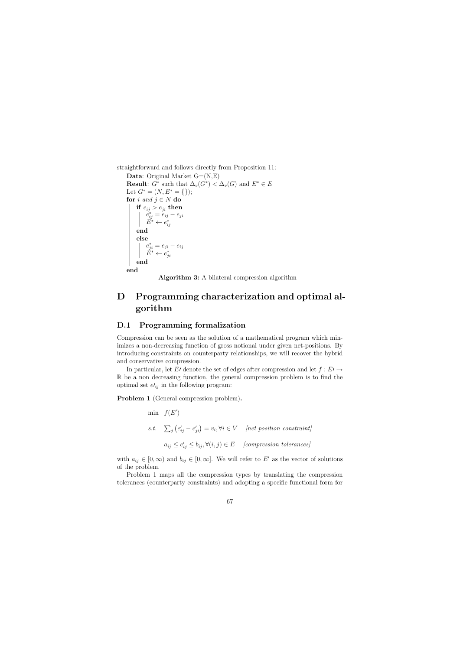straightforward and follows directly from Proposition 11:

**Data:** Original Market  $G=(N,E)$ **Result:**  $G^*$  such that  $\Delta_v(G^*) < \Delta_v(G)$  and  $E^* \in E$ Let  $G^* = (N, E^* = \{\})$ ; for i and  $j \in N$  do if  $e_{ij} > e_{ji}$  then  $e_{ij}^* = e_{ij} - e_{ji}$  $\check{E^*} \leftarrow e^*_{ij}$ end else  $e_{ji}^* = e_{ji} - e_{ij}$  $\check{E}^* \leftarrow e_{ji}^*$ end

end

Algorithm 3: A bilateral compression algorithm

# D Programming characterization and optimal algorithm

## D.1 Programming formalization

Compression can be seen as the solution of a mathematical program which minimizes a non-decreasing function of gross notional under given net-positions. By introducing constraints on counterparty relationships, we will recover the hybrid and conservative compression.

In particular, let El denote the set of edges after compression and let  $f : E \rightarrow$ R be a non decreasing function, the general compression problem is to find the optimal set  $e_{ij}$  in the following program:

Problem 1 (General compression problem).

min  $f(E')$ s.t.  $\sum_{j} (e'_{ij} - e'_{ji}) = v_i, \forall i \in V$  [net position constraint]  $a_{ij} \leq e'_{ij} \leq b_{ij}, \forall (i, j) \in E$  [compression tolerances]

with  $a_{ij} \in [0, \infty)$  and  $b_{ij} \in [0, \infty]$ . We will refer to E' as the vector of solutions of the problem.

Problem 1 maps all the compression types by translating the compression tolerances (counterparty constraints) and adopting a specific functional form for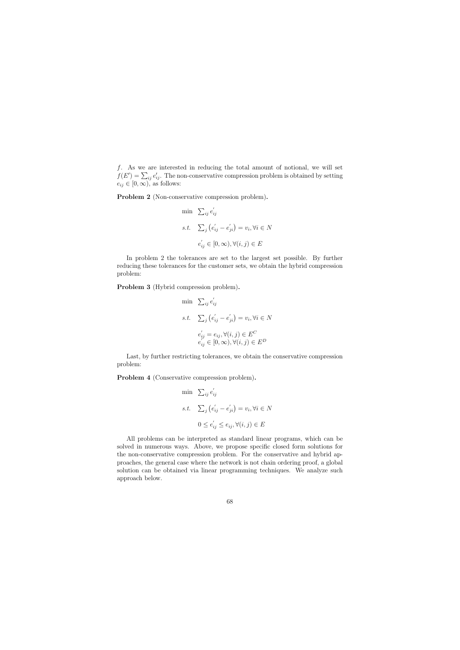f. As we are interested in reducing the total amount of notional, we will set  $f(E') = \sum_{ij} e'_{ij}$ . The non-conservative compression problem is obtained by setting  $e_{ij} \in [0, \infty)$ , as follows:

Problem 2 (Non-conservative compression problem).

min 
$$
\sum_{ij} e'_{ij}
$$
  
s.t.  $\sum_{j} (e'_{ij} - e'_{ji}) = v_i, \forall i \in N$   
 $e'_{ij} \in [0, \infty), \forall (i, j) \in E$ 

In problem 2 the tolerances are set to the largest set possible. By further reducing these tolerances for the customer sets, we obtain the hybrid compression problem:

Problem 3 (Hybrid compression problem).

min 
$$
\sum_{ij} e'_{ij}
$$
  
s.t.  $\sum_j (e'_{ij} - e'_{ji}) = v_i, \forall i \in N$   
 $e'_{ij} = e_{ij}, \forall (i, j) \in E^C$   
 $e'_{ij} \in [0, \infty), \forall (i, j) \in E^D$ 

Last, by further restricting tolerances, we obtain the conservative compression problem:

Problem 4 (Conservative compression problem).

min 
$$
\sum_{ij} e'_{ij}
$$
  
s.t.  $\sum_{j} (e'_{ij} - e'_{ji}) = v_i, \forall i \in N$   
 $0 \le e'_{ij} \le e_{ij}, \forall (i, j) \in E$ 

All problems can be interpreted as standard linear programs, which can be solved in numerous ways. Above, we propose specific closed form solutions for the non-conservative compression problem. For the conservative and hybrid approaches, the general case where the network is not chain ordering proof, a global solution can be obtained via linear programming techniques. We analyze such approach below.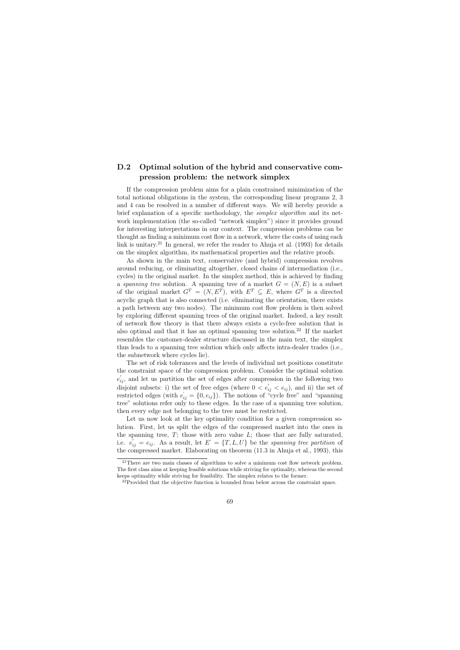## D.2 Optimal solution of the hybrid and conservative compression problem: the network simplex

If the compression problem aims for a plain constrained minimization of the total notional obligations in the system, the corresponding linear programs 2, 3 and 4 can be resolved in a number of different ways. We will hereby provide a brief explanation of a specific methodology, the simplex algorithm and its network implementation (the so-called "network simplex") since it provides ground for interesting interpretations in our context. The compression problems can be thought as finding a minimum cost flow in a network, where the costs of using each link is unitary.<sup>21</sup> In general, we refer the reader to Ahuja et al.  $(1993)$  for details on the simplex algorithm, its mathematical properties and the relative proofs.

As shown in the main text, conservative (and hybrid) compression revolves around reducing, or eliminating altogether, closed chains of intermediation (i.e., cycles) in the original market. In the simplex method, this is achieved by finding a spanning tree solution. A spanning tree of a market  $G = (N, E)$  is a subset of the original market  $G^T = (N, E^T)$ , with  $E^T \subseteq E$ , where  $G^T$  is a directed acyclic graph that is also connected (i.e. eliminating the orientation, there exists a path between any two nodes). The minimum cost flow problem is then solved by exploring different spanning trees of the original market. Indeed, a key result of network flow theory is that there always exists a cycle-free solution that is also optimal and that it has an optimal spanning tree solution.<sup>22</sup> If the market resembles the customer-dealer structure discussed in the main text, the simplex thus leads to a spanning tree solution which only affects intra-dealer trades (i.e., the subnetwork where cycles lie).

The set of risk tolerances and the levels of individual net positions constitute the constraint space of the compression problem. Consider the optimal solution  $e'_{ij}$ , and let us partition the set of edges after compression in the following two disjoint subsets: i) the set of free edges (where  $0 < e'_{ij} < e_{ij}$ ), and ii) the set of restricted edges (with  $e_{ij} = \{0, e_{ij}\}\$ ). The notions of "cycle free" and "spanning tree" solutions refer only to these edges. In the case of a spanning tree solution, then every edge not belonging to the tree must be restricted.

Let us now look at the key optimality condition for a given compression solution. First, let us split the edges of the compressed market into the ones in the spanning tree,  $T$ ; those with zero value  $L$ ; those that are fully saturated, i.e.  $e_{ij} = e_{ij}$ . As a result, let  $E' = \{T, L, U\}$  be the spanning tree partition of the compressed market. Elaborating on theorem (11.3 in Ahuja et al., 1993), this

 $21$ There are two main classes of algorithms to solve a minimum cost flow network problem. The first class aims at keeping feasible solutions while striving for optimality, whereas the second keeps optimality while striving for feasibility. The simplex relates to the former.

 $2<sup>22</sup>$ Provided that the objective function is bounded from below across the constraint space.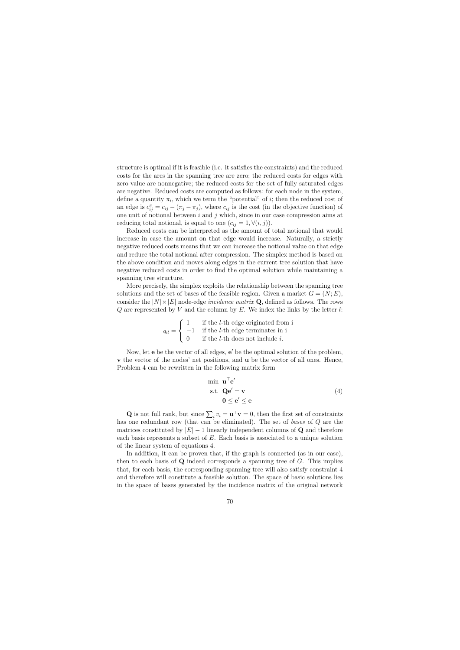structure is optimal if it is feasible (i.e. it satisfies the constraints) and the reduced costs for the arcs in the spanning tree are zero; the reduced costs for edges with zero value are nonnegative; the reduced costs for the set of fully saturated edges are negative. Reduced costs are computed as follows: for each node in the system, define a quantity  $\pi_i$ , which we term the "potential" of *i*; then the reduced cost of an edge is  $c_{ij}^{\pi} = c_{ij} - (\pi_j - \pi_j)$ , where  $c_{ij}$  is the cost (in the objective function) of one unit of notional between  $i$  and  $j$  which, since in our case compression aims at reducing total notional, is equal to one  $(c_{ij} = 1, \forall (i, j)).$ 

Reduced costs can be interpreted as the amount of total notional that would increase in case the amount on that edge would increase. Naturally, a strictly negative reduced costs means that we can increase the notional value on that edge and reduce the total notional after compression. The simplex method is based on the above condition and moves along edges in the current tree solution that have negative reduced costs in order to find the optimal solution while maintaining a spanning tree structure.

More precisely, the simplex exploits the relationship between the spanning tree solutions and the set of bases of the feasible region. Given a market  $G = (N; E)$ , consider the  $|N| \times |E|$  node-edge *incidence matrix* Q, defined as follows. The rows  $Q$  are represented by V and the column by E. We index the links by the letter l:

$$
q_{il} = \begin{cases} 1 & \text{if the } l\text{-th edge originated from i} \\ -1 & \text{if the } l\text{-th edge terminates in i} \\ 0 & \text{if the } l\text{-th does not include } i. \end{cases}
$$

Now, let **e** be the vector of all edges, **e'** be the optimal solution of the problem, v the vector of the nodes' net positions, and u be the vector of all ones. Hence, Problem 4 can be rewritten in the following matrix form

$$
\begin{array}{ll}\n\text{min } \mathbf{u}^{\top} \mathbf{e}'\\
\text{s.t. } \mathbf{Q} \mathbf{e}' = \mathbf{v}\\
\mathbf{0} \le \mathbf{e}' \le \mathbf{e}\n\end{array} \tag{4}
$$

**Q** is not full rank, but since  $\sum_i v_i = \mathbf{u}^\top \mathbf{v} = 0$ , then the first set of constraints has one redundant row (that can be eliminated). The set of bases of Q are the matrices constituted by  $|E| - 1$  linearly independent columns of Q and therefore each basis represents a subset of E. Each basis is associated to a unique solution of the linear system of equations 4.

In addition, it can be proven that, if the graph is connected (as in our case), then to each basis of  $Q$  indeed corresponds a spanning tree of  $G$ . This implies that, for each basis, the corresponding spanning tree will also satisfy constraint 4 and therefore will constitute a feasible solution. The space of basic solutions lies in the space of bases generated by the incidence matrix of the original network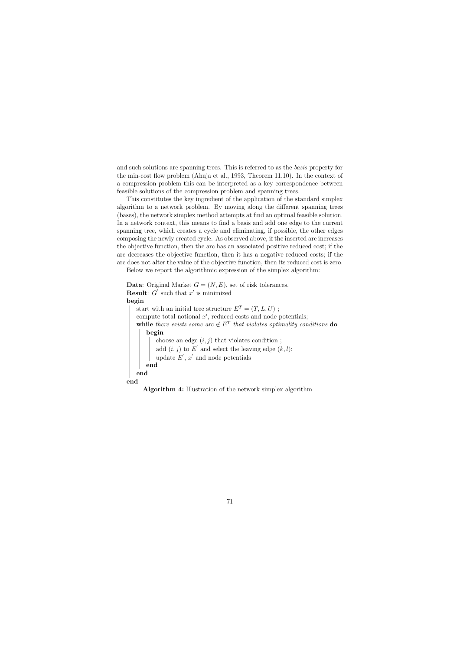and such solutions are spanning trees. This is referred to as the basis property for the min-cost flow problem (Ahuja et al., 1993, Theorem 11.10). In the context of a compression problem this can be interpreted as a key correspondence between feasible solutions of the compression problem and spanning trees.

This constitutes the key ingredient of the application of the standard simplex algorithm to a network problem. By moving along the different spanning trees (bases), the network simplex method attempts at find an optimal feasible solution. In a network context, this means to find a basis and add one edge to the current spanning tree, which creates a cycle and eliminating, if possible, the other edges composing the newly created cycle. As observed above, if the inserted arc increases the objective function, then the arc has an associated positive reduced cost; if the arc decreases the objective function, then it has a negative reduced costs; if the arc does not alter the value of the objective function, then its reduced cost is zero.

Below we report the algorithmic expression of the simplex algorithm:

**Data:** Original Market  $G = (N, E)$ , set of risk tolerances. **Result:**  $G'$  such that  $x'$  is minimized begin start with an initial tree structure  $E^T = (T, L, U)$ ; compute total notional  $x'$ , reduced costs and node potentials; while there exists some arc  $\notin E^T$  that violates optimality conditions do begin choose an edge  $(i, j)$  that violates condition; add  $(i, j)$  to E' and select the leaving edge  $(k, l)$ ; update  $E', x'$  and node potentials end end

end

Algorithm 4: Illustration of the network simplex algorithm